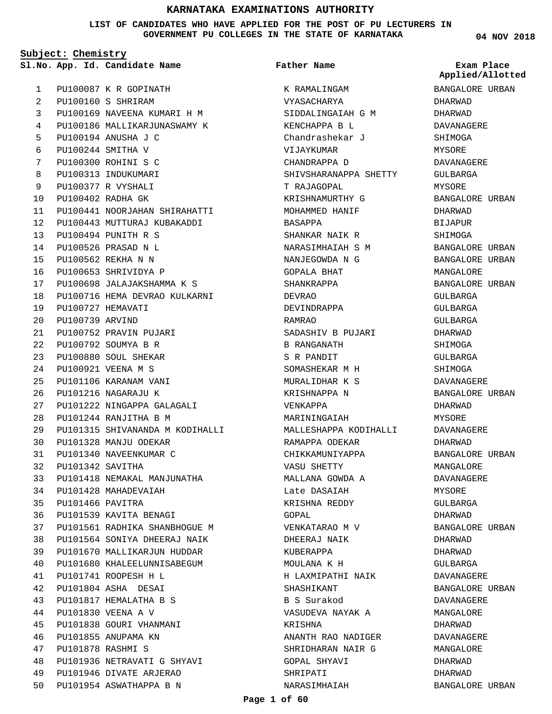**LIST OF CANDIDATES WHO HAVE APPLIED FOR THE POST OF PU LECTURERS IN GOVERNMENT PU COLLEGES IN THE STATE OF KARNATAKA**

**Subject: Chemistry**

**App. Id. Candidate Name Sl.No. Exam Place**

**Father Name**

PU100087 K R GOPINATH PU100160 S SHRIRAM PU100169 NAVEENA KUMARI H M PU100186 MALLIKARJUNASWAMY K PU100194 ANUSHA J C PU100244 SMITHA V PU100300 ROHINI S C PU100313 INDUKUMARI PU100377 R VYSHALI PU100402 RADHA GK PU100441 NOORJAHAN SHIRAHATTI PU100443 MUTTURAJ KUBAKADDI PU100494 PUNITH R S PU100526 PRASAD N L PU100562 REKHA N N PU100653 SHRIVIDYA P PU100698 JALAJAKSHAMMA K S PU100716 HEMA DEVRAO KULKARNI PU100727 HEMAVATI PU100739 ARVIND PU100752 PRAVIN PUJARI PU100792 SOUMYA B R PU100880 SOUL SHEKAR PU100921 VEENA M S PU101106 KARANAM VANI PU101216 NAGARAJU K PU101222 NINGAPPA GALAGALI PU101244 RANJITHA B M PU101315 SHIVANANDA M KODIHALLI PU101328 MANJU ODEKAR PU101340 NAVEENKUMAR C PU101342 SAVITHA PU101418 NEMAKAL MANJUNATHA PU101428 MAHADEVAIAH PU101466 PAVITRA PU101539 KAVITA BENAGI PU101561 RADHIKA SHANBHOGUE M PU101564 SONIYA DHEERAJ NAIK PU101670 MALLIKARJUN HUDDAR PU101680 KHALEELUNNISABEGUM PU101741 ROOPESH H L PU101804 ASHA DESAI PU101817 HEMALATHA B S PU101830 VEENA A V PU101838 GOURI VHANMANI PU101855 ANUPAMA KN PU101878 RASHMI S PU101936 NETRAVATI G SHYAVI PU101946 DIVATE ARJERAO PU101954 ASWATHAPPA B N 1  $\overline{2}$ 3 4 5 6 7 8 9  $1<sub>0</sub>$ 11  $12$ 13 14 15 16 17 18 19  $20$  $21$ 22 23 24  $25$ 26  $27$  $28$  $29$ 30 31 32 33 34 35 36 37 38 39 40 41  $42$ 43 44 45 46 47 48 49  $50$ 

K RAMALINGAM VYASACHARYA SIDDALINGAIAH G M KENCHAPPA B L Chandrashekar J VIJAYKUMAR CHANDRAPPA D SHIVSHARANAPPA SHETTY T RAJAGOPAL KRISHNAMURTHY G MOHAMMED HANIF BASAPPA SHANKAR NAIK R NARASIMHAIAH S M NANJEGOWDA N G GOPALA BHAT SHANKRAPPA DEVRAO DEVINDRAPPA RAMRAO SADASHIV B PUJARI B RANGANATH S R PANDIT SOMASHEKAR M H MURALIDHAR K S KRISHNAPPA N VENKAPPA MARININGAIAH MALLESHAPPA KODIHALLI RAMAPPA ODEKAR CHIKKAMUNIYAPPA VASU SHETTY MALLANA GOWDA A Late DASAIAH KRISHNA REDDY GOPAL VENKATARAO M V DHEERAJ NAIK KUBERAPPA MOULANA K H H LAXMIPATHI NAIK SHASHIKANT B S Surakod VASUDEVA NAYAK A KRISHNA ANANTH RAO NADIGER SHRIDHARAN NAIR G GOPAL SHYAVI SHRIPATI NARASIMHAIAH

**04 NOV 2018**

**Applied/Allotted**

## BANGALORE URBAN DHARWAD DHARWAD DAVANAGERE SHIMOGA MYSORE DAVANAGERE GULBARGA MYSORE BANGALORE URBAN DHARWAD BIJAPUR SHIMOGA BANGALORE URBAN BANGALORE URBAN MANGALORE BANGALORE URBAN GULBARGA GULBARGA GULBARGA DHARWAD SHIMOGA GULBARGA SHIMOGA DAVANAGERE BANGALORE URBAN DHARWAD MYSORE DAVANAGERE DHARWAD BANGALORE URBAN MANGALORE DAVANAGERE MYSORE GULBARGA DHARWAD BANGALORE URBAN DHARWAD DHARWAD GULBARGA DAVANAGERE BANGALORE URBAN DAVANAGERE MANGALORE DHARWAD DAVANAGERE MANGALORE DHARWAD DHARWAD

BANGALORE URBAN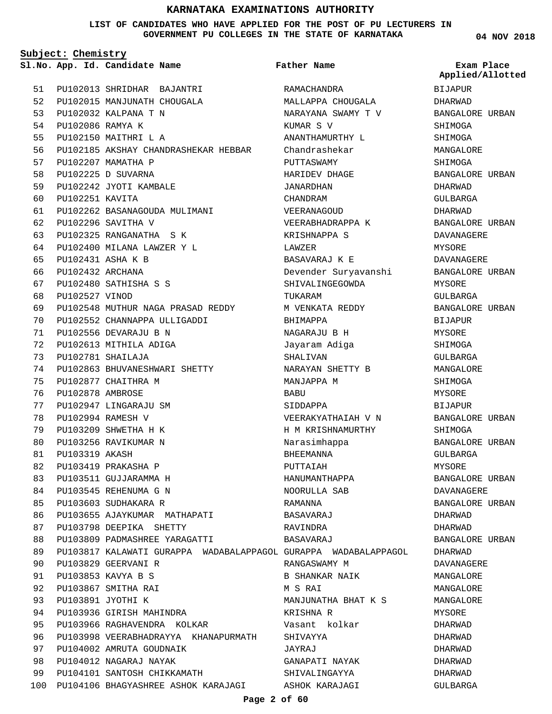**LIST OF CANDIDATES WHO HAVE APPLIED FOR THE POST OF PU LECTURERS IN GOVERNMENT PU COLLEGES IN THE STATE OF KARNATAKA**

**Father Name**

**Subject: Chemistry**

**App. Id. Candidate Name Sl.No. Exam Place**

PU102013 SHRIDHAR BAJANTRI PU102015 MANJUNATH CHOUGALA 52 PU102032 KALPANA T N 53 PU102086 RAMYA K PU102150 MAITHRI L A PU102185 AKSHAY CHANDRASHEKAR HEBBAR PU102207 MAMATHA P PU102225 D SUVARNA PU102242 JYOTI KAMBALE PU102251 KAVITA PU102262 BASANAGOUDA MULIMANI PU102296 SAVITHA V PU102325 RANGANATHA S K PU102400 MILANA LAWZER Y L PU102431 ASHA K B PU102432 ARCHANA PU102480 SATHISHA S S PU102527 VINOD PU102548 MUTHUR NAGA PRASAD REDDY PU102552 CHANNAPPA ULLIGADDI PU102556 DEVARAJU B N PU102613 MITHILA ADIGA PU102781 SHAILAJA PU102863 BHUVANESHWARI SHETTY PU102877 CHAITHRA M PU102878 AMBROSE PU102947 LINGARAJU SM PU102994 RAMESH V PU103209 SHWETHA H K PU103256 RAVIKUMAR N PU103319 AKASH PU103419 PRAKASHA P PU103511 GUJJARAMMA H PU103545 REHENUMA G N PU103603 SUDHAKARA R PU103655 AJAYKUMAR MATHAPATI PU103798 DEEPIKA SHETTY PU103809 PADMASHREE YARAGATTI PU103817 KALAWATI GURAPPA WADABALAPPAGOL GURAPPA WADABALAPPAGOL PU103829 GEERVANI R PU103853 KAVYA B S PU103867 SMITHA RAI PU103891 JYOTHI K PU103936 GIRISH MAHINDRA PU103966 RAGHAVENDRA KOLKAR PU103998 VEERABHADRAYYA KHANAPURMATH PU104002 AMRUTA GOUDNAIK PU104012 NAGARAJ NAYAK PU104101 SANTOSH CHIKKAMATH PU104106 BHAGYASHREE ASHOK KARAJAGI 100 51 54 55 56 57 58 59  $60$ 61 62 63 64 65 66 67  $68$ 69  $70$ 71 72 73 74 75 76 77 78 79 80 81 82 83 84 85  $86$ 87 88 89 90 91  $92$ 93 94  $95$ 96 97 98 99

RAMACHANDRA MALLAPPA CHOUGALA NARAYANA SWAMY T V KUMAR S V ANANTHAMURTHY L Chandrashekar PUTTASWAMY HARIDEV DHAGE JANARDHAN CHANDRAM VEERANAGOUD VEERABHADRAPPA K KRISHNAPPA S LAWZER BASAVARAJ K E Devender Suryavanshi SHIVALINGEGOWDA TUKARAM M VENKATA REDDY BHIMAPPA NAGARAJU B H Jayaram Adiga SHALIVAN NARAYAN SHETTY B MANJAPPA M BABU SIDDAPPA VEERAKYATHAIAH V N H M KRISHNAMURTHY Narasimhappa BHEEMANNA PUTTAIAH HANUMANTHAPPA NOORULLA SAB RAMANNA BASAVARAJ RAVINDRA BASAVARAJ RANGASWAMY M B SHANKAR NAIK M S RAI MANJUNATHA BHAT K S KRISHNA R Vasant kolkar SHIVAYYA JAYRAJ GANAPATI NAYAK SHIVALINGAYYA

**04 NOV 2018**

BIJAPUR DHARWAD BANGALORE URBAN SHIMOGA SHIMOGA MANGALORE SHIMOGA BANGALORE URBAN DHARWAD GULBARGA DHARWAD BANGALORE URBAN DAVANAGERE MYSORE DAVANAGERE BANGALORE URBAN MYSORE GULBARGA BANGALORE URBAN BIJAPUR MYSORE SHIMOGA GULBARGA MANGALORE SHIMOGA MYSORE **BIJAPUR** BANGALORE URBAN SHIMOGA BANGALORE URBAN GULBARGA MYSORE BANGALORE URBAN DAVANAGERE BANGALORE URBAN DHARWAD DHARWAD BANGALORE URBAN DHARWAD DAVANAGERE MANGALORE MANGALORE MANGALORE **MYSORE** DHARWAD DHARWAD DHARWAD DHARWAD DHARWAD GULBARGA **Applied/Allotted**

#### **Page 2 of 60**

ASHOK KARAJAGI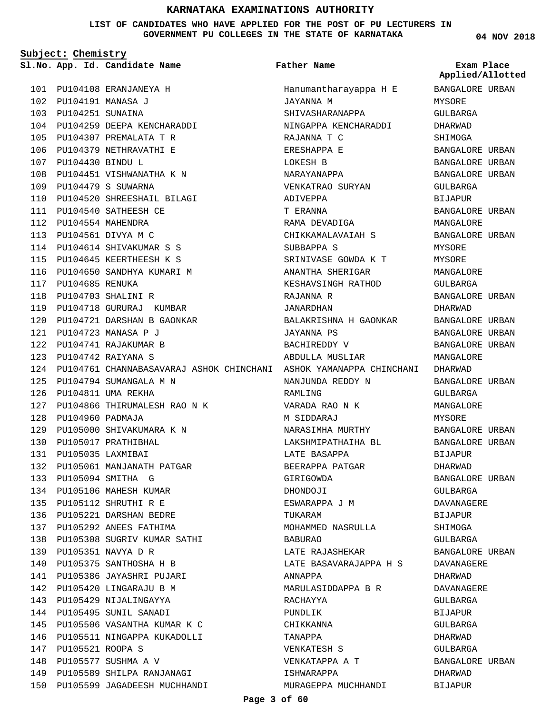**LIST OF CANDIDATES WHO HAVE APPLIED FOR THE POST OF PU LECTURERS IN GOVERNMENT PU COLLEGES IN THE STATE OF KARNATAKA**

**Subject: Chemistry**

PU104108 ERANJANEYA H 101 PU104191 MANASA J 102 PU104251 SUNAINA 103 PU104259 DEEPA KENCHARADDI 104 PU104307 PREMALATA T R 105 106 PU104379 NETHRAVATHI E PU104430 BINDU L 107 108 PU104451 VISHWANATHA K N PU104479 S SUWARNA 109 PU104520 SHREESHAIL BILAGI 110 **App. Id. Candidate Name Sl.No. Exam Place**

111 PU104540 SATHEESH CE PU104554 MAHENDRA 112 PU104561 DIVYA M C 113

117 PU104685 RENUKA PU104703 SHALINI R 118

114 PU104614 SHIVAKUMAR S S PU104645 KEERTHEESH K S 115 116 PU104650 SANDHYA KUMARI M

119 PU104718 GURURAJ KUMBAR PU104721 DARSHAN B GAONKAR 120

PU104723 MANASA P J 121 PU104741 RAJAKUMAR B 122 PU104742 RAIYANA S 123

PU104794 SUMANGALA M N 125 PU104811 UMA REKHA 126

PU105000 SHIVAKUMARA K N 129

PU105061 MANJANATH PATGAR 132

PU105308 SUGRIV KUMAR SATHI 138

PU105506 VASANTHA KUMAR K C 145 146 PU105511 NINGAPPA KUKADOLLI

PU105589 SHILPA RANJANAGI 149 PU105599 JAGADEESH MUCHHANDI 150

PU104960 PADMAJA 128

PU105017 PRATHIBHAL 130 PU105035 LAXMIBAI 131

PU105094 SMITHA G 133 134 PU105106 MAHESH KUMAR PU105112 SHRUTHI R E 135 PU105221 DARSHAN BEDRE 136 PU105292 ANEES FATHIMA 137

PU105351 NAVYA D R 139 PU105375 SANTHOSHA H B 140 PU105386 JAYASHRI PUJARI 141 142 PU105420 LINGARAJU B M 143 PU105429 NIJALINGAYYA 144 PU105495 SUNIL SANADI

PU105521 ROOPA S 147 148 PU105577 SUSHMA A V

PU104866 THIRUMALESH RAO N K 127

**Father Name**

124 PU104761 CHANNABASAVARAJ ASHOK CHINCHANI ASHOK YAMANAPPA CHINCHANI DHARWAD Hanumantharayappa H E JAYANNA M SHIVASHARANAPPA NINGAPPA KENCHARADDI RAJANNA T C ERESHAPPA E LOKESH B NARAYANAPPA VENKATRAO SURYAN ADIVEPPA T ERANNA RAMA DEVADIGA CHIKKAMALAVAIAH S SUBBAPPA S SRINIVASE GOWDA K T ANANTHA SHERIGAR KESHAVSINGH RATHOD RAJANNA R JANARDHAN BALAKRISHNA H GAONKAR JAYANNA PS BACHIREDDY V ABDULLA MUSLIAR NANJUNDA REDDY N RAMLING VARADA RAO N K M SIDDARAJ NARASIMHA MURTHY LAKSHMIPATHAIHA BL LATE BASAPPA BEERAPPA PATGAR GIRIGOWDA DHONDOJI ESWARAPPA J M TIIK AR AM MOHAMMED NASRULLA BABURAO LATE RAJASHEKAR LATE BASAVARAJAPPA H S ANNAPPA MARULASIDDAPPA B R RACHAYYA PUNDLIK CHIKKANNA TANAPPA VENKATESH S VENKATAPPA A T ISHWARAPPA MURAGEPPA MUCHHANDI

**04 NOV 2018**

BANGALORE URBAN MYSORE GULBARGA DHARWAD SHIMOGA BANGALORE URBAN BANGALORE URBAN BANGALORE URBAN GULBARGA BIJAPUR BANGALORE URBAN MANGALORE BANGALORE URBAN MYSORE MYSORE MANGALORE GULBARGA BANGALORE URBAN DHARWAD BANGALORE URBAN BANGALORE URBAN BANGALORE URBAN MANGALORE BANGALORE URBAN GULBARGA MANGALORE MYSORE BANGALORE URBAN BANGALORE URBAN BIJAPUR DHARWAD BANGALORE URBAN GULBARGA DAVANAGERE BIJAPUR SHIMOGA GULBARGA BANGALORE URBAN DAVANAGERE DHARWAD DAVANAGERE GULBARGA **BIJAPUR** GULBARGA DHARWAD GULBARGA BANGALORE URBAN DHARWAD BIJAPUR **Applied/Allotted**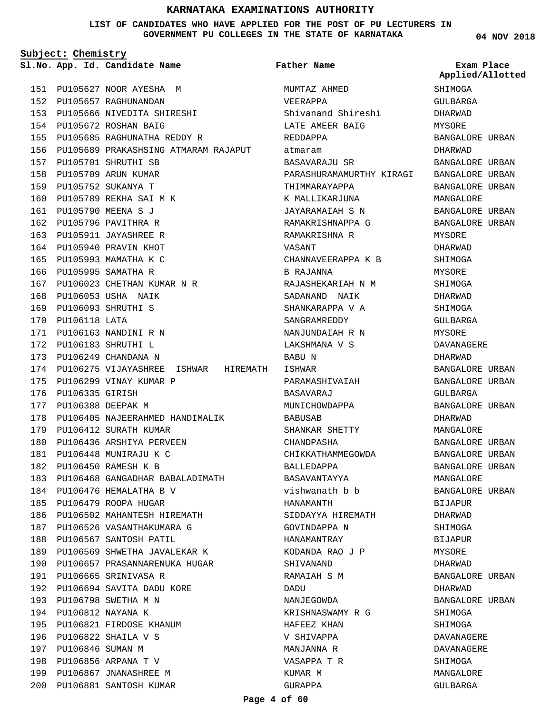#### **LIST OF CANDIDATES WHO HAVE APPLIED FOR THE POST OF PU LECTURERS IN GOVERNMENT PU COLLEGES IN THE STATE OF KARNATAKA**

**Subject: Chemistry**

**App. Id. Candidate Name Sl.No. Exam Place**

PU105627 NOOR AYESHA M 151 PU105657 RAGHUNANDAN 152 PU105666 NIVEDITA SHIRESHI 153 PU105672 ROSHAN BAIG 154 PU105685 RAGHUNATHA REDDY R 155 PU105689 PRAKASHSING ATMARAM RAJAPUT 156 PU105701 SHRUTHI SB 157 PU105709 ARUN KUMAR 158 PU105752 SUKANYA T 159 160 PU105789 REKHA SAI M K PU105790 MEENA S J 161 PU105796 PAVITHRA R 162 PU105911 JAYASHREE R 163 164 PU105940 PRAVIN KHOT 165 PU105993 MAMATHA K C 166 PU105995 SAMATHA R PU106023 CHETHAN KUMAR N R 167 PU106053 USHA NAIK 168 PU106093 SHRUTHI S 169 170 PU106118 LATA PU106163 NANDINI R N 171 PU106183 SHRUTHI L 172 PU106249 CHANDANA N 173 174 PU106275 VIJAYASHREE ISHWAR HIREMATH ISHWAR 175 PU106299 VINAY KUMAR P 176 PU106335 GIRISH 177 PU106388 DEEPAK M 178 PU106405 NAJEERAHMED HANDIMALIK 179 PU106412 SURATH KUMAR 180 PU106436 ARSHIYA PERVEEN PU106448 MUNIRAJU K C 181 PU106450 RAMESH K B 182 183 PU106468 GANGADHAR BABALADIMATH 184 PU106476 HEMALATHA B V PU106479 ROOPA HUGAR 185 PU106502 MAHANTESH HIREMATH 186 187 PU106526 VASANTHAKUMARA G 188 PU106567 SANTOSH PATIL 189 PU106569 SHWETHA JAVALEKAR K 190 PU106657 PRASANNARENUKA HUGAR PU106665 SRINIVASA R 191 PU106694 SAVITA DADU KORE 192 PU106798 SWETHA M N 193 PU106812 NAYANA K 194 PU106821 FIRDOSE KHANUM 195 PU106822 SHAILA V S 196 197 PU106846 SUMAN M PU106856 ARPANA T V 198 199 PU106867 JNANASHREE M

PU106881 SANTOSH KUMAR 200

MUMTAZ AHMED VEERAPPA Shivanand Shireshi LATE AMEER BAIG REDDAPPA atmaram BASAVARAJU SR PARASHURAMAMURTHY KIRAGI THIMMARAYAPPA K MALLIKARJUNA JAYARAMAIAH S N RAMAKRISHNAPPA G RAMAKRISHNA R VASANT CHANNAVEERAPPA K B B RAJANNA RAJASHEKARIAH N M SADANAND NAIK SHANKARAPPA V A SANGRAMREDDY NANJUNDAIAH R N LAKSHMANA V S BABU N PARAMASHIVAIAH BASAVARAJ MUNICHOWDAPPA BABUSAB SHANKAR SHETTY CHANDPASHA CHIKKATHAMMEGOWDA BALLEDAPPA BASAVANTAYYA vishwanath b b HANAMANTH SIDDAYYA HIREMATH GOVINDAPPA N HANAMANTRAY KODANDA RAO J P SHIVANAND RAMAIAH S M DADU NANJEGOWDA KRISHNASWAMY R G HAFEEZ KHAN V SHIVAPPA MANJANNA R VASAPPA T R KUMAR M GURAPPA **Father Name**

**04 NOV 2018**

**SHIMOGA** GULBARGA DHARWAD MYSORE BANGALORE URBAN DHARWAD BANGALORE URBAN BANGALORE URBAN BANGALORE URBAN MANGALORE BANGALORE URBAN BANGALORE URBAN MYSORE DHARWAD SHIMOGA MYSORE SHIMOGA DHARWAD SHIMOGA GULBARGA MYSORE DAVANAGERE DHARWAD BANGALORE URBAN BANGALORE URBAN GULBARGA BANGALORE URBAN DHARWAD MANGALORE BANGALORE URBAN BANGALORE URBAN BANGALORE URBAN MANGALORE BANGALORE URBAN BIJAPUR DHARWAD SHIMOGA BIJAPUR MYSORE DHARWAD BANGALORE URBAN DHARWAD BANGALORE URBAN SHIMOGA **SHIMOGA** DAVANAGERE DAVANAGERE SHIMOGA MANGALORE GULBARGA **Applied/Allotted**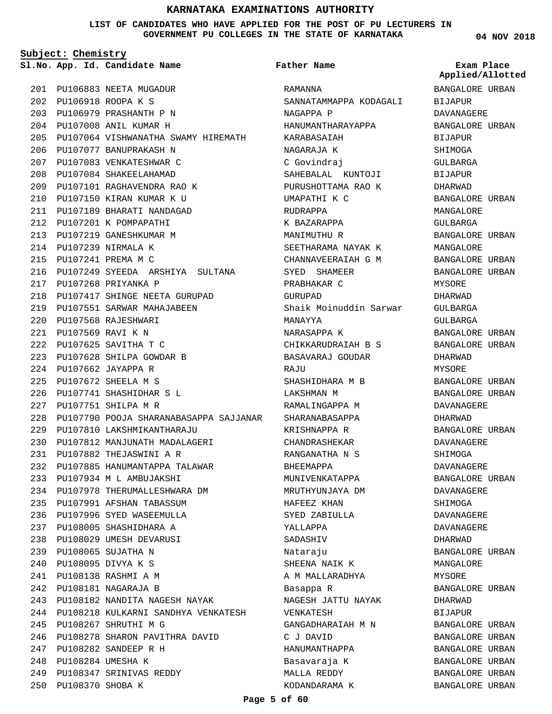**LIST OF CANDIDATES WHO HAVE APPLIED FOR THE POST OF PU LECTURERS IN GOVERNMENT PU COLLEGES IN THE STATE OF KARNATAKA**

**Father Name**

**Subject: Chemistry**

**App. Id. Candidate Name Sl.No. Exam Place**

PU106883 NEETA MUGADUR 201 PU106918 ROOPA K S 202 PU106979 PRASHANTH P N 203 PU107008 ANIL KUMAR H 204 PU107064 VISHWANATHA SWAMY HIREMATH 205 PU107077 BANUPRAKASH N 206 PU107083 VENKATESHWAR C 207 PU107084 SHAKEELAHAMAD 208 PU107101 RAGHAVENDRA RAO K 209 PU107150 KIRAN KUMAR K U 210 PU107189 BHARATI NANDAGAD 211 212 PU107201 K POMPAPATHI PU107219 GANESHKUMAR M 213 PU107239 NIRMALA K 214 PU107241 PREMA M C 215 PU107249 SYEEDA ARSHIYA SULTANA 216 PU107268 PRIYANKA P 217 PU107417 SHINGE NEETA GURUPAD 218 PU107551 SARWAR MAHAJABEEN 219 PU107568 RAJESHWARI 220 PU107569 RAVI K N 221 PU107625 SAVITHA T C 222 PU107628 SHILPA GOWDAR B 223 PU107662 JAYAPPA R 224 PU107672 SHEELA M S 225 PU107741 SHASHIDHAR S L 226 PU107751 SHILPA M R 227 PU107790 POOJA SHARANABASAPPA SAJJANAR 228 PU107810 LAKSHMIKANTHARAJU 229 PU107812 MANJUNATH MADALAGERI 230 PU107882 THEJASWINI A R 231 232 PU107885 HANUMANTAPPA TALAWAR PU107934 M L AMBUJAKSHI 233 PU107978 THERUMALLESHWARA DM 234 PU107991 AFSHAN TABASSUM 235 PU107996 SYED WASEEMULLA 236 PU108005 SHASHIDHARA A 237 PU108029 UMESH DEVARUSI 238 PU108065 SUJATHA N 239 PU108095 DIVYA K S 240 PU108138 RASHMI A M 241 PU108181 NAGARAJA B 242 PU108182 NANDITA NAGESH NAYAK 243 PU108218 KULKARNI SANDHYA VENKATESH 244 PU108267 SHRUTHI M G 245 246 PU108278 SHARON PAVITHRA DAVID PU108282 SANDEEP R H 247 PU108284 UMESHA K 248 PU108347 SRINIVAS REDDY 249 PU108370 SHOBA K 250

RAMANNA SANNATAMMAPPA KODAGALI NAGAPPA P HANUMANTHARAYAPPA KARABASAIAH NAGARAJA K C Govindraj SAHEBALAL KUNTOJI PURUSHOTTAMA RAO K UMAPATHI K C RUDRAPPA K BAZARAPPA MANIMUTHU R SEETHARAMA NAYAK K CHANNAVEERAIAH G M SYED SHAMEER PRABHAKAR C GURUPAD Shaik Moinuddin Sarwar MANAYYA NARASAPPA K CHIKKARUDRAIAH B S BASAVARAJ GOUDAR RAJU SHASHIDHARA M B LAKSHMAN M RAMALINGAPPA M SHARANABASAPPA KRISHNAPPA R CHANDRASHEKAR RANGANATHA N S BHEEMAPPA MUNIVENKATAPPA MRUTHYUNJAYA DM HAFEEZ KHAN SYED ZABIULLA YALLAPPA SADASHIV Nataraju SHEENA NAIK K A M MALLARADHYA Basappa R NAGESH JATTU NAYAK VENKATESH GANGADHARAIAH M N C J DAVID HANUMANTHAPPA Basavaraja K MALLA REDDY

**04 NOV 2018**

BANGALORE URBAN BIJAPUR DAVANAGERE BANGALORE URBAN BIJAPUR SHIMOGA GULBARGA BIJAPUR DHARWAD BANGALORE URBAN MANGALORE GULBARGA BANGALORE URBAN MANGALORE BANGALORE URBAN BANGALORE URBAN MYSORE DHARWAD GULBARGA CIII.RARCA BANGALORE URBAN BANGALORE URBAN DHARWAD MYSORE BANGALORE URBAN BANGALORE URBAN DAVANAGERE DHARWAD BANGALORE URBAN DAVANAGERE SHIMOGA DAVANAGERE BANGALORE URBAN DAVANAGERE SHIMOGA DAVANAGERE DAVANAGERE DHARWAD BANGALORE URBAN MANGALORE MYSORE BANGALORE URBAN DHARWAD BIJAPUR BANGALORE URBAN BANGALORE URBAN BANGALORE URBAN BANGALORE URBAN BANGALORE URBAN BANGALORE URBAN **Applied/Allotted**

**Page 5 of 60**

KODANDARAMA K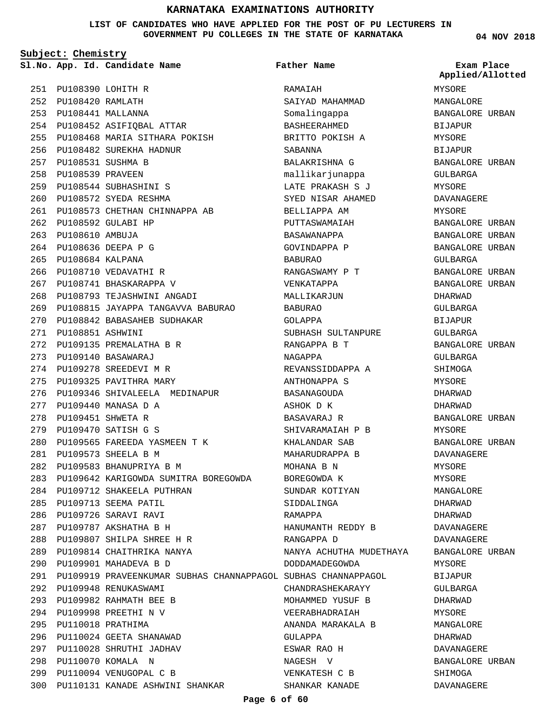**LIST OF CANDIDATES WHO HAVE APPLIED FOR THE POST OF PU LECTURERS IN GOVERNMENT PU COLLEGES IN THE STATE OF KARNATAKA**

**Father Name**

**Subject: Chemistry** PU108390 LOHITH R 251 PU108420 RAMLATH 252 PU108441 MALLANNA 253 PU108452 ASIFIQBAL ATTAR 254 PU108468 MARIA SITHARA POKISH 255 PU108482 SUREKHA HADNUR 256 PU108531 SUSHMA B 257 258 PU108539 PRAVEEN PU108544 SUBHASHINI S 259 PU108572 SYEDA RESHMA 260 PU108573 CHETHAN CHINNAPPA AB 261 PU108592 GULABI HP 262 PU108610 AMBUJA 263 PU108636 DEEPA P G 264 PU108684 KALPANA 265 266 PU108710 VEDAVATHI R 267 PU108741 BHASKARAPPA V PU108793 TEJASHWINI ANGADI 268 PU108815 JAYAPPA TANGAVVA BABURAO 269 PU108842 BABASAHEB SUDHAKAR 270 PU108851 ASHWINI 271 PU109135 PREMALATHA B R 272 PU109140 BASAWARAJ 273 274 PU109278 SREEDEVI M R 275 PU109325 PAVITHRA MARY PU109440 MANASA D A 277 PU109451 SHWETA R 278 PU109470 SATISH G S 279 PU109565 FAREEDA YASMEEN T K 280 **App. Id. Candidate Name Sl.No. Exam Place**

276 PU109346 SHIVALEELA MEDINAPUR PU109573 SHEELA B M 281 PU109583 BHANUPRIYA B M 282 PU109642 KARIGOWDA SUMITRA BOREGOWDA 283 PU109712 SHAKEELA PUTHRAN 284 PU109713 SEEMA PATIL 285 PU109726 SARAVI RAVI 286 PU109787 AKSHATHA B H 287 PU109807 SHILPA SHREE H R 288 PU109814 CHAITHRIKA NANYA 289 PU109901 MAHADEVA B D 290 PU109919 PRAVEENKUMAR SUBHAS CHANNAPPAGOL SUBHAS CHANNAPPAGOL 291 PU109948 RENUKASWAMI 292 PU109982 RAHMATH BEE B 293 PU109998 PREETHI N V 294 PU110018 PRATHIMA 295 296 PU110024 GEETA SHANAWAD PU110028 SHRUTHI JADHAV 297 PU110070 KOMALA N 298 PU110094 VENUGOPAL C B 299 300 PU110131 KANADE ASHWINI SHANKAR

RAMAIAH SAIYAD MAHAMMAD Somalingappa BASHEERAHMED BRITTO POKISH A SABANNA BALAKRISHNA G mallikarjunappa LATE PRAKASH S J SYED NISAR AHAMED BELLIAPPA AM PUTTASWAMAIAH BASAWANAPPA GOVINDAPPA P BABURAO RANGASWAMY P T VENKATAPPA MALLIKARJUN BABURAO GOLAPPA SUBHASH SULTANPURE RANGAPPA B T NAGAPPA REVANSSIDDAPPA A ANTHONAPPA S BASANAGOUDA ASHOK D K BASAVARAJ R SHIVARAMAIAH P B KHALANDAR SAB MAHARUDRAPPA B MOHANA B N BOREGOWDA K SUNDAR KOTIYAN SIDDALINGA RAMAPPA HANUMANTH REDDY B RANGAPPA D NANYA ACHUTHA MUDETHAYA DODDAMADEGOWDA CHANDRASHEKARAYY MOHAMMED YUSUF B VEERABHADRAIAH ANANDA MARAKALA B GULAPPA ESWAR RAO H NAGESH V VENKATESH C B SHANKAR KANADE

**04 NOV 2018**

MYSORE MANGALORE BANGALORE URBAN BIJAPUR MYSORE **BIJAPUR** BANGALORE URBAN GULBARGA MYSORE DAVANAGERE MYSORE BANGALORE URBAN BANGALORE URBAN BANGALORE URBAN GULBARGA BANGALORE URBAN BANGALORE URBAN DHARWAD GULBARGA BIJAPUR GULBARGA BANGALORE URBAN GULBARGA SHIMOGA MYSORE DHARWAD DHARWAD BANGALORE URBAN MYSORE BANGALORE URBAN DAVANAGERE MYSORE MYSORE MANGALORE DHARWAD DHARWAD DAVANAGERE DAVANAGERE BANGALORE URBAN MYSORE BIJAPUR GULBARGA DHARWAD **MYSORE** MANGALORE DHARWAD DAVANAGERE BANGALORE URBAN SHIMOGA DAVANAGERE **Applied/Allotted**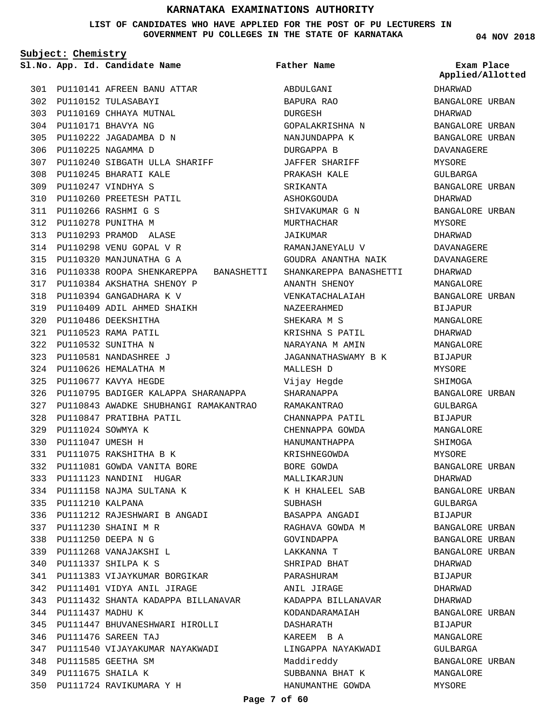**LIST OF CANDIDATES WHO HAVE APPLIED FOR THE POST OF PU LECTURERS IN GOVERNMENT PU COLLEGES IN THE STATE OF KARNATAKA**

**Subject: Chemistry**

**App. Id. Candidate Name Sl.No. Exam Place**

**Father Name**

PU110141 AFREEN BANU ATTAR 301 PU110152 TULASABAYI 302 303 PU110169 CHHAYA MUTNAL PU110171 BHAVYA NG 304 PU110222 JAGADAMBA D N 305 PU110225 NAGAMMA D 306 PU110240 SIBGATH ULLA SHARIFF 307 PU110245 BHARATI KALE 308 PU110247 VINDHYA S 309 PU110260 PREETESH PATIL 310 PU110266 RASHMI G S 311 PU110278 PUNITHA M 312 PU110293 PRAMOD ALASE 313 PU110298 VENU GOPAL V R 314 PU110320 MANJUNATHA G A 315 PU110338 ROOPA SHENKAREPPA BANASHETTI 316 PU110384 AKSHATHA SHENOY P 317 PU110394 GANGADHARA K V 318 PU110409 ADIL AHMED SHAIKH 319 PU110486 DEEKSHITHA 320 PU110523 RAMA PATIL 321 PU110532 SUNITHA N 322 PU110581 NANDASHREE J 323 PU110626 HEMALATHA M 324 PU110677 KAVYA HEGDE 325 PU110795 BADIGER KALAPPA SHARANAPPA 326 PU110843 AWADKE SHUBHANGI RAMAKANTRAO 327 PU110847 PRATIBHA PATIL 328 PU111024 SOWMYA K 329 PU111047 UMESH H 330 PU111075 RAKSHITHA B K 331 PU111081 GOWDA VANITA BORE 332 333 PU111123 NANDINI HUGAR PU111158 NAJMA SULTANA K 334 335 PU111210 KALPANA PU111212 RAJESHWARI B ANGADI 336 PU111230 SHAINI M R 337 PU111250 DEEPA N G 338 PU111268 VANAJAKSHI L 339 PU111337 SHILPA K S 340 PU111383 VIJAYKUMAR BORGIKAR 341 PU111401 VIDYA ANIL JIRAGE 342 PU111432 SHANTA KADAPPA BILLANAVAR 343 344 PU111437 MADHU K PU111447 BHUVANESHWARI HIROLLI 345 PU111476 SAREEN TAJ 346 347 PU111540 VIJAYAKUMAR NAYAKWADI PU111585 GEETHA SM 348 PU111675 SHAILA K 349 PU111724 RAVIKUMARA Y H 350

ABDULGANI BAPURA RAO DURGESH GOPALAKRISHNA N NANJUNDAPPA K DURGAPPA B JAFFER SHARIFF PRAKASH KALE **SRIKANTA** ASHOKGOUDA SHIVAKUMAR G N MURTHACHAR JAIKUMAR RAMANJANEYALU V GOUDRA ANANTHA NAIK SHANKAREPPA BANASHETTI ANANTH SHENOY VENKATACHALAIAH NAZEERAHMED SHEKARA M S KRISHNA S PATIL NARAYANA M AMIN JAGANNATHASWAMY B K MALLESH D Vijay Hegde SHARANAPPA RAMAKANTRAO CHANNAPPA PATIL CHENNAPPA GOWDA HANUMANTHAPPA KRISHNEGOWDA BORE GOWDA MALLIKARJUN K H KHALEEL SAB SUBHASH BASAPPA ANGADI RAGHAVA GOWDA M GOVINDAPPA LAKKANNA T SHRIPAD BHAT PARASHURAM ANIL JIRAGE KADAPPA BILLANAVAR KODANDARAMAIAH DASHARATH KAREEM B A LINGAPPA NAYAKWADI Maddireddy SUBBANNA BHAT K HANUMANTHE GOWDA

**04 NOV 2018**

DHARWAD BANGALORE URBAN DHARWAD BANGALORE URBAN BANGALORE URBAN DAVANAGERE MYSORE GULBARGA BANGALORE URBAN DHARWAD BANGALORE URBAN MYSORE DHARWAD DAVANAGERE DAVANAGERE DHARWAD MANGALORE BANGALORE URBAN BIJAPUR MANGALORE DHARWAD MANGALORE BIJAPUR MYSORE SHIMOGA BANGALORE URBAN GULBARGA BIJAPUR MANGALORE SHIMOGA MYSORE BANGALORE URBAN DHARWAD BANGALORE URBAN GULBARGA BIJAPUR BANGALORE URBAN BANGALORE URBAN BANGALORE URBAN DHARWAD **BIJAPUR** DHARWAD DHARWAD BANGALORE URBAN BIJAPUR MANGALORE GULBARGA BANGALORE URBAN MANGALORE MYSORE **Applied/Allotted**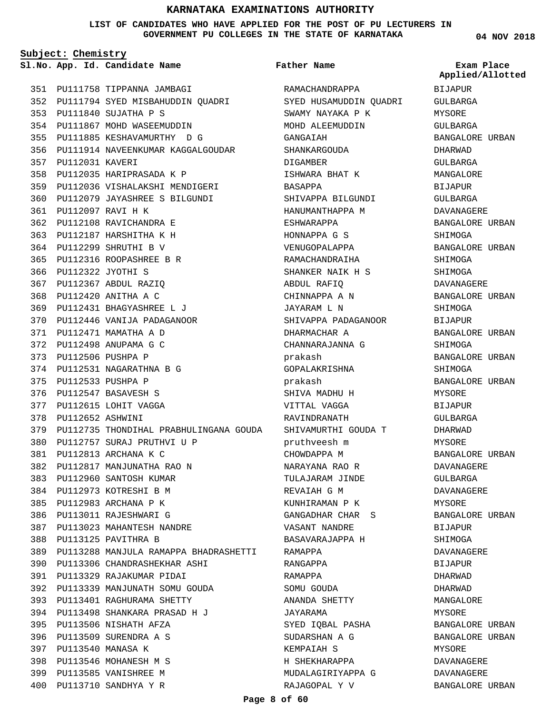**LIST OF CANDIDATES WHO HAVE APPLIED FOR THE POST OF PU LECTURERS IN GOVERNMENT PU COLLEGES IN THE STATE OF KARNATAKA**

**Subject: Chemistry**

**App. Id. Candidate Name Sl.No. Exam Place**

PU111758 TIPPANNA JAMBAGI 351 352 PU111794 SYED MISBAHUDDIN QUADRI PU111840 SUJATHA P S 353 354 PU111867 MOHD WASEEMUDDIN PU111885 KESHAVAMURTHY D G 355 356 PU111914 NAVEENKUMAR KAGGALGOUDAR 357 PU112031 KAVERI PU112035 HARIPRASADA K P 358 PU112036 VISHALAKSHI MENDIGERI 359 PU112079 JAYASHREE S BILGUNDI 360 PU112097 RAVI H K 361 PU112108 RAVICHANDRA E 362 PU112187 HARSHITHA K H 363 PU112299 SHRUTHI B V 364 PU112316 ROOPASHREE B R 365 PU112322 JYOTHI S 366 PU112367 ABDUL RAZIQ 367 PU112420 ANITHA A C 368 PU112431 BHAGYASHREE L J 369 PU112446 VANIJA PADAGANOOR 370 PU112471 MAMATHA A D 371 PU112498 ANUPAMA G C 372 PU112506 PUSHPA P 373 PU112531 NAGARATHNA B G 374 PU112533 PUSHPA P 375 PU112547 BASAVESH S 376 377 PU112615 LOHIT VAGGA PU112652 ASHWINI 378 PU112735 THONDIHAL PRABHULINGANA GOUDA 379 PU112757 SURAJ PRUTHVI U P 380 PU112813 ARCHANA K C 381 PU112817 MANJUNATHA RAO N 382 383 PU112960 SANTOSH KUMAR 384 PU112973 KOTRESHI B M PU112983 ARCHANA P K 385 386 PU113011 RAJESHWARI G PU113023 MAHANTESH NANDRE 387 PU113125 PAVITHRA B 388 PU113288 MANJULA RAMAPPA BHADRASHETTI 389 PU113306 CHANDRASHEKHAR ASHI 390 PU113329 RAJAKUMAR PIDAI 391 PU113339 MANJUNATH SOMU GOUDA 392 PU113401 RAGHURAMA SHETTY 393 PU113498 SHANKARA PRASAD H J 394 395 PU113506 NISHATH AFZA PU113509 SURENDRA A S 396 PU113540 MANASA K 397 PU113546 MOHANESH M S 398 PU113585 VANISHREE M 399

PU113710 SANDHYA Y R 400

RAMACHANDRAPPA SYED HUSAMUDDIN QUADRI SWAMY NAYAKA P K MOHD ALEEMUDDIN GANGAIAH SHANKARGOUDA DIGAMBER ISHWARA BHAT K BASAPPA SHIVAPPA BILGUNDI HANUMANTHAPPA M ESHWARAPPA HONNAPPA G S VENUGOPALAPPA RAMACHANDRAIHA SHANKER NAIK H S ABDUL RAFIQ CHINNAPPA A N JAYARAM L N SHIVAPPA PADAGANOOR DHARMACHAR A CHANNARAJANNA G prakash GOPALAKRISHNA prakash SHIVA MADHU H VITTAL VAGGA RAVINDRANATH SHIVAMURTHI GOUDA T pruthveesh m CHOWDAPPA M NARAYANA RAO R TULAJARAM JINDE REVAIAH G M KUNHIRAMAN P K GANGADHAR CHAR S VASANT NANDRE BASAVARAJAPPA H RAMAPPA RANGAPPA RAMAPPA SOMU GOUDA ANANDA SHETTY JAYARAMA SYED IQBAL PASHA SUDARSHAN A G KEMPAIAH S H SHEKHARAPPA MUDALAGIRIYAPPA G **Father Name**

**04 NOV 2018**

BIJAPUR GULBARGA MYSORE GULBARGA BANGALORE URBAN DHARWAD GULBARGA MANGALORE **BIJAPUR** GULBARGA DAVANAGERE BANGALORE URBAN SHIMOGA BANGALORE URBAN SHIMOGA SHIMOGA DAVANAGERE BANGALORE URBAN SHIMOGA BIJAPUR BANGALORE URBAN SHIMOGA BANGALORE URBAN SHIMOGA BANGALORE URBAN MYSORE BIJAPUR GULBARGA DHARWAD MYSORE BANGALORE URBAN DAVANAGERE GULBARGA DAVANAGERE MYSORE BANGALORE URBAN BIJAPUR SHIMOGA DAVANAGERE BIJAPUR DHARWAD DHARWAD MANGALORE **MYSORE** BANGALORE URBAN BANGALORE URBAN MYSORE DAVANAGERE DAVANAGERE BANGALORE URBAN **Applied/Allotted**

RAJAGOPAL Y V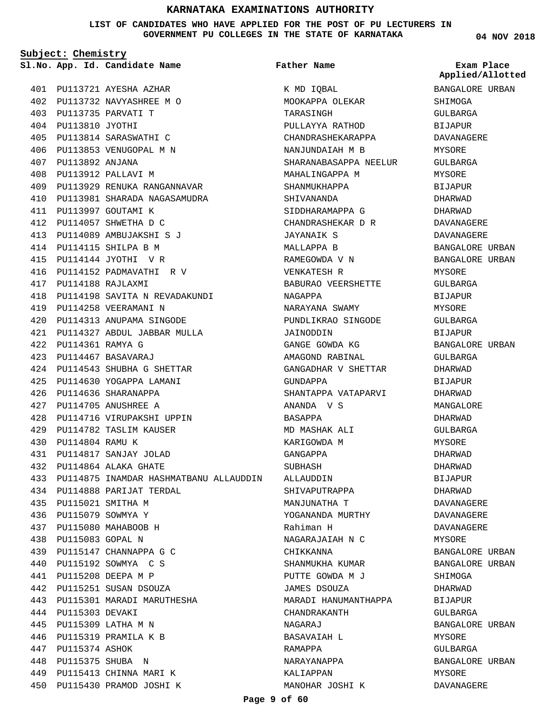**LIST OF CANDIDATES WHO HAVE APPLIED FOR THE POST OF PU LECTURERS IN GOVERNMENT PU COLLEGES IN THE STATE OF KARNATAKA**

**Subject: Chemistry**

PU113721 AYESHA AZHAR 401 PU113732 NAVYASHREE M O 402 PU113735 PARVATI T 403 PU113810 JYOTHI 404 PU113814 SARASWATHI C 405 PU113853 VENUGOPAL M N 406 PU113892 ANJANA 407 PU113912 PALLAVI M 408 PU113929 RENUKA RANGANNAVAR 409 PU113981 SHARADA NAGASAMUDRA 410 PU113997 GOUTAMI K 411 PU114057 SHWETHA D C 412 PU114089 AMBUJAKSHI S J 413 PU114115 SHILPA B M 414 PU114144 JYOTHI V R 415 PU114152 PADMAVATHI R V 416 PU114188 RAJLAXMI 417 PU114198 SAVITA N REVADAKUNDI 418 PU114258 VEERAMANI N 419 PU114313 ANUPAMA SINGODE 420 PU114327 ABDUL JABBAR MULLA 421 PU114361 RAMYA G 422 PU114467 BASAVARAJ 423 PU114543 SHUBHA G SHETTAR 424 PU114630 YOGAPPA LAMANI 425 PU114636 SHARANAPPA 426 PU114705 ANUSHREE A 427 428 PU114716 VIRUPAKSHI UPPIN PU114782 TASLIM KAUSER 429 PU114804 RAMU K 430 PU114817 SANJAY JOLAD 431 PU114864 ALAKA GHATE 432 PU114875 INAMDAR HASHMATBANU ALLAUDDIN 433 PU114888 PARIJAT TERDAL 434 PU115021 SMITHA M 435 PU115079 SOWMYA Y 436 PU115080 MAHABOOB H 437 PU115083 GOPAL N 438 PU115147 CHANNAPPA G C 439 PU115192 SOWMYA C S 440 PU115208 DEEPA M P 441 442 PU115251 SUSAN DSOUZA PU115301 MARADI MARUTHESHA 443 444 PU115303 DEVAKI PU115309 LATHA M N 445 PU115319 PRAMILA K B 446 447 PU115374 ASHOK PU115375 SHUBA N 448 449 PU115413 CHINNA MARI K PU115430 PRAMOD JOSHI K 450

#### **App. Id. Candidate Name Sl.No. Exam Place Father Name**

K MD IQBAL MOOKAPPA OLEKAR TARASINGH PULLAYYA RATHOD CHANDRASHEKARAPPA NANJUNDAIAH M B SHARANABASAPPA NEELUR MAHALINGAPPA M SHANMUKHAPPA SHIVANANDA SIDDHARAMAPPA G CHANDRASHEKAR D R JAYANAIK S MALLAPPA B RAMEGOWDA V N VENKATESH R BABURAO VEERSHETTE NAGAPPA NARAYANA SWAMY PUNDLIKRAO SINGODE JAINODDIN GANGE GOWDA KG AMAGOND RABINAL GANGADHAR V SHETTAR GUNDAPPA SHANTAPPA VATAPARVI ANANDA V S BASAPPA MD MASHAK ALI KARIGOWDA M GANGAPPA SUBHASH ALLAUDDIN SHIVAPUTRAPPA MANJUNATHA T YOGANANDA MURTHY Rahiman H NAGARAJAIAH N C CHIKKANNA SHANMUKHA KUMAR PUTTE GOWDA M J JAMES DSOUZA MARADI HANUMANTHAPPA CHANDRAKANTH NAGARAJ BASAVAIAH L RAMAPPA NARAYANAPPA KALIAPPAN MANOHAR JOSHI K **04 NOV 2018**

**Applied/Allotted**

## BANGALORE URBAN SHIMOGA GULBARGA BIJAPUR DAVANAGERE MYSORE GULBARGA MYSORE **BIJAPUR** DHARWAD DHARWAD DAVANAGERE DAVANAGERE BANGALORE URBAN BANGALORE URBAN MYSORE GULBARGA **BIJAPUR** MYSORE GULBARGA BIJAPUR BANGALORE URBAN GULBARGA DHARWAD BIJAPUR DHARWAD MANGALOR**E** DHARWAD GULBARGA MYSORE DHARWAD DHARWAD BIJAPUR DHARWAD DAVANAGERE DAVANAGERE DAVANAGERE MYSORE BANGALORE URBAN BANGALORE URBAN SHIMOGA DHARWAD BIJAPUR GULBARGA BANGALORE URBAN MYSORE GULBARGA BANGALORE URBAN MYSORE

DAVANAGERE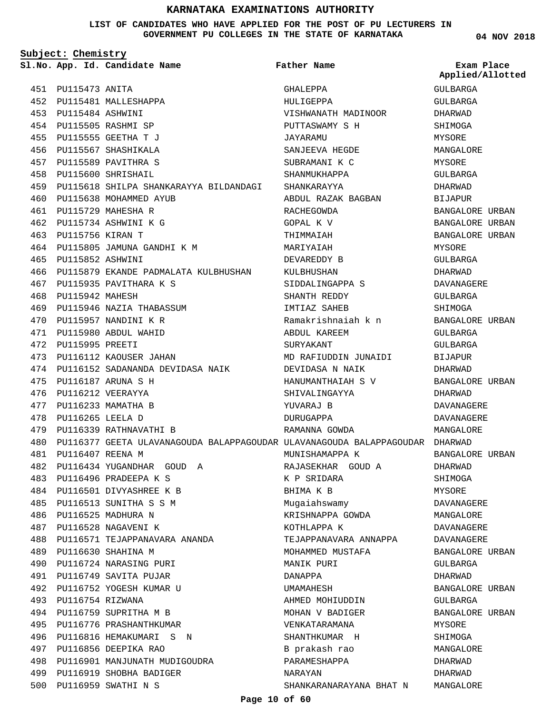**LIST OF CANDIDATES WHO HAVE APPLIED FOR THE POST OF PU LECTURERS IN GOVERNMENT PU COLLEGES IN THE STATE OF KARNATAKA**

**Subject: Chemistry**

PU115473 ANITA 451

**App. Id. Candidate Name Sl.No. Exam Place**

**Father Name**

BANGALORE URBAN BANGALORE URBAN **Applied/Allotted**

| 452 |                      | PU115481 MALLESHAPPA                      |
|-----|----------------------|-------------------------------------------|
| 453 | PU115484 ASHWINI     |                                           |
|     |                      | 454 PU115505 RASHMI SP                    |
|     |                      | 455 PU115555 GEETHA T J                   |
|     |                      | 456 PU115567 SHASHIKALA                   |
| 457 |                      | PU115589 PAVITHRA S                       |
| 458 |                      | PU115600 SHRISHAIL                        |
| 459 |                      | PU115618 SHILPA SHANKARAYYA BILDANDAGI    |
| 460 |                      | PU115638 MOHAMMED AYUB                    |
| 461 |                      | PU115729 MAHESHA R                        |
| 462 |                      | PU115734 ASHWINI K G                      |
|     | 463 PU115756 KIRAN T |                                           |
| 464 |                      | PU115805 JAMUNA GANDHI K M                |
| 465 | PU115852 ASHWINI     |                                           |
| 466 |                      | PU115879 EKANDE PADMALATA KULBHUSHAN      |
| 467 |                      | PU115935 PAVITHARA K S                    |
| 468 | PU115942 MAHESH      |                                           |
| 469 |                      | PU115946 NAZIA THABASSUM                  |
| 470 |                      | PU115957 NANDINI K R                      |
|     |                      | 471 PU115980 ABDUL WAHID                  |
| 472 | PU115995 PREETI      |                                           |
| 473 |                      | PU116112 KAOUSER JAHAN                    |
| 474 |                      | PU116152 SADANANDA DEVIDASA NAIK          |
| 475 |                      | PU116187 ARUNA S H                        |
| 476 |                      | PU116212 VEERAYYA                         |
| 477 |                      | PU116233 MAMATHA B                        |
| 478 | PU116265 LEELA D     |                                           |
|     |                      | 479 PU116339 RATHNAVATHI B                |
| 480 |                      | PU116377 GEETA ULAVANAGOUDA BALAPPAGOUDAR |
| 481 | PU116407 REENA M     |                                           |
| 482 |                      | PU116434 YUGANDHAR GOUD<br>Α              |
|     |                      | 483 PU116496 PRADEEPA K S                 |
|     |                      | 484 PU116501 DIVYASHREE K B               |
| 485 |                      | PU116513 SUNITHA S S M                    |
|     |                      | 486 PU116525 MADHURA N                    |
|     |                      | 487 PU116528 NAGAVENI K                   |
|     |                      | 488 PU116571 TEJAPPANAVARA ANANDA         |
|     |                      | 489 PU116630 SHAHINA M                    |
|     |                      | 490 PU116724 NARASING PURI                |
|     |                      | 491 PU116749 SAVITA PUJAR                 |
|     |                      | 492 PU116752 YOGESH KUMAR U               |
|     | 493 PU116754 RIZWANA |                                           |
|     |                      | 494 PU116759 SUPRITHA M B                 |
|     |                      | 495 PU116776 PRASHANTHKUMAR               |
| 496 |                      | PU116816 HEMAKUMARI S<br>N                |
| 497 |                      | PU116856 DEEPIKA RAO                      |
|     |                      | 498 PU116901 MANJUNATH MUDIGOUDRA         |
|     |                      | 499 PU116919 SHOBHA BADIGER               |
|     |                      | 500 PU116959 SWATHI N S                   |

GHALEPPA HULIGEPPA VISHWANATH MADINOOR PUTTASWAMY S H JAYARAMU SANJEEVA HEGDE SUBRAMANI K C SHANMUKHAPPA SHANKARAYYA ABDUL RAZAK BAGBAN RACHEGOWDA GOPAL K V THIMMAIAH MARIYAIAH DEVAREDDY B KULBHUSHAN SIDDALINGAPPA S SHANTH REDDY IMTIAZ SAHEB Ramakrishnaiah k n ABDUL KAREEM SURYAKANT MD RAFIUDDIN JUNAIDI DEVIDASA N NAIK HANUMANTHAIAH S V SHIVALINGAYYA YUVARAJ B DURUGAPPA RAMANNA GOWDA ULAVANAGOUDA BALAPPAGOUDAR DHARWAD MUNISHAMAPPA K RAJASEKHAR GOUD A K P SRIDARA BHIMA K B Mugaiahswamy KRISHNAPPA GOWDA KOTHLAPPA K TEJAPPANAVARA ANNAPPA MOHAMMED MUSTAFA MANIK PURI DANAPPA UMAMAHESH AHMED MOHIUDDIN MOHAN V BADIGER VENKATARAMANA SHANTHKUMAR H B prakash rao PARAMESHAPPA NARAYAN SHANKARANARAYANA BHAT N GULBARGA GULBARGA DHARWAD SHIMOGA MYSORE MANGALORE MYSORE GULBARGA DHARWAD BIJAPUR BANGALORE URBAN MYSORE GULBARGA DHARWAD DAVANAGERE GULBARGA SHIMOGA BANGALORE URBAN GULBARGA GULBARGA BIJAPUR DHARWAD BANGALORE URBAN DHARWAD DAVANAGERE DAVANAGERE MANGALORE BANGALORE URBAN DHARWAD SHIMOGA MYSORE DAVANAGERE MANGALORE DAVANAGERE DAVANAGERE BANGALORE URBAN GULBARGA DHARWAD BANGALORE URBAN GULBARGA BANGALORE URBAN MYSORE SHIMOGA MANGALORE DHARWAD DHARWAD MANGALORE

**04 NOV 2018**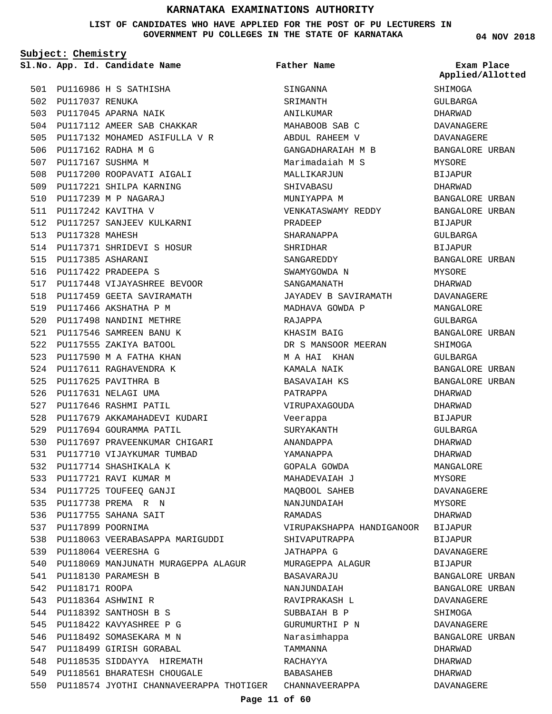**LIST OF CANDIDATES WHO HAVE APPLIED FOR THE POST OF PU LECTURERS IN GOVERNMENT PU COLLEGES IN THE STATE OF KARNATAKA**

**Subject: Chemistry**

PU116986 H S SATHISHA 501 502 PU117037 RENUKA 503 PU117045 APARNA NAIK PU117112 AMEER SAB CHAKKAR 504 505 PU117132 MOHAMED ASIFULLA V R 506 PU117162 RADHA M G 507 PU117167 SUSHMA M 508 PU117200 ROOPAVATI AIGALI 509 PU117221 SHILPA KARNING PU117239 M P NAGARAJ 510 PU117242 KAVITHA V 511 512 PU117257 SANJEEV KULKARNI 513 PU117328 MAHESH 514 PU117371 SHRIDEVI S HOSUR PU117385 ASHARANI 515 PU117422 PRADEEPA S 516 PU117448 VIJAYASHREE BEVOOR 517 518 PU117459 GEETA SAVIRAMATH 519 PU117466 AKSHATHA P M 520 PU117498 NANDINI METHRE PU117546 SAMREEN BANU K 521 522 PU117555 ZAKIYA BATOOL PU117590 M A FATHA KHAN 523 524 PU117611 RAGHAVENDRA K 525 PU117625 PAVITHRA B 526 PU117631 NELAGI UMA 527 PU117646 RASHMI PATIL 528 PU117679 AKKAMAHADEVI KUDARI 529 PU117694 GOURAMMA PATIL 530 PU117697 PRAVEENKUMAR CHIGARI 531 PU117710 VIJAYKUMAR TUMBAD 532 PU117714 SHASHIKALA K 533 PU117721 RAVI KUMAR M 534 PU117725 TOUFEEQ GANJI PU117738 PREMA R N 535 536 PU117755 SAHANA SAIT 537 PU117899 POORNIMA 538 PU118063 VEERABASAPPA MARIGUDDI PU118064 VEERESHA G 539 540 PU118069 MANJUNATH MURAGEPPA ALAGUR PU118130 PARAMESH B 541 542 PU118171 ROOPA PU118364 ASHWINI R 543 544 PU118392 SANTHOSH B S PU118422 KAVYASHREE P G 545 546 PU118492 SOMASEKARA M N 547 PU118499 GIRISH GORABAL 548 PU118535 SIDDAYYA HIREMATH PU118561 BHARATESH CHOUGALE 549 550 PU118574 JYOTHI CHANNAVEERAPPA THOTIGER CHANNAVEERAPPA

**App. Id. Candidate Name Sl.No. Exam Place** SINGANNA SRIMANTH ANILKUMAR MAHABOOB SAB C ABDUL RAHEEM V GANGADHARAIAH M B Marimadaiah M S MALLIKARJUN **SHIVARASU** MUNIYAPPA M VENKATASWAMY REDDY PRADEEP SHARANAPPA SHRIDHAR SANGAREDDY SWAMYGOWDA N SANGAMANATH JAYADEV B SAVIRAMATH MADHAVA GOWDA P RAJAPPA KHASIM BAIG DR S MANSOOR MEERAN M A HAI KHAN KAMALA NAIK BASAVAIAH KS PATRAPPA VIRUPAXAGOUDA Veerappa SURYAKANTH ANANDAPPA YAMANAPPA GOPALA GOWDA MAHADEVAIAH J MAQBOOL SAHEB NANJUNDAIAH RAMADAS VIRUPAKSHAPPA HANDIGANOOR BIJAPUR SHIVAPUTRAPPA JATHAPPA G MURAGEPPA ALAGUR BASAVARAJU NANJUNDAIAH RAVIPRAKASH L SUBBATAH B P GURUMURTHI P N Narasimhappa TAMMANNA RACHAYYA BABASAHEB **Father Name**

**04 NOV 2018**

**SHIMOGA** GULBARGA DHARWAD DAVANAGERE DAVANAGERE BANGALORE URBAN MYSORE BIJAPUR DHARWAD BANGALORE URBAN BANGALORE URBAN BIJAPUR GULBARGA BIJAPUR BANGALORE URBAN MYSORE DHARWAD DAVANAGERE MANGALORE GULBARGA BANGALORE URBAN SHIMOGA GULBARGA BANGALORE URBAN BANGALORE URBAN DHARWAD DHARWAD BIJAPUR GULBARGA DHARWAD DHARWAD MANGALORE MYSORE DAVANAGERE MYSORE DHARWAD BIJAPUR DAVANAGERE BIJAPUR BANGALORE URBAN BANGALORE URBAN DAVANAGERE SHIMOGA DAVANAGERE BANGALORE URBAN DHARWAD DHARWAD DHARWAD DAVANAGERE **Applied/Allotted**

#### **Page 11 of 60**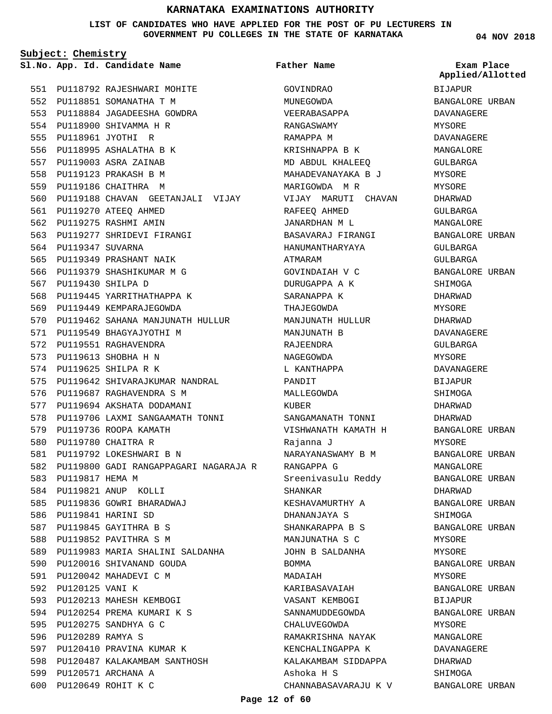**LIST OF CANDIDATES WHO HAVE APPLIED FOR THE POST OF PU LECTURERS IN GOVERNMENT PU COLLEGES IN THE STATE OF KARNATAKA**

**Subject: Chemistry**

**App. Id. Candidate Name Sl.No. Exam Place**

554 PU118900 SHIVAMMA H R PU118961 JYOTHI R 555 556 PU118995 ASHALATHA B K PU119003 ASRA ZAINAB 557 PU119123 PRAKASH B M 558 559 PU119186 CHAITHRA M

PU119270 ATEEQ AHMED 561 562 PU119275 RASHMI AMIN

564 PU119347 SUVARNA

PU119430 SHILPA D 567

563 PU119277 SHRIDEVI FIRANGI

568 PU119445 YARRITHATHAPPA K 569 PU119449 KEMPARAJEGOWDA

571 PU119549 BHAGYAJYOTHI M 572 PU119551 RAGHAVENDRA PU119613 SHOBHA H N 573 574 PU119625 SHILPA R K

576 PU119687 RAGHAVENDRA S M 577 PU119694 AKSHATA DODAMANI

579 PU119736 ROOPA KAMATH 580 PU119780 CHAITRA R

PU119821 ANUP KOLLI 584 PU119836 GOWRI BHARADWAJ 585

586 PU119841 HARINI SD 587 PU119845 GAYITHRA B S 588 PU119852 PAVITHRA S M

583 PU119817 HEMA M

592 PU120125 VANI K

PU119792 LOKESHWARI B N 581

570 PU119462 SAHANA MANJUNATH HULLUR

575 PU119642 SHIVARAJKUMAR NANDRAL

578 PU119706 LAXMI SANGAAMATH TONNI

589 PU119983 MARIA SHALINI SALDANHA

590 PU120016 SHIVANAND GOUDA 591 PU120042 MAHADEVI C M

593 PU120213 MAHESH KEMBOGI PU120254 PREMA KUMARI K S 594

597 PU120410 PRAVINA KUMAR K PU120487 KALAKAMBAM SANTHOSH 598

PU120275 SANDHYA G C 595 596 PU120289 RAMYA S

599 PU120571 ARCHANA A PU120649 ROHIT K C 600

PU119800 GADI RANGAPPAGARI NAGARAJA R 582

565 PU119349 PRASHANT NAIK 566 PU119379 SHASHIKUMAR M G

PU118792 RAJESHWARI MOHITE 551 552 PU118851 SOMANATHA T M PU118884 JAGADEESHA GOWDRA 553

560 PU119188 CHAVAN GEETANJALI VIJAY

```
Father Name
```
GOVINDRAO MUNEGOWDA VEERABASAPPA RANGASWAMY RAMAPPA M

RAFEEQ AHMED JANARDHAN M L

SARANAPPA K THAJEGOWDA

MANJUNATH B RAJEENDRA NAGEGOWDA L KANTHAPPA

PANDIT MALLEGOWDA

KURER

Rajanna J

RANGAPPA G

DHANANJAYA S

CHALUVEGOWDA

Ashoka H S

SHANKAR

BOMMA MADAIAH

ATMARAM

KRISHNAPPA B K MD ABDUL KHALEEQ MAHADEVANAYAKA B J MARIGOWDA M R VIJAY MARUTI CHAVAN BASAVARAJ FIRANGI HANUMANTHARYAYA GOVINDAIAH V C DURUGAPPA A K MANJUNATH HULLUR SANGAMANATH TONNI VISHWANATH KAMATH H NARAYANASWAMY B M Sreenivasulu Reddy KESHAVAMURTHY A SHANKARAPPA B S MANJUNATHA S C JOHN B SALDANHA KARIBASAVAIAH VASANT KEMBOGI SANNAMUDDEGOWDA RAMAKRISHNA NAYAK KENCHALINGAPPA K KALAKAMBAM SIDDAPPA CHANNABASAVARAJU K V BIJAPUR BANGALORE URBAN DAVANAGERE MYSORE DAVANAGERE MANGALORE GULBARGA MYSORE MYSORE DHARWAD GULBARGA MANGALORE BANGALORE URBAN GULBARGA GULBARGA BANGALORE URBAN SHIMOGA DHARWAD MYSORE DHARWAD DAVANAGERE GULBARGA MYSORE DAVANAGERE BIJAPUR SHIMOGA DHARWAD DHARWAD BANGALORE URBAN MYSORE BANGALORE URBAN MANGALORE BANGALORE URBAN DHARWAD BANGALORE URBAN **SHIMOGA** BANGALORE URBAN MYSORE MYSORE BANGALORE URBAN MYSORE BANGALORE URBAN BIJAPUR BANGALORE URBAN MYSORE MANGALORE DAVANAGERE DHARWAD SHIMOGA BANGALORE URBAN **Applied/Allotted**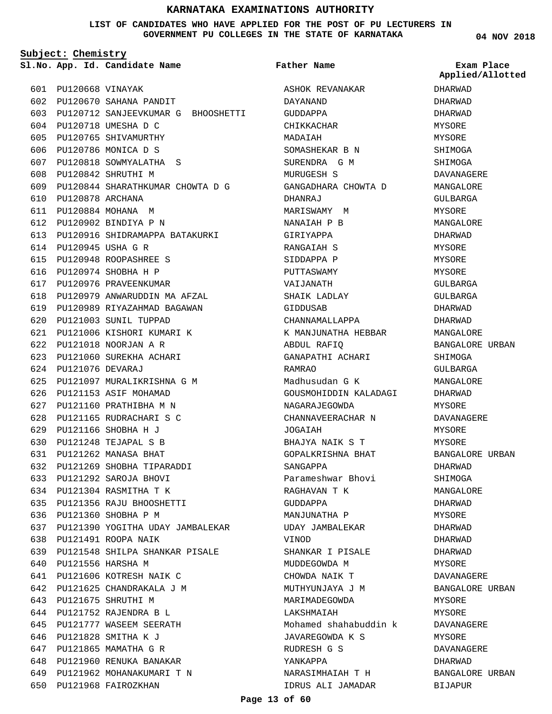#### **LIST OF CANDIDATES WHO HAVE APPLIED FOR THE POST OF PU LECTURERS IN GOVERNMENT PU COLLEGES IN THE STATE OF KARNATAKA**

**Father Name**

**Subject: Chemistry**

**App. Id. Candidate Name Sl.No. Exam Place**

650 PU121968 FAIROZKHAN

**04 NOV 2018**

| 601 | PU120668 VINAYAK      |                                                  | ASE             |
|-----|-----------------------|--------------------------------------------------|-----------------|
| 602 |                       | PU120670 SAHANA PANDIT                           | <b>DAY</b>      |
| 603 |                       | PU120712 SANJEEVKUMAR G BHOOSHETTI               | GUL             |
|     |                       | 604 PU120718 UMESHA D C                          | CH <sub>1</sub> |
| 605 |                       | PU120765 SHIVAMURTHY                             | MAL             |
| 606 |                       | PU120786 MONICA D S                              | SON             |
| 607 |                       | PU120818 SOWMYALATHA S                           |                 |
| 608 |                       | PU120842 SHRUTHI M                               | SUF<br>MUF      |
| 609 |                       | PU120844 SHARATHKUMAR CHOWTA D G                 |                 |
| 610 | PU120878 ARCHANA      |                                                  | GAN             |
| 611 |                       | PU120884 MOHANA M                                | DHA             |
|     |                       |                                                  | MAF             |
|     |                       | 612 PU120902 BINDIYA P N                         | NAN             |
| 614 |                       | 613 PU120916 SHIDRAMAPPA BATAKURKI               | GIF             |
| 615 |                       | PU120945 USHA G R                                | RAN             |
|     |                       | PU120948 ROOPASHREE S<br>616 PU120974 SHOBHA H P | SIL             |
|     |                       |                                                  | PUT             |
|     |                       | 617 PU120976 PRAVEENKUMAR                        | VAI             |
| 618 |                       | PU120979 ANWARUDDIN MA AFZAL                     | SHA             |
| 619 |                       | PU120989 RIYAZAHMAD BAGAWAN                      | GIL             |
| 620 |                       | PU121003 SUNIL TUPPAD                            | CHA             |
| 621 |                       | PU121006 KISHORI KUMARI K                        | K N             |
| 622 |                       | PU121018 NOORJAN A R                             | ABL             |
| 623 |                       | PU121060 SUREKHA ACHARI                          | GAN             |
|     | 624 PU121076 DEVARAJ  |                                                  | RAM             |
| 625 |                       | PU121097 MURALIKRISHNA G M                       | Mac             |
| 626 |                       | PU121153 ASIF MOHAMAD                            | GOU             |
| 627 |                       | PU121160 PRATHIBHA M N                           | NAG             |
| 628 |                       | PU121165 RUDRACHARI S C                          | CHA             |
|     |                       | 629 PU121166 SHOBHA H J                          | JOG             |
| 630 |                       | PU121248 TEJAPAL S B                             | BHA             |
| 631 |                       | PU121262 MANASA BHAT                             | GOE             |
| 632 |                       | PU121269 SHOBHA TIPARADDI                        | SAN             |
|     |                       | 633 PU121292 SAROJA BHOVI                        | Par             |
|     |                       | 634 PU121304 RASMITHA T K                        | <b>RAG</b>      |
|     |                       | 635 PU121356 RAJU BHOOSHETTI                     | GUI             |
|     |                       | 636 PU121360 SHOBHA P M                          | MAN             |
|     |                       | 637 PU121390 YOGITHA UDAY JAMBALEKAR             | <b>UDA</b>      |
|     |                       | 638 PU121491 ROOPA NAIK                          | ΛIΙ             |
|     |                       | 639 PU121548 SHILPA SHANKAR PISALE               | SHA             |
|     | 640 PU121556 HARSHA M |                                                  | MUL             |
|     |                       | 641 PU121606 KOTRESH NAIK C                      | <b>CHC</b>      |
|     |                       | 642 PU121625 CHANDRAKALA J M                     | NUT             |
|     |                       | 643 PU121675 SHRUTHI M                           | MAF             |
|     |                       | 644 PU121752 RAJENDRA B L                        | LAK             |
|     |                       | 645 PU121777 WASEEM SEERATH                      | Mor             |
|     |                       | 646 PU121828 SMITHA K J                          | JAV             |
|     |                       | 647 PU121865 MAMATHA G R                         | RUL             |
|     |                       | 648 PU121960 RENUKA BANAKAR                      | YAN             |
|     |                       | 649 PU121962 MOHANAKUMARI T N                    | NAF             |

HOK REVANAKAR DAYANAND GUDDAPPA IKKACHAR MADAIAH MASHEKAR B N RENDRA G M MURUGESH S GANGADHARA CHOWTA D DHANRAJ MARISWAMY M NANAIAH P B GIRIYAPPA RANGAIAH S SIDDAPPA P PUTTASWAMY VAIJANATH AIK LADLAY GIDDUSAB CHANNAMALLAPPA K MANJUNATHA HEBBAR ABDUL RAFIQ GANAPATHI ACHARI RAMRAO Madhusudan G K JSMOHIDDIN KALADAGI **GARAJEGOWDA** CHANNAVEERACHAR N HALAH BHAJYA NAIK S T GOPALKRISHNA BHAT SANGAPPA rameshwar Bhovi RAGHAVAN T K GUDDAPPA MANJUNATHA P AY JAMBALEKAR VINOD ANKAR I PISALE MUDDEGOWDA M CHOWDA NAIK T MUTHYUNJAYA J M RIMADEGOWDA LAKSHMAIAH hamed shahabuddin k JAVAREGOWDA K S RUDRESH G S YANKAPPA NARASIMHAIAH T H IDRUS ALI JAMADAR

DHARWAD DHARWAD DHARWAD MYSORE MYSORE SHIMOGA SHIMOGA DAVANAGERE MANGALORE GULBARGA MYSORE MANGALORE DHARWAD MYSORE MYSORE MYSORE GULBARGA GULBARGA DHARWAD DHARWAD MANGALORE BANGALORE URBAN SHIMOGA GULBARGA MANGALORE DHARWAD **MYSORE** DAVANAGERE MYSORE MYSORE BANGALORE URBAN DHARWAD SHIMOGA MANGALORE DHARWAD MYSORE DHARWAD DHARWAD DHARWAD MYSORE DAVANAGERE BANGALORE URBAN MYSORE **MYSORE** DAVANAGERE MYSORE DAVANAGERE DHARWAD **Applied/Allotted**

BANGALORE URBAN

BIJAPUR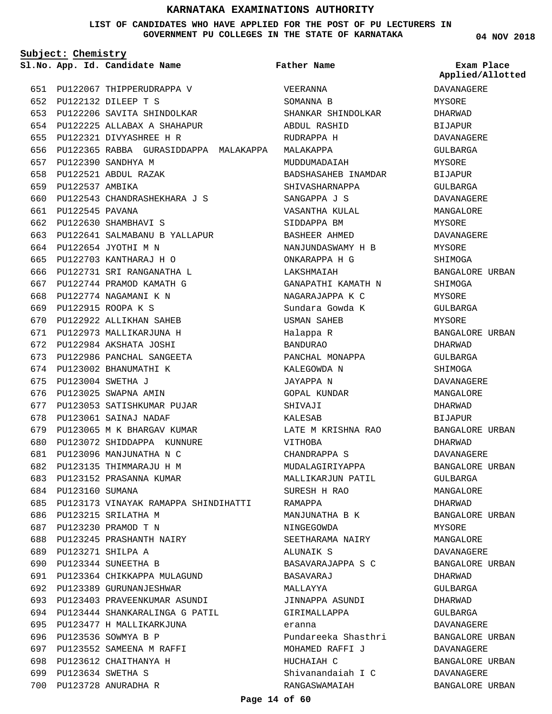**LIST OF CANDIDATES WHO HAVE APPLIED FOR THE POST OF PU LECTURERS IN GOVERNMENT PU COLLEGES IN THE STATE OF KARNATAKA**

**Subject: Chemistry**

**App. Id. Candidate Name Sl.No. Exam Place**

**Father Name**

PU122067 THIPPERUDRAPPA V 651 PU122132 DILEEP T S 652 PU122206 SAVITA SHINDOLKAR 653 PU122225 ALLABAX A SHAHAPUR 654 PU122321 DIVYASHREE H R 655 PU122365 RABBA GURASIDDAPPA MALAKAPPA MALAKAPPA 656 PU122390 SANDHYA M 657 PU122521 ABDUL RAZAK 658 659 PU122537 AMBIKA PU122543 CHANDRASHEKHARA J S 660 PU122545 PAVANA 661 PU122630 SHAMBHAVI S 662 PU122641 SALMABANU B YALLAPUR 663 PU122654 JYOTHI M N 664 PU122703 KANTHARAJ H O 665 PU122731 SRI RANGANATHA L PU122744 PRAMOD KAMATH G 667 668 PU122774 NAGAMANI K N PU122915 ROOPA K S 669 PU122922 ALLIKHAN SAHEB 670 PU122973 MALLIKARJUNA H 671 PU122984 AKSHATA JOSHI 672 PU122986 PANCHAL SANGEETA 673 674 PU123002 BHANUMATHI K PU123004 SWETHA J 675 676 PU123025 SWAPNA AMIN 677 PU123053 SATISHKUMAR PUJAR 678 PU123061 SAINAJ NADAF 679 PU123065 M K BHARGAV KUMAR PU123072 SHIDDAPPA KUNNURE 680 PU123096 MANJUNATHA N C 681 PU123135 THIMMARAJU H M 682 PU123152 PRASANNA KUMAR 683 684 PU123160 SUMANA PU123173 VINAYAK RAMAPPA SHINDIHATTI 685 686 PU123215 SRILATHA M PU123230 PRAMOD T N 687 PU123245 PRASHANTH NAIRY 688 PU123271 SHILPA A 689 PU123344 SUNEETHA B 690 PU123364 CHIKKAPPA MULAGUND 691 692 PU123389 GURUNANJESHWAR PU123403 PRAVEENKUMAR ASUNDI 693 PU123444 SHANKARALINGA G PATIL 694 PU123477 H MALLIKARKJUNA 695 696 PU123536 SOWMYA B P 697 PU123552 SAMEENA M RAFFI 698 PU123612 CHAITHANYA H PU123634 SWETHA S 699 PU123728 ANURADHA R 700 666

VEERANNA SOMANNA B SHANKAR SHINDOLKAR ABDUL RASHID RUDRAPPA H MUDDUMADAIAH BADSHASAHEB INAMDAR SHIVASHARNAPPA SANGAPPA J S VASANTHA KULAL SIDDAPPA BM BASHEER AHMED NANJUNDASWAMY H B ONKARAPPA H G LAKSHMAIAH GANAPATHI KAMATH N NAGARAJAPPA K C Sundara Gowda K USMAN SAHEB Halappa R BANDURAO PANCHAL MONAPPA KALEGOWDA N JAYAPPA N GOPAL KUNDAR SHIVAJI KALESAB LATE M KRISHNA RAO VITHOBA CHANDRAPPA S MUDALAGIRIYAPPA MALLIKARJUN PATIL SURESH H RAO RAMAPPA MANJUNATHA B K NINGEGOWDA SEETHARAMA NAIRY ALUNAIK S BASAVARAJAPPA S C BASAVARAJ MALLAYYA JINNAPPA ASUNDI GIRIMALLAPPA eranna Pundareeka Shasthri MOHAMED RAFFI J HUCHAIAH C Shivanandaiah I C RANGASWAMAIAH

**04 NOV 2018**

**Applied/Allotted**

DAVANAGERE MYSORE DHARWAD BIJAPUR DAVANAGERE GULBARGA MYSORE BIJAPUR GULBARGA DAVANAGERE MANGALORE MYSORE DAVANAGERE MYSORE SHIMOGA BANGALORE URBAN SHIMOGA MYSORE GULBARGA MYSORE BANGALORE URBAN DHARWAD GULBARGA SHIMOGA DAVANAGERE MANGALORE DHARWAD BIJAPUR BANGALORE URBAN DHARWAD DAVANAGERE BANGALORE URBAN GULBARGA MANGALORE DHARWAD BANGALORE URBAN MYSORE MANGALORE DAVANAGERE BANGALORE URBAN DHARWAD GULBARGA DHARWAD GULBARGA DAVANAGERE BANGALORE URBAN DAVANAGERE BANGALORE URBAN DAVANAGERE

BANGALORE URBAN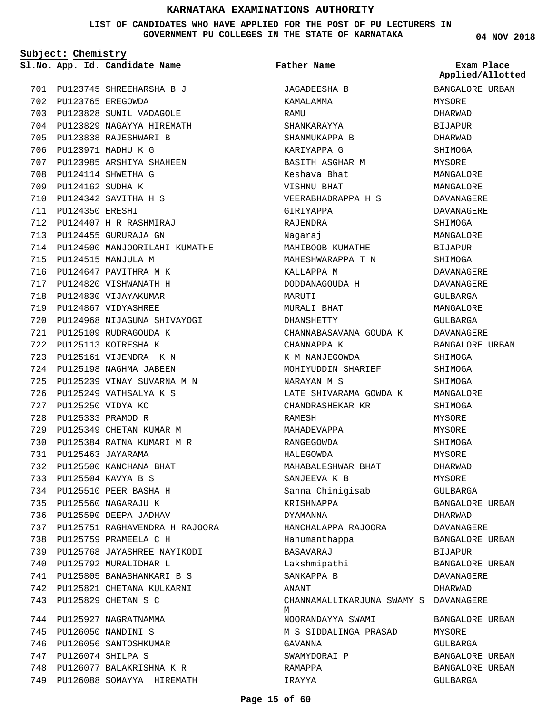**LIST OF CANDIDATES WHO HAVE APPLIED FOR THE POST OF PU LECTURERS IN GOVERNMENT PU COLLEGES IN THE STATE OF KARNATAKA**

**Father Name**

**Subject: Chemistry**

749 PU126088 SOMAYYA HIREMATH

**04 NOV 2018**

|     |                       | Sl.No. App. Id. Candidate Name     | Father Name                                | Exam Place<br>Applied/Allotted |
|-----|-----------------------|------------------------------------|--------------------------------------------|--------------------------------|
|     |                       | 701 PU123745 SHREEHARSHA B J       | JAGADEESHA B                               | BANGALORE URBAN                |
|     |                       | 702 PU123765 EREGOWDA              | KAMALAMMA                                  | MYSORE                         |
|     |                       | 703 PU123828 SUNIL VADAGOLE        | RAMU                                       | DHARWAD                        |
|     |                       | 704 PU123829 NAGAYYA HIREMATH      | SHANKARAYYA                                | <b>BIJAPUR</b>                 |
| 705 |                       | PU123838 RAJESHWARI B              | SHANMUKAPPA B                              | DHARWAD                        |
| 706 |                       | PU123971 MADHU K G                 | KARIYAPPA G                                | SHIMOGA                        |
| 707 |                       | PU123985 ARSHIYA SHAHEEN           | BASITH ASGHAR M                            | MYSORE                         |
| 708 |                       | PU124114 SHWETHA G                 | Keshava Bhat                               | MANGALORE                      |
| 709 | PU124162 SUDHA K      |                                    | VISHNU BHAT                                | MANGALORE                      |
| 710 |                       | PU124342 SAVITHA H S               | VEERABHADRAPPA H S                         | DAVANAGERE                     |
|     | 711 PU124350 ERESHI   |                                    | GIRIYAPPA                                  | DAVANAGERE                     |
|     |                       | 712 PU124407 H R RASHMIRAJ         | RAJENDRA                                   | SHIMOGA                        |
|     |                       | 713 PU124455 GURURAJA GN           | Nagaraj                                    | MANGALORE                      |
|     |                       | 714 PU124500 MANJOORILAHI KUMATHE  | MAHIBOOB KUMATHE                           | <b>BIJAPUR</b>                 |
| 715 |                       | PU124515 MANJULA M                 | MAHESHWARAPPA T N                          | SHIMOGA                        |
| 716 |                       | PU124647 PAVITHRA M K              | KALLAPPA M                                 | DAVANAGERE                     |
| 717 |                       | PU124820 VISHWANATH H              | DODDANAGOUDA H                             | DAVANAGERE                     |
| 718 |                       | PU124830 VIJAYAKUMAR               | MARUTI                                     | GULBARGA                       |
|     |                       | 719 PU124867 VIDYASHREE            | MURALI BHAT                                | MANGALORE                      |
|     |                       | 720 PU124968 NIJAGUNA SHIVAYOGI    | DHANSHETTY                                 | GULBARGA                       |
| 721 |                       | PU125109 RUDRAGOUDA K              | CHANNABASAVANA GOUDA K                     | DAVANAGERE                     |
| 722 |                       | PU125113 KOTRESHA K                | CHANNAPPA K                                | BANGALORE URBAN                |
| 723 |                       | PU125161 VIJENDRA KN               | K M NANJEGOWDA                             | SHIMOGA                        |
|     |                       | 724 PU125198 NAGHMA JABEEN         | MOHIYUDDIN SHARIEF                         | SHIMOGA                        |
| 725 |                       | PU125239 VINAY SUVARNA M N         | NARAYAN M S                                | SHIMOGA                        |
| 726 |                       | PU125249 VATHSALYA K S             | LATE SHIVARAMA GOWDA K                     | MANGALORE                      |
| 727 |                       | PU125250 VIDYA KC                  | CHANDRASHEKAR KR                           | SHIMOGA                        |
| 728 |                       | PU125333 PRAMOD R                  | RAMESH                                     | MYSORE                         |
| 729 |                       | PU125349 CHETAN KUMAR M            | MAHADEVAPPA                                | MYSORE                         |
| 730 |                       | PU125384 RATNA KUMARI M R          | RANGEGOWDA                                 | SHIMOGA                        |
| 731 |                       | PU125463 JAYARAMA                  | HALEGOWDA                                  | MYSORE                         |
|     |                       | 732 PU125500 KANCHANA BHAT         | MAHABALESHWAR BHAT                         | DHARWAD                        |
|     |                       | 733 PU125504 KAVYA B S             | SANJEEVA K B                               | MYSORE                         |
|     |                       | 734 PU125510 PEER BASHA H          | Sanna Chinigisab                           | GULBARGA                       |
| 735 |                       | PU125560 NAGARAJU K                | KRISHNAPPA                                 | BANGALORE URBAN                |
|     |                       | 736 PU125590 DEEPA JADHAV          | DYAMANNA                                   | DHARWAD                        |
|     |                       | 737 PU125751 RAGHAVENDRA H RAJOORA | HANCHALAPPA RAJOORA                        | DAVANAGERE                     |
|     |                       | 738 PU125759 PRAMEELA C H          | Hanumanthappa                              | BANGALORE URBAN                |
|     |                       | 739 PU125768 JAYASHREE NAYIKODI    | BASAVARAJ                                  | BIJAPUR                        |
|     |                       | 740 PU125792 MURALIDHAR L          | Lakshmipathi                               | BANGALORE URBAN                |
|     |                       | 741 PU125805 BANASHANKARI B S      | SANKAPPA B                                 | DAVANAGERE                     |
|     |                       | 742 PU125821 CHETANA KULKARNI      | ANANT                                      | DHARWAD                        |
|     |                       | 743 PU125829 CHETAN S C            | CHANNAMALLIKARJUNA SWAMY S DAVANAGERE<br>M |                                |
|     |                       | 744 PU125927 NAGRATNAMMA           | NOORANDAYYA SWAMI                          | BANGALORE URBAN                |
| 745 |                       | PU126050 NANDINI S                 | M S SIDDALINGA PRASAD                      | MYSORE                         |
| 746 |                       | PU126056 SANTOSHKUMAR              | GAVANNA                                    | GULBARGA                       |
|     | 747 PU126074 SHILPA S |                                    | SWAMYDORAI P                               | BANGALORE URBAN                |
| 748 |                       | PU126077 BALAKRISHNA K R           | RAMAPPA                                    | BANGALORE URBAN                |
|     |                       | 749 PU126088 SOMAYYA HIREMATH      | IRAYYA                                     | GULBARGA                       |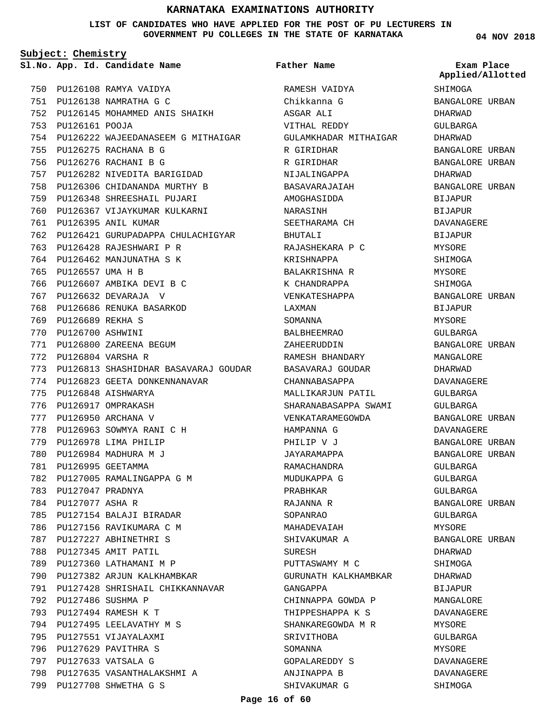#### **LIST OF CANDIDATES WHO HAVE APPLIED FOR THE POST OF PU LECTURERS IN GOVERNMENT PU COLLEGES IN THE STATE OF KARNATAKA**

**Subject: Chemistry**

**App. Id. Candidate Name Sl.No. Exam Place**

750 PU126108 RAMYA VAIDYA PU126138 NAMRATHA G C 751 PU126145 MOHAMMED ANIS SHAIKH 752 PU126161 POOJA 753 754 PU126222 WAJEEDANASEEM G MITHAIGAR PU126275 RACHANA B G 755 PU126276 RACHANI B G 756 PU126282 NIVEDITA BARIGIDAD 757 758 PU126306 CHIDANANDA MURTHY B PU126348 SHREESHAIL PUJARI 759 760 PU126367 VIJAYKUMAR KULKARNI PU126395 ANIL KUMAR 761 762 PU126421 GURUPADAPPA CHULACHIGYAR 763 PU126428 RAJESHWARI P R 764 PU126462 MANJUNATHA S K 765 PU126557 UMA H B 766 PU126607 AMBIKA DEVI B C PU126632 DEVARAJA V 767 PU126686 RENUKA BASARKOD 768 PU126689 REKHA S 769 PU126700 ASHWINI 770 PU126800 ZAREENA BEGUM 771 PU126804 VARSHA R 772 PU126813 SHASHIDHAR BASAVARAJ GOUDAR 773 774 PU126823 GEETA DONKENNANAVAR PU126848 AISHWARYA 775 776 PU126917 OMPRAKASH PU126950 ARCHANA V 777 PU126963 SOWMYA RANI C H 778 779 PU126978 LIMA PHILIP PU126984 MADHURA M J 780 PU126995 GEETAMMA 781 782 PU127005 RAMALINGAPPA G M PU127047 PRADNYA 783 784 PU127077 ASHA R 785 PU127154 BALAJI BIRADAR 786 PU127156 RAVIKUMARA C M 787 PU127227 ABHINETHRI S 788 PU127345 AMIT PATIL 789 PU127360 LATHAMANI M P 790 PU127382 ARJUN KALKHAMBKAR 791 PU127428 SHRISHAIL CHIKKANNAVAR PU127486 SUSHMA P 792 PU127494 RAMESH K T 793 794 PU127495 LEELAVATHY M S 795 PU127551 VIJAYALAXMI 796 PU127629 PAVITHRA S PU127633 VATSALA G 797 798 PU127635 VASANTHALAKSHMI A PU127708 SHWETHA G S 799

RAMESH VAIDYA Chikkanna G ASGAR ALI VITHAL REDDY GULAMKHADAR MITHAIGAR R GIRIDHAR R GIRIDHAR NIJALINGAPPA BASAVARAJAIAH AMOGHASIDDA NARASINH SEETHARAMA CH BHUTALI RAJASHEKARA P C KRISHNAPPA BALAKRISHNA R K CHANDRAPPA VENKATESHAPPA LAXMAN SOMANNIA BALBHEEMRAO ZAHEERUDDIN RAMESH BHANDARY BASAVARAJ GOUDAR CHANNABASAPPA MALLIKARJUN PATIL SHARANABASAPPA SWAMI VENKATARAMEGOWDA HAMPANNA G PHILIP V J JAYARAMAPPA RAMACHANDRA MUDUKAPPA G PRABHKAR RAJANNA R SOPANRAO MAHADEVAIAH SHIVAKUMAR A SURESH PUTTASWAMY M C GURUNATH KALKHAMBKAR GANGAPPA CHINNAPPA GOWDA P THIPPESHAPPA K S SHANKAREGOWDA M R SRIVITHOBA SOMANNA GOPALAREDDY S ANJINAPPA B SHIVAKUMAR G **Father Name**

**04 NOV 2018**

SHIMOGA BANGALORE URBAN DHARWAD GULBARGA DHARWAD BANGALORE URBAN BANGALORE URBAN DHARWAD BANGALORE URBAN BIJAPUR **BIJAPUR** DAVANAGERE BIJAPUR MYSORE SHIMOGA MYSORE SHIMOGA BANGALORE URBAN BIJAPUR MYSORE GULBARGA BANGALORE URBAN MANGALORE DHARWAD DAVANAGERE GULBARGA GULBARGA BANGALORE URBAN DAVANAGERE BANGALORE URBAN BANGALORE URBAN GULBARGA GULBARGA GULBARGA BANGALORE URBAN GULBARGA MYSORE BANGALORE URBAN DHARWAD SHIMOGA DHARWAD BIJAPUR MANGALORE DAVANAGERE **MYSORE** GULBARGA MYSORE DAVANAGERE DAVANAGERE SHIMOGA **Applied/Allotted**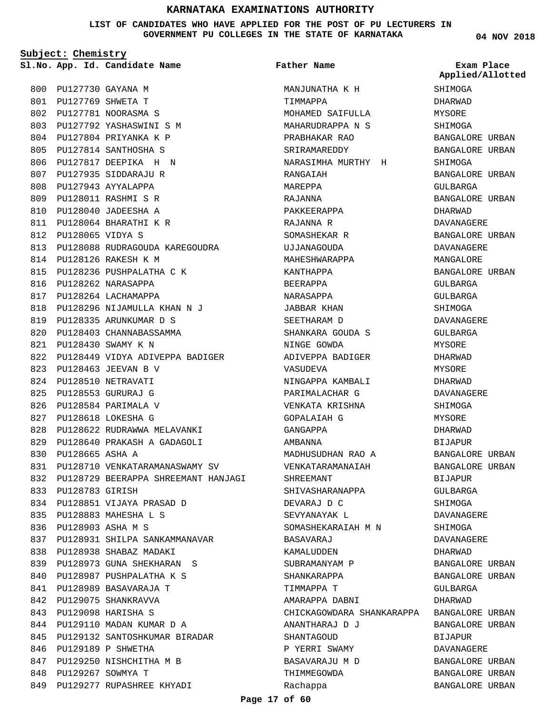**LIST OF CANDIDATES WHO HAVE APPLIED FOR THE POST OF PU LECTURERS IN GOVERNMENT PU COLLEGES IN THE STATE OF KARNATAKA**

**Subject: Chemistry**

PU127730 GAYANA M 800 PU127769 SHWETA T 801 PU127781 NOORASMA S 802 PU127792 YASHASWINI S M 803 PU127804 PRIYANKA K P 804 PU127814 SANTHOSHA S 805 PU127817 DEEPIKA H N 806 807 PU127935 SIDDARAJU R 808 PU127943 AYYALAPPA PU128011 RASHMI S R 809 PU128040 JADEESHA A 810 PU128064 BHARATHI K R 811 PU128065 VIDYA S 812 PU128088 RUDRAGOUDA KAREGOUDRA 813 PU128126 RAKESH K M 814 815 PU128236 PUSHPALATHA C K 816 PU128262 NARASAPPA 817 PU128264 LACHAMAPPA PU128296 NIJAMULLA KHAN N J 818 PU128335 ARUNKUMAR D S 819 820 PU128403 CHANNABASSAMMA PU128430 SWAMY K N 821 822 PU128449 VIDYA ADIVEPPA BADIGER PU128463 JEEVAN B V 823 824 PU128510 NETRAVATI PU128553 GURURAJ G 825 PU128584 PARIMALA V 826 PU128618 LOKESHA G 827 828 PU128622 RUDRAWWA MELAVANKI PU128640 PRAKASH A GADAGOLI 829 PU128665 ASHA A 830 831 PU128710 VENKATARAMANASWAMY SV PU128729 BEERAPPA SHREEMANT HANJAGI 832 PU128783 GIRISH 833 PU128851 VIJAYA PRASAD D 834 PU128883 MAHESHA L S 835 PU128903 ASHA M S 836 837 PU128931 SHILPA SANKAMMANAVAR 838 PU128938 SHABAZ MADAKI PU128973 GUNA SHEKHARAN S 839 840 PU128987 PUSHPALATHA K S 841 PU128989 BASAVARAJA T 842 PU129075 SHANKRAVVA PU129098 HARISHA S 843 844 PU129110 MADAN KUMAR D A 845 PU129132 SANTOSHKUMAR BIRADAR 846 PU129189 P SHWETHA 847 PU129250 NISHCHITHA M B 848 PU129267 SOWMYA T PU129277 RUPASHREE KHYADI 849

**App. Id. Candidate Name Sl.No. Exam Place** MANJUNATHA K H TIMMAPPA MOHAMED SAIFULLA MAHARUDRAPPA N S PRABHAKAR RAO SRIRAMAREDDY NARASIMHA MURTHY H RANGAIAH MAREPPA RAJANNA PAKKEERAPPA RAJANNA R SOMASHEKAR R UJJANAGOUDA MAHESHWARAPPA KANTHAPPA BEERAPPA NARASAPPA JABBAR KHAN SEETHARAM D SHANKARA GOUDA S NINGE GOWDA ADIVEPPA BADIGER VASUDEVA NINGAPPA KAMBALI PARIMALACHAR G VENKATA KRISHNA GOPALAIAH G GANGAPPA AMBANNA MADHUSUDHAN RAO A VENKATARAMANAIAH SHREEMANT SHIVASHARANAPPA DEVARAJ D C SEVYANAYAK L SOMASHEKARAIAH M N BASAVARAJ KAMALUDDEN SUBRAMANYAM P SHANKARAPPA TIMMAPPA T AMARAPPA DABNI CHICKAGOWDARA SHANKARAPPA BANGALORE URBAN ANANTHARAJ DJ **SHANTAGOUD** P YERRI SWAMY BASAVARAJU M D THIMMEGOWDA Rachappa **Father Name**

**04 NOV 2018**

**SHIMOGA** DHARWAD MYSORE SHIMOGA BANGALORE URBAN BANGALORE URBAN SHIMOGA BANGALORE URBAN GULBARGA BANGALORE URBAN DHARWAD DAVANAGERE BANGALORE URBAN DAVANAGERE MANGALORE BANGALORE URBAN GULBARGA GULBARGA **SHIMOGA** DAVANAGERE GULBARGA MYSORE DHARWAD MYSORE DHARWAD DAVANAGERE **SHIMOGA** MYSORE DHARWAD BIJAPUR BANGALORE URBAN BANGALORE URBAN BIJAPUR GULBARGA SHIMOGA DAVANAGERE **SHIMOGA** DAVANAGERE DHARWAD BANGALORE URBAN BANGALORE URBAN GULBARGA DHARWAD BANGALORE URBAN BIJAPUR DAVANAGERE BANGALORE URBAN BANGALORE URBAN BANGALORE URBAN **Applied/Allotted**

#### **Page 17 of 60**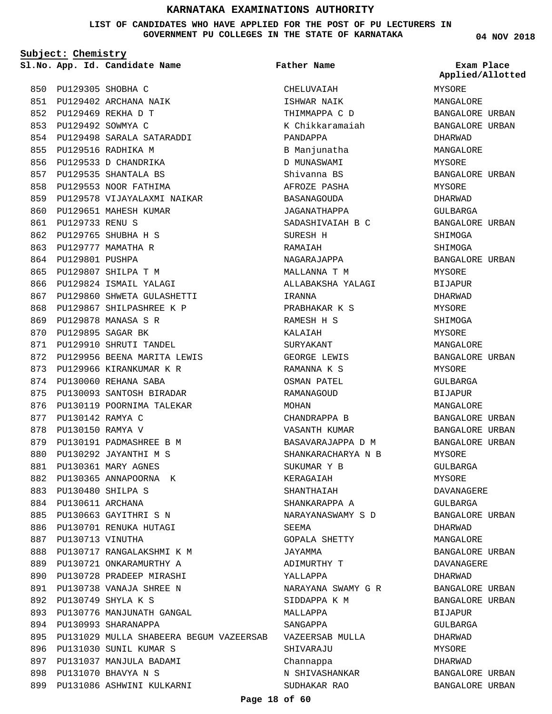**LIST OF CANDIDATES WHO HAVE APPLIED FOR THE POST OF PU LECTURERS IN GOVERNMENT PU COLLEGES IN THE STATE OF KARNATAKA**

**Subject: Chemistry**

**App. Id. Candidate Name Sl.No. Exam Place**

**Father Name**

PU129305 SHOBHA C 850 PU129402 ARCHANA NAIK 851 PU129469 REKHA D T 852 PU129492 SOWMYA C 853 PU129498 SARALA SATARADDI 854 PU129516 RADHIKA M 855 856 PU129533 D CHANDRIKA 857 PU129535 SHANTALA BS 858 PU129553 NOOR FATHIMA PU129578 VIJAYALAXMI NAIKAR 859 860 PU129651 MAHESH KUMAR PU129733 RENU S 861 PU129765 SHUBHA H S 862 863 PU129777 MAMATHA R 864 PU129801 PUSHPA PU129807 SHILPA T M 865 866 PU129824 ISMAIL YALAGI 867 PU129860 SHWETA GULASHETTI 868 PU129867 SHILPASHREE K P PU129878 MANASA S R 869 870 PU129895 SAGAR BK 871 PU129910 SHRUTI TANDEL 872 PU129956 BEENA MARITA LEWIS 873 PU129966 KIRANKUMAR K R 874 PU130060 REHANA SABA PU130093 SANTOSH BIRADAR 875 876 PU130119 POORNIMA TALEKAR PU130142 RAMYA C 877 878 PU130150 RAMYA V 879 PU130191 PADMASHREE B M PU130292 JAYANTHI M S 880 PU130361 MARY AGNES 881 882 PU130365 ANNAPOORNA K PU130480 SHILPA S 883 884 PU130611 ARCHANA 885 PU130663 GAYITHRI S N 886 PU130701 RENUKA HUTAGI 887 PU130713 VINUTHA PU130717 RANGALAKSHMI K M 888 889 PU130721 ONKARAMURTHY A 890 PU130728 PRADEEP MIRASHI PU130738 VANAJA SHREE N 891 PU130749 SHYLA K S 892 893 PU130776 MANJUNATH GANGAL 894 PU130993 SHARANAPPA PU131029 MULLA SHABEERA BEGUM VAZEERSAB 895 PU131030 SUNIL KUMAR S 896 897 PU131037 MANJULA BADAMI PU131070 BHAVYA N S 898 PU131086 ASHWINI KULKARNI 899

CHELUVAIAH ISHWAR NAIK THIMMAPPA C D K Chikkaramaiah PANDAPPA B Manjunatha D MUNASWAMI Shivanna BS AFROZE PASHA BASANAGOUDA JAGANATHAPPA SADASHIVAIAH B C SURESH H RAMAIAH NAGARAJAPPA MALLANNA T M ALLABAKSHA YALAGI IRANNA PRABHAKAR K S RAMESH H S KALAIAH SURYAKANT GEORGE LEWIS RAMANNA K S OSMAN PATEL RAMANAGOUD MOHAN CHANDRAPPA B VASANTH KUMAR BASAVARAJAPPA D M SHANKARACHARYA N B SUKUMAR Y B KERAGAIAH SHANTHAIAH SHANKARAPPA A NARAYANASWAMY S D **SEEMA** GOPALA SHETTY JAYAMMA ADIMURTHY T YALLAPPA NARAYANA SWAMY G R SIDDAPPA K M MALLAPPA SANGAPPA VAZEERSAB MULLA SHIVARAJU Channappa N SHIVASHANKAR SUDHAKAR RAO

**04 NOV 2018**

MYSORE MANGALORE BANGALORE URBAN BANGALORE URBAN DHARWAD MANGALORE MYSORE BANGALORE URBAN MYSORE DHARWAD GULBARGA BANGALORE URBAN SHIMOGA SHIMOGA BANGALORE URBAN MYSORE BIJAPUR DHARWAD MYSORE **SHIMOGA** MYSORE MANGALORE BANGALORE URBAN **MYSORE** GULBARGA BIJAPUR MANGALORE BANGALORE URBAN BANGALORE URBAN BANGALORE URBAN MYSORE GULBARGA **MYSORE** DAVANAGERE GULBARGA BANGALORE URBAN DHARWAD MANGALORE BANGALORE URBAN DAVANAGERE DHARWAD BANGALORE URBAN BANGALORE URBAN **BIJAPUR** GULBARGA DHARWAD MYSORE DHARWAD BANGALORE URBAN BANGALORE URBAN **Applied/Allotted**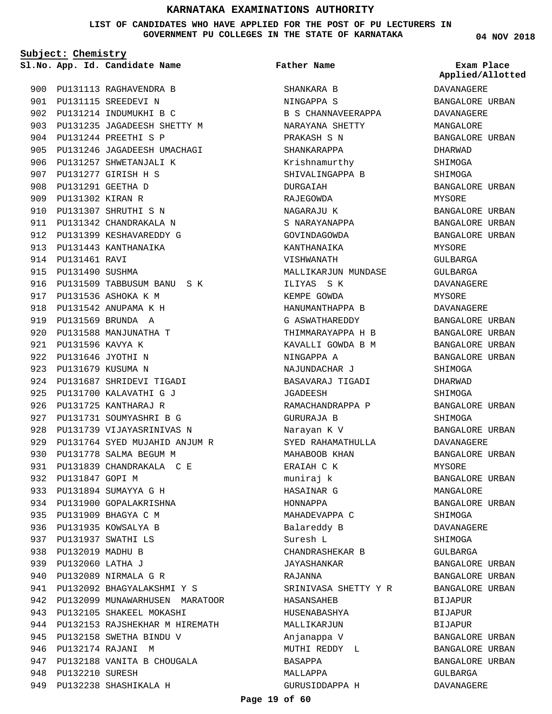**LIST OF CANDIDATES WHO HAVE APPLIED FOR THE POST OF PU LECTURERS IN GOVERNMENT PU COLLEGES IN THE STATE OF KARNATAKA**

**Subject: Chemistry**

**App. Id. Candidate Name Sl.No. Exam Place**

900 PU131113 RAGHAVENDRA B PU131115 SREEDEVI N 901 902 PU131214 INDUMUKHI B C PU131235 JAGADEESH SHETTY M 903 PU131244 PREETHI S P 904 905 PU131246 JAGADEESH UMACHAGI 906 PU131257 SHWETANJALI K PU131277 GIRISH H S 907 PU131291 GEETHA D 908 PU131302 KIRAN R 909 PU131307 SHRUTHI S N 910 911 PU131342 CHANDRAKALA N 912 PU131399 KESHAVAREDDY G 913 PU131443 KANTHANAIKA 914 **PU131461 RAVI** 915 PU131490 SUSHMA 916 PU131509 TABBUSUM BANU S K 917 PU131536 ASHOKA K M PU131542 ANUPAMA K H 918 PU131569 BRUNDA A 919 920 PU131588 MANJUNATHA T PU131596 KAVYA K 921 PU131646 JYOTHI N 922 PU131679 KUSUMA N 923 924 PU131687 SHRIDEVI TIGADI 925 PU131700 KALAVATHI G J 926 PU131725 KANTHARAJ R 927 PU131731 SOUMYASHRI B G 928 PU131739 VIJAYASRINIVAS N PU131764 SYED MUJAHID ANJUM R 929 PU131778 SALMA BEGUM M 930 931 PU131839 CHANDRAKALA C E 932 PU131847 GOPI M PU131894 SUMAYYA G H 933 934 PU131900 GOPALAKRISHNA 935 PU131909 BHAGYA C M 936 PU131935 KOWSALYA B PU131937 SWATHI LS 937 938 PU132019 MADHU B PU132060 LATHA J 939 PU132089 NIRMALA G R 940 PU132092 BHAGYALAKSHMI Y S 941 942 PU132099 MUNAWARHUSEN MARATOOR 943 PU132105 SHAKEEL MOKASHI 944 PU132153 RAJSHEKHAR M HIREMATH 945 PU132158 SWETHA BINDU V PU132174 RAJANI M 946 947 PU132188 VANITA B CHOUGALA 948 **PU132210 SURESH** 949 PU132238 SHASHIKALA H

**Father Name**

SHANKARA B NINGAPPA S B S CHANNAVEERAPPA NARAYANA SHETTY PRAKASH S N SHANKARAPPA Krishnamurthy SHIVALINGAPPA B DURGATAH RAJEGOWDA NAGARAJU K S NARAYANAPPA GOVINDAGOWDA KANTHANAIKA VISHWANATH MALLIKARJUN MUNDASE ILIYAS S K KEMPE GOWDA HANUMANTHAPPA B G ASWATHAREDDY THIMMARAYAPPA H B KAVALLI GOWDA B M NINGAPPA A NAJUNDACHAR J BASAVARAJ TIGADI JGADEESH RAMACHANDRAPPA P GURURAJA B Narayan K V SYED RAHAMATHULLA MAHABOOB KHAN ERAIAH C K muniraj k HASAINAR G HONNAPPA MAHADEVAPPA C Balareddy B Suresh L CHANDRASHEKAR B JAYASHANKAR RAJANNA SRINIVASA SHETTY Y R HASANSAHEB HUSENABASHYA MALLIKARJUN Anjanappa V MUTHI REDDY L BASAPPA MALLAPPA GURUSIDDAPPA H

**04 NOV 2018**

**Applied/Allotted**

DAVANAGERE BANGALORE URBAN DAVANAGERE MANGALORE BANGALORE URBAN DHARWAD SHIMOGA SHIMOGA BANGALORE URBAN MYSORE BANGALORE URBAN BANGALORE URBAN BANGALORE URBAN MYSORE GULBARGA GULBARGA DAVANAGERE MYSORE DAVANAGERE BANGALORE URBAN BANGALORE URBAN BANGALORE URBAN BANGALORE URBAN SHIMOGA DHARWAD SHIMOGA BANGALORE URBAN SHIMOGA BANGALORE URBAN DAVANAGERE BANGALORE URBAN MYSORE BANGALORE URBAN MANGALORE BANGALORE URBAN **SHIMOGA** DAVANAGERE SHIMOGA GULBARGA BANGALORE URBAN BANGALORE URBAN BANGALORE URBAN BIJAPUR **BIJAPUR** BIJAPUR BANGALORE URBAN BANGALORE URBAN BANGALORE URBAN GULBARGA DAVANAGERE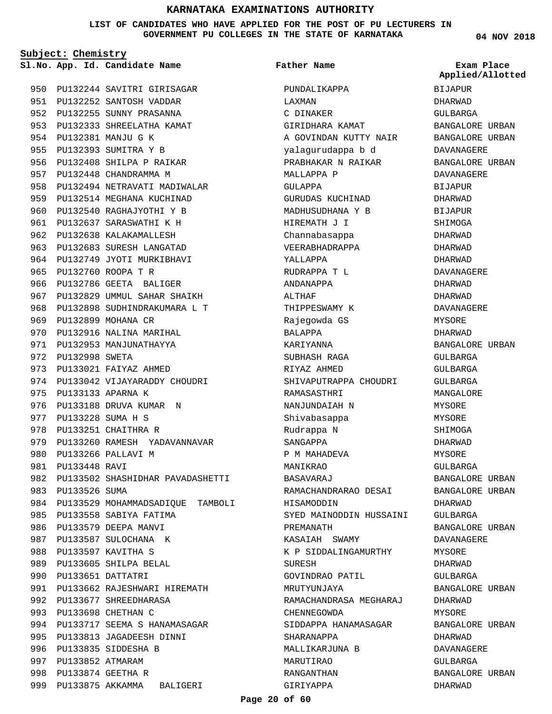**LIST OF CANDIDATES WHO HAVE APPLIED FOR THE POST OF PU LECTURERS IN GOVERNMENT PU COLLEGES IN THE STATE OF KARNATAKA**

**Subject: Chemistry**

950 PU132244 SAVITRI GIRISAGAR 951 PU132252 SANTOSH VADDAR 952 PU132255 SUNNY PRASANNA 953 PU132333 SHREELATHA KAMAT PU132381 MANJU G K 954 PU132393 SUMITRA Y B 955 956 PU132408 SHILPA P RAIKAR 957 PU132448 CHANDRAMMA M 958 PU132494 NETRAVATI MADIWALAR 959 PU132514 MEGHANA KUCHINAD 960 PU132540 RAGHAJYOTHI Y B 961 PU132637 SARASWATHI K H 962 PU132638 KALAKAMALLESH 963 PU132683 SURESH LANGATAD 964 PU132749 JYOTI MURKIBHAVI PU132760 ROOPA T R 965 966 PU132786 GEETA BALIGER 967 PU132829 UMMUL SAHAR SHAIKH 968 PU132898 SUDHINDRAKUMARA L T 969 PU132899 MOHANA CR 970 PU132916 NALINA MARIHAL 971 PU132953 MANJUNATHAYYA 972 PU132998 SWETA 973 PU133021 FAIYAZ AHMED 974 PU133042 VIJAYARADDY CHOUDRI 975 PU133133 APARNA K 976 PU133188 DRUVA KUMAR N PU133228 SUMA H S 977 978 PU133251 CHAITHRA R 979 PU133260 RAMESH YADAVANNAVAR PU133266 PALLAVI M 980 PU133448 RAVI 981 982 PU133502 SHASHIDHAR PAVADASHETTI 983 PU133526 SUMA 984 PU133529 MOHAMMADSADIQUE TAMBOLI 985 PU133558 SABIYA FATIMA 986 PU133579 DEEPA MANVI 987 PU133587 SULOCHANA K PU133597 KAVITHA S 988 989 PU133605 SHILPA BELAL 990 PU133651 DATTATRI 991 PU133662 RAJESHWARI HIREMATH 992 PU133677 SHREEDHARASA PU133698 CHETHAN C 993 994 PU133717 SEEMA S HANAMASAGAR 995 PU133813 JAGADEESH DINNI 996 PU133835 SIDDESHA B 997 PU133852 ATMARAM PU133874 GEETHA R 998 999 PU133875 AKKAMMA BALIGERI

**App. Id. Candidate Name Sl.No. Exam Place** PUNDALIKAPPA LAXMAN C DINAKER GIRIDHARA KAMAT A GOVINDAN KUTTY NAIR yalagurudappa b d PRABHAKAR N RAIKAR MALLAPPA P GULAPPA GURUDAS KUCHINAD MADHUSUDHANA Y B HIREMATH J I Channabasappa VEERABHADRAPPA YALLAPPA RUDRAPPA T L ANDANAPPA ALTHAF THIPPESWAMY K Rajegowda GS BALAPPA KARIYANNA SUBHASH RAGA RIYAZ AHMED SHIVAPUTRAPPA CHOUDRI RAMASASTHRI NANJUNDAIAH N Shivabasappa Rudrappa N SANGAPPA P M MAHADEVA MANIKRAO BASAVARAJ RAMACHANDRARAO DESAI HISAMODDIN SYED MAINODDIN HUSSAINI PREMANATH KASAIAH SWAMY K P SIDDALINGAMURTHY SURESH GOVINDRAO PATIL MRUTYUNJAYA RAMACHANDRASA MEGHARAJ CHENNEGOWDA SIDDAPPA HANAMASAGAR SHARANAPPA MALLIKARJUNA B MARUTIRAO RANGANTHAN GIRIYAPPA **Father Name** DHARWAD

**04 NOV 2018**

BIJAPUR DHARWAD GULBARGA BANGALORE URBAN BANGALORE URBAN DAVANAGERE BANGALORE URBAN DAVANAGERE **BIJAPUR** DHARWAD **BIJAPUR** SHIMOGA DHARWAD DHARWAD DHARWAD DAVANAGERE DHARWAD DHARWAD DAVANAGERE **MYSORE** DHARWAD BANGALORE URBAN GULBARGA GULBARGA GULBARGA MANGALORE **MYSORE** MYSORE SHIMOGA DHARWAD MYSORE GULBARGA BANGALORE URBAN BANGALORE URBAN DHARWAD GULBARGA BANGALORE URBAN DAVANAGERE MYSORE DHARWAD GULBARGA BANGALORE URBAN DHARWAD MYSORE BANGALORE URBAN DHARWAD DAVANAGERE GULBARGA BANGALORE URBAN **Applied/Allotted**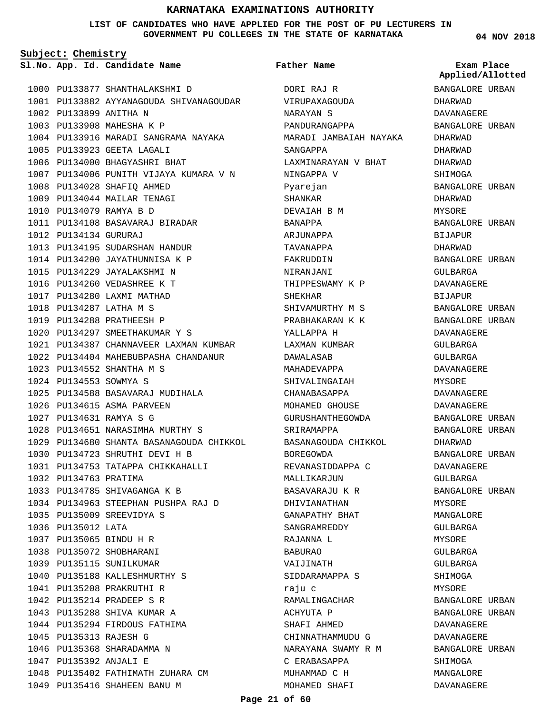#### **LIST OF CANDIDATES WHO HAVE APPLIED FOR THE POST OF PU LECTURERS IN GOVERNMENT PU COLLEGES IN THE STATE OF KARNATAKA**

**Subject: Chemistry**

**App. Id. Candidate Name Sl.No. Exam Place**

1000 PU133877 SHANTHALAKSHMI D 1001 PU133882 AYYANAGOUDA SHIVANAGOUDAR 1002 PU133899 ANITHA N 1003 PU133908 MAHESHA K P 1004 PU133916 MARADI SANGRAMA NAYAKA 1005 PU133923 GEETA LAGALI 1006 PU134000 BHAGYASHRI BHAT 1007 PU134006 PUNITH VIJAYA KUMARA V N PU134028 SHAFIQ AHMED 1008 1009 PU134044 MAILAR TENAGI PU134079 RAMYA B D 1010 PU134108 BASAVARAJ BIRADAR 1011 PU134134 GURURAJ 1012 1013 PU134195 SUDARSHAN HANDUR 1014 PU134200 JAYATHUNNISA K P 1015 PU134229 JAYALAKSHMI N 1016 PU134260 VEDASHREE K T 1017 PU134280 LAXMI MATHAD PU134287 LATHA M S 1018 1019 PU134288 PRATHEESH P 1020 PU134297 SMEETHAKUMAR Y S PU134387 CHANNAVEER LAXMAN KUMBAR 1021 PU134404 MAHEBUBPASHA CHANDANUR 1022 PU134552 SHANTHA M S 1023 PU134553 SOWMYA S 1024 PU134588 BASAVARAJ MUDIHALA 1025 1026 PU134615 ASMA PARVEEN PU134631 RAMYA S G 1027 1028 PU134651 NARASIMHA MURTHY S PU134680 SHANTA BASANAGOUDA CHIKKOL 1029 PU134723 SHRUTHI DEVI H B 1030 1031 PU134753 TATAPPA CHIKKAHALLI 1032 PU134763 PRATIMA 1033 PU134785 SHIVAGANGA K B 1034 PU134963 STEEPHAN PUSHPA RAJ D PU135009 SREEVIDYA S 1035 1036 PU135012 LATA PU135065 BINDU H R 1037 1038 PU135072 SHOBHARANI 1039 PU135115 SUNILKUMAR 1040 PU135188 KALLESHMURTHY S PU135208 PRAKRUTHI R 1041 PU135214 PRADEEP S R 1042 1043 PU135288 SHIVA KUMAR A 1044 PU135294 FIRDOUS FATHIMA PU135313 RAJESH G 1045 1046 PU135368 SHARADAMMA N PU135392 ANJALI E 1047 1048 PU135402 FATHIMATH ZUHARA CM 1049 PU135416 SHAHEEN BANU M

#### **Father Name**

DORI RAJ R VIRUPAXAGOUDA NARAYAN S PANDURANGAPPA MARADI JAMBAIAH NAYAKA SANGAPPA LAXMINARAYAN V BHAT NINGAPPA V Pyarejan SHANKAR DEVAIAH B M BANAPPA ARJUNAPPA TAVANAPPA FAKRUDDIN NIRANJANI THIPPESWAMY K P **SHEKHAR** SHIVAMURTHY M S PRABHAKARAN K K YALLAPPA H LAXMAN KUMBAR DAWALASAB MAHADEVAPPA SHIVALINGAIAH CHANABASAPPA MOHAMED GHOUSE GURUSHANTHEGOWDA SRIRAMAPPA BASANAGOUDA CHIKKOL BOREGOWDA REVANASIDDAPPA C MALLIKARJUN BASAVARAJU K R DHIVIANATHAN GANAPATHY BHAT SANGRAMREDDY RAJANNA L BABURAO VAIJINATH SIDDARAMAPPA S raju c RAMALINGACHAR ACHYUTA P SHAFI AHMED CHINNATHAMMUDU G NARAYANA SWAMY R M C ERABASAPPA MUHAMMAD C H MOHAMED SHAFI

**04 NOV 2018**

**Applied/Allotted**

BANGALORE URBAN DHARWAD DAVANAGERE BANGALORE URBAN DHARWAD DHARWAD DHARWAD SHIMOGA BANGALORE URBAN DHARWAD MYSORE BANGALORE URBAN BIJAPUR DHARWAD BANGALORE URBAN GULBARGA DAVANAGERE BIJAPUR BANGALORE URBAN BANGALORE URBAN DAVANAGERE GULBARGA GULBARGA DAVANAGERE MYSORE DAVANAGERE DAVANAGERE BANGALORE URBAN BANGALORE URBAN DHARWAD BANGALORE URBAN DAVANAGERE GULBARGA BANGALORE URBAN MYSORE MANGALORE GULBARGA MYSORE GULBARGA GULBARGA SHIMOGA MYSORE BANGALORE URBAN BANGALORE URBAN DAVANAGERE DAVANAGERE BANGALORE URBAN SHIMOGA MANGALORE

DAVANAGERE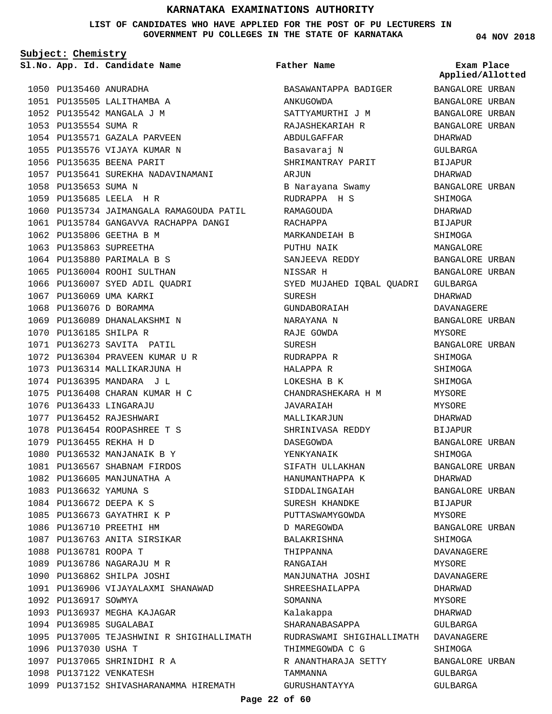**LIST OF CANDIDATES WHO HAVE APPLIED FOR THE POST OF PU LECTURERS IN GOVERNMENT PU COLLEGES IN THE STATE OF KARNATAKA**

**Subject: Chemistry**

**App. Id. Candidate Name Sl.No. Exam Place**

**Father Name**

1050 PU135460 ANURADHA 1051 PU135505 LALITHAMBA A 1052 PU135542 MANGALA J M 1053 PU135554 SUMA R 1054 PU135571 GAZALA PARVEEN 1055 PU135576 VIJAYA KUMAR N 1056 PU135635 BEENA PARIT 1057 PU135641 SUREKHA NADAVINAMANI 1058 PU135653 SUMA N PU135685 LEELA H R 1059 1060 PU135734 JAIMANGALA RAMAGOUDA PATIL 1061 PU135784 GANGAVVA RACHAPPA DANGI 1062 PU135806 GEETHA B M 1063 PU135863 SUPREETHA 1064 PU135880 PARIMALA B S 1065 PU136004 ROOHI SULTHAN 1066 PU136007 SYED ADIL QUADRI 1067 PU136069 UMA KARKI 1068 PU136076 D BORAMMA 1069 PU136089 DHANALAKSHMI N 1070 PU136185 SHILPA R 1071 PU136273 SAVITA PATIL PU136304 PRAVEEN KUMAR U R 1072 1073 PU136314 MALLIKARJUNA H 1074 PU136395 MANDARA J L PU136408 CHARAN KUMAR H C 1075 PU136433 LINGARAJU 1076 1077 PU136452 RAJESHWARI 1078 PU136454 ROOPASHREE T S PU136455 REKHA H D 1079 1080 PU136532 MANJANAIK B Y 1081 PU136567 SHABNAM FIRDOS 1082 PU136605 MANJUNATHA A PU136632 YAMUNA S 1083 PU136672 DEEPA K S 1084 1085 PU136673 GAYATHRI K P 1086 PU136710 PREETHI HM 1087 PU136763 ANITA SIRSIKAR 1088 PU136781 ROOPA T 1089 PU136786 NAGARAJU M R 1090 PU136862 SHILPA JOSHI 1091 PU136906 VIJAYALAXMI SHANAWAD 1092 PU136917 SOWMYA 1093 PU136937 MEGHA KAJAGAR 1094 PU136985 SUGALABAI 1095 PU137005 TEJASHWINI R SHIGIHALLIMATH 1096 PU137030 USHA T PU137065 SHRINIDHI R A 1097 1098 PU137122 VENKATESH 1099 PU137152 SHIVASHARANAMMA HIREMATH

BASAWANTAPPA BADIGER ANKUGOWDA SATTYAMURTHI J M RAJASHEKARIAH R ABDULGAFFAR Basavaraj N SHRIMANTRAY PARIT ARJUN B Narayana Swamy RUDRAPPA H S RAMAGOUDA RACHAPPA MARKANDEIAH B PUTHU NAIK SANJEEVA REDDY NISSAR H SYED MUJAHED IQBAL QUADRI GULBARGA **SURFSH** GUNDABORAIAH NARAYANA N RAJE GOWDA SURESH RUDRAPPA R HALAPPA R LOKESHA B K CHANDRASHEKARA H M JAVARAIAH MALLIKARJUN SHRINIVASA REDDY DASEGOWDA YENKYANAIK SIFATH ULLAKHAN HANUMANTHAPPA K SIDDALINGAIAH SURESH KHANDKE PUTTASWAMYGOWDA D MAREGOWDA BALAKRISHNA THIPPANNA RANGAIAH MANJUNATHA JOSHI SHREESHAILAPPA SOMANNA Kalakappa SHARANABASAPPA RUDRASWAMI SHIGIHALLIMATH DAVANAGERE THIMMEGOWDA C G R ANANTHARAJA SETTY TAMMANNA GURUSHANTAYYA

**04 NOV 2018**

BANGALORE URBAN BANGALORE URBAN BANGALORE URBAN BANGALORE URBAN DHARWAD GULBARGA BIJAPUR DHARWAD BANGALORE URBAN SHIMOGA DHARWAD BIJAPUR SHIMOGA MANGALORE BANGALORE URBAN BANGALORE URBAN DHARWAD DAVANAGERE BANGALORE URBAN MYSORE BANGALORE URBAN SHIMOGA SHIMOGA SHIMOGA MYSORE **MYSORE** DHARWAD BIJAPUR BANGALORE URBAN SHIMOGA BANGALORE URBAN DHARWAD BANGALORE URBAN BIJAPUR MYSORE BANGALORE URBAN SHIMOGA DAVANAGERE MYSORE DAVANAGERE DHARWAD MYSORE DHARWAD GULBARGA SHIMOGA BANGALORE URBAN GULBARGA GULBARGA **Applied/Allotted**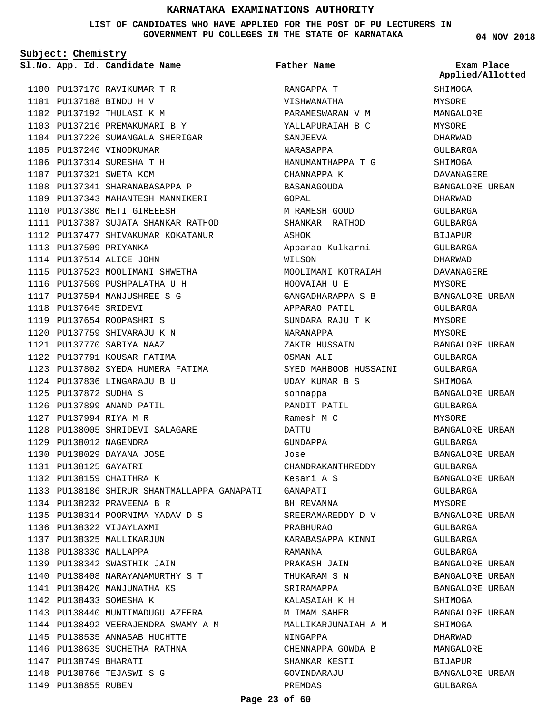**LIST OF CANDIDATES WHO HAVE APPLIED FOR THE POST OF PU LECTURERS IN GOVERNMENT PU COLLEGES IN THE STATE OF KARNATAKA**

**Subject: Chemistry**

|  | Sl.No. App. Id. Candidate Name | Father Name | Exam Place    |
|--|--------------------------------|-------------|---------------|
|  |                                |             | Applied/Allot |

PU137170 RAVIKUMAR T R 1100 1101 PU137188 BINDU H V 1102 PU137192 THULASI K M 1103 PU137216 PREMAKUMARI B Y 1104 PU137226 SUMANGALA SHERIGAR 1105 PU137240 VINODKUMAR 1106 PU137314 SURESHA T H 1107 PU137321 SWETA KCM 1108 PU137341 SHARANABASAPPA P 1109 PU137343 MAHANTESH MANNIKERI 1110 PU137380 METI GIREEESH 1111 PU137387 SUJATA SHANKAR RATHOD 1112 PU137477 SHIVAKUMAR KOKATANUR 1113 PU137509 PRIYANKA 1114 PU137514 ALICE JOHN 1115 PU137523 MOOLIMANI SHWETHA 1116 PU137569 PUSHPALATHA U H 1117 PU137594 MANJUSHREE S G 1118 PU137645 SRIDEVI PU137654 ROOPASHRI S 1119 1120 PU137759 SHIVARAJU K N PU137770 SABIYA NAAZ 1121 1122 PU137791 KOUSAR FATIMA 1123 PU137802 SYEDA HUMERA FATIMA 1124 PU137836 LINGARAJU B U PU137872 SUDHA S 1125 1126 PU137899 ANAND PATIL PU137994 RIYA M R 1127 1128 PU138005 SHRIDEVI SALAGARE PU138012 NAGENDRA 1129 PU138029 DAYANA JOSE 1130 PU138125 GAYATRI 1131 1132 PU138159 CHAITHRA K 1133 PU138186 SHIRUR SHANTMALLAPPA GANAPATI PU138232 PRAVEENA B R 1134 PU138314 POORNIMA YADAV D S 1135 1136 PU138322 VIJAYLAXMI 1137 PU138325 MALLIKARJUN 1138 PU138330 MALLAPPA PU138342 SWASTHIK JAIN 1139 PU138408 NARAYANAMURTHY S T 1140 1141 PU138420 MANJUNATHA KS 1142 PU138433 SOMESHA K 1143 PU138440 MUNTIMADUGU AZEERA 1144 PU138492 VEERAJENDRA SWAMY A M 1145 PU138535 ANNASAB HUCHTTE 1146 PU138635 SUCHETHA RATHNA 1147 PU138749 BHARATI PU138766 TEJASWI S G 1148 1149 PU138855 RUBEN

RANGAPPA T VISHWANATHA PARAMESWARAN V M YALLAPURAIAH B C SANJEEVA NARASAPPA HANUMANTHAPPA T G CHANNAPPA K RASANAGOUDA GOPAL M RAMESH GOUD SHANKAR RATHOD ASHOK Apparao Kulkarni WILSON MOOLIMANI KOTRAIAH HOOVAIAH U E GANGADHARAPPA S B APPARAO PATIL SUNDARA RAJU T K NARANAPPA ZAKIR HUSSAIN OSMAN ALI SYED MAHBOOB HUSSAINI UDAY KUMAR B S sonnappa PANDIT PATIL Ramesh M C DATTU GUNDAPPA Jose CHANDRAKANTHREDDY Kesari A S GANAPATI BH REVANNA SREERAMAREDDY D V PRABHURAO KARABASAPPA KINNI RAMANNA PRAKASH JAIN THUKARAM S N SRIRAMAPPA KALASAIAH K H M IMAM SAHEB MALLIKARJUNAIAH A M NINGAPPA CHENNAPPA GOWDA B SHANKAR KESTI GOVINDARAJU PREMDAS **Father Name**

**04 NOV 2018**

**Applied/Allotted**

SHIMOGA MYSORE MANGALORE MYSORE DHARWAD GULBARGA SHIMOGA DAVANAGERE BANGALORE URBAN DHARWAD GULBARGA GULBARGA BIJAPUR GULBARGA DHARWAD DAVANAGERE MYSORE BANGALORE URBAN GULBARGA MYSORE MYSORE BANGALORE URBAN GULBARGA GULBARGA SHIMOGA BANGALORE URBAN CIILBARCA MYSORE BANGALORE URBAN GULBARGA BANGALORE URBAN GULBARGA BANGALORE URBAN GULBARGA MYSORE BANGALORE URBAN GULBARGA GULBARGA GULBARGA BANGALORE URBAN BANGALORE URBAN BANGALORE URBAN SHIMOGA BANGALORE URBAN SHIMOGA DHARWAD MANGALORE BIJAPUR BANGALORE URBAN

GULBARGA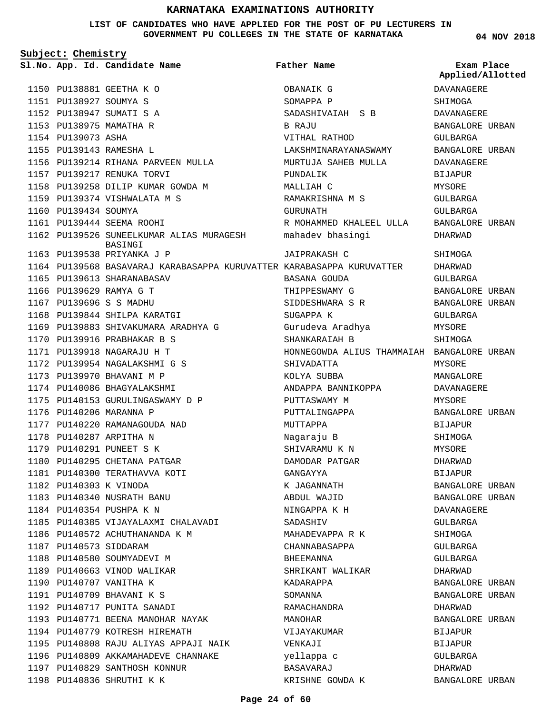**LIST OF CANDIDATES WHO HAVE APPLIED FOR THE POST OF PU LECTURERS IN GOVERNMENT PU COLLEGES IN THE STATE OF KARNATAKA**

**04 NOV 2018**

| Subject: Chemistry |                        |                                                                       |                                            |                                      |  |
|--------------------|------------------------|-----------------------------------------------------------------------|--------------------------------------------|--------------------------------------|--|
|                    |                        | Sl.No. App. Id. Candidate Name                                        | <b>Father Name</b>                         | Exam Place<br>Applied/Allotted       |  |
|                    |                        | 1150 PU138881 GEETHA K O                                              | OBANAIK G                                  | DAVANAGERE                           |  |
|                    | 1151 PU138927 SOUMYA S |                                                                       | SOMAPPA P                                  | SHIMOGA                              |  |
|                    |                        | 1152 PU138947 SUMATI S A                                              | SADASHIVAIAH S B                           | DAVANAGERE                           |  |
|                    |                        | 1153 PU138975 MAMATHA R                                               | B RAJU                                     | BANGALORE URBAN                      |  |
|                    | 1154 PU139073 ASHA     |                                                                       | VITHAL RATHOD                              | GULBARGA                             |  |
|                    |                        | 1155 PU139143 RAMESHA L                                               | LAKSHMINARAYANASWAMY                       | BANGALORE URBAN                      |  |
|                    |                        | 1156 PU139214 RIHANA PARVEEN MULLA                                    | MURTUJA SAHEB MULLA                        | DAVANAGERE                           |  |
|                    |                        | 1157 PU139217 RENUKA TORVI                                            | PUNDALIK                                   | <b>BIJAPUR</b>                       |  |
|                    |                        | 1158 PU139258 DILIP KUMAR GOWDA M                                     | MALLIAH C                                  | MYSORE                               |  |
|                    |                        | 1159 PU139374 VISHWALATA M S                                          | RAMAKRISHNA M S                            | GULBARGA                             |  |
|                    | 1160 PU139434 SOUMYA   |                                                                       | GURUNATH                                   | GULBARGA                             |  |
|                    |                        | 1161 PU139444 SEEMA ROOHI                                             | R MOHAMMED KHALEEL ULLA                    | BANGALORE URBAN                      |  |
|                    |                        | 1162 PU139526 SUNEELKUMAR ALIAS MURAGESH<br>BASINGI                   | mahadev bhasingi                           | DHARWAD                              |  |
|                    |                        | 1163 PU139538 PRIYANKA J P                                            | <b>JAIPRAKASH C</b>                        | SHIMOGA                              |  |
|                    |                        | 1164 PU139568 BASAVARAJ KARABASAPPA KURUVATTER KARABASAPPA KURUVATTER |                                            | DHARWAD                              |  |
|                    |                        | 1165 PU139613 SHARANABASAV                                            | BASANA GOUDA                               | <b>GULBARGA</b>                      |  |
|                    |                        | 1166 PU139629 RAMYA G T                                               | THIPPESWAMY G                              | BANGALORE URBAN                      |  |
|                    |                        | 1167 PU139696 S S MADHU                                               | SIDDESHWARA S R                            | BANGALORE URBAN                      |  |
|                    |                        | 1168 PU139844 SHILPA KARATGI                                          | SUGAPPA K                                  | GULBARGA                             |  |
|                    |                        | 1169 PU139883 SHIVAKUMARA ARADHYA G                                   | Gurudeva Aradhya                           | MYSORE                               |  |
|                    |                        | 1170 PU139916 PRABHAKAR B S                                           | SHANKARAIAH B                              | SHIMOGA                              |  |
|                    |                        | 1171 PU139918 NAGARAJU H T                                            | HONNEGOWDA ALIUS THAMMAIAH BANGALORE URBAN |                                      |  |
|                    |                        | 1172 PU139954 NAGALAKSHMI G S                                         | SHIVADATTA                                 | MYSORE                               |  |
|                    |                        | 1173 PU139970 BHAVANI M P                                             | KOLYA SUBBA                                | MANGALORE                            |  |
|                    |                        | 1174 PU140086 BHAGYALAKSHMI                                           | ANDAPPA BANNIKOPPA                         | DAVANAGERE                           |  |
|                    |                        | 1175 PU140153 GURULINGASWAMY D P                                      | PUTTASWAMY M                               | MYSORE                               |  |
|                    |                        | 1176 PU140206 MARANNA P                                               | PUTTALINGAPPA                              | BANGALORE URBAN                      |  |
|                    |                        | 1177 PU140220 RAMANAGOUDA NAD                                         | MUTTAPPA                                   | <b>BIJAPUR</b>                       |  |
|                    |                        | 1178 PU140287 ARPITHA N                                               | Nagaraju B                                 | SHIMOGA                              |  |
|                    |                        | 1179 PU140291 PUNEET S K                                              | SHIVARAMU K N                              | <b>MYSORE</b>                        |  |
|                    |                        | 1180 PU140295 CHETANA PATGAR                                          | DAMODAR PATGAR                             | DHARWAD                              |  |
|                    |                        | 1181 PU140300 TERATHAVVA KOTI                                         | GANGAYYA                                   | BIJAPUR                              |  |
|                    | 1182 PU140303 K VINODA |                                                                       | K JAGANNATH                                | BANGALORE URBAN                      |  |
|                    |                        | 1183 PU140340 NUSRATH BANU                                            |                                            |                                      |  |
|                    |                        |                                                                       | ABDUL WAJID                                | BANGALORE URBAN<br><b>DAVANAGERE</b> |  |
|                    |                        | 1184 PU140354 PUSHPA K N                                              | NINGAPPA K H                               |                                      |  |
|                    |                        | 1185 PU140385 VIJAYALAXMI CHALAVADI                                   | SADASHIV                                   | GULBARGA                             |  |
|                    |                        | 1186 PU140572 ACHUTHANANDA K M                                        | MAHADEVAPPA R K                            | SHIMOGA                              |  |
|                    | 1187 PU140573 SIDDARAM |                                                                       | CHANNABASAPPA                              | GULBARGA                             |  |
|                    |                        | 1188 PU140580 SOUMYADEVI M                                            | BHEEMANNA                                  | GULBARGA                             |  |
|                    |                        | 1189 PU140663 VINOD WALIKAR                                           | SHRIKANT WALIKAR                           | DHARWAD                              |  |
|                    |                        | 1190 PU140707 VANITHA K                                               | KADARAPPA                                  | BANGALORE URBAN                      |  |
|                    |                        | 1191 PU140709 BHAVANI K S                                             | SOMANNA                                    | BANGALORE URBAN                      |  |
|                    |                        | 1192 PU140717 PUNITA SANADI                                           | RAMACHANDRA                                | DHARWAD                              |  |
|                    |                        | 1193 PU140771 BEENA MANOHAR NAYAK                                     | MANOHAR                                    | BANGALORE URBAN                      |  |
|                    |                        | 1194 PU140779 KOTRESH HIREMATH                                        | VIJAYAKUMAR                                | BIJAPUR                              |  |
|                    |                        | 1195 PU140808 RAJU ALIYAS APPAJI NAIK                                 | VENKAJI                                    | BIJAPUR                              |  |
|                    |                        | 1196 PU140809 AKKAMAHADEVE CHANNAKE                                   | yellappa c                                 | GULBARGA                             |  |
|                    |                        | 1197 PU140829 SANTHOSH KONNUR                                         | BASAVARAJ                                  | DHARWAD                              |  |
|                    |                        | 1198 PU140836 SHRUTHI K K                                             | KRISHNE GOWDA K                            | BANGALORE URBAN                      |  |

#### **Page 24 of 60**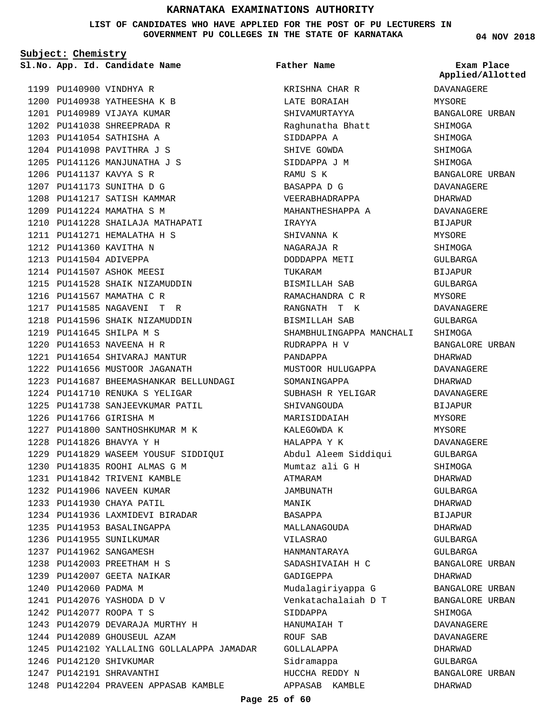**LIST OF CANDIDATES WHO HAVE APPLIED FOR THE POST OF PU LECTURERS IN GOVERNMENT PU COLLEGES IN THE STATE OF KARNATAKA**

**Father Name**

**Subject: Chemistry**

1199 PU140900 VINDHYA R 1200 PU140938 YATHEESHA K B 1201 PU140989 VIJAYA KUMAR PU141038 SHREEPRADA R 1202 1203 PU141054 SATHISHA A 1204 PU141098 PAVITHRA J S 1205 PU141126 MANJUNATHA J S PU141137 KAVYA S R 1206 1207 PU141173 SUNITHA D G 1208 PU141217 SATISH KAMMAR 1209 PU141224 MAMATHA S M 1210 PU141228 SHAILAJA MATHAPATI 1211 PU141271 HEMALATHA H S 1212 PU141360 KAVITHA N **App. Id. Candidate Name Sl.No. Exam Place**

1213 PU141504 ADIVEPPA 1214 PU141507 ASHOK MEESI

1216 PU141567 MAMATHA C R PU141585 NAGAVENI T R 1217 1218 PU141596 SHAIK NIZAMUDDIN

PU141645 SHILPA M S 1219 PU141653 NAVEENA H R 1220 PU141654 SHIVARAJ MANTUR 1221 1222 PU141656 MUSTOOR JAGANATH

1226 PU141766 GIRISHA M

PU141826 BHAVYA Y H 1228

1215 PU141528 SHAIK NIZAMUDDIN

PU141710 RENUKA S YELIGAR 1224 1225 PU141738 SANJEEVKUMAR PATIL

1227 PU141800 SANTHOSHKUMAR M K

PU141835 ROOHI ALMAS G M 1230 PU141842 TRIVENI KAMBLE 1231 1232 PU141906 NAVEEN KUMAR 1233 PU141930 CHAYA PATIL

1234 PU141936 LAXMIDEVI BIRADAR

1243 PU142079 DEVARAJA MURTHY H 1244 PU142089 GHOUSEUL AZAM

1245 PU142102 YALLALING GOLLALAPPA JAMADAR

PU142204 PRAVEEN APPASAB KAMBLE 1248

1235 PU141953 BASALINGAPPA 1236 PU141955 SUNILKUMAR 1237 PU141962 SANGAMESH PU142003 PREETHAM H S 1238 1239 PU142007 GEETA NAIKAR

1240 PU142060 PADMA M 1241 PU142076 YASHODA D V PU142077 ROOPA T S 1242

1246 PU142120 SHIVKUMAR 1247 PU142191 SHRAVANTHI

1229 PU141829 WASEEM YOUSUF SIDDIQUI

PU141687 BHEEMASHANKAR BELLUNDAGI 1223

KRISHNA CHAR R LATE BORAIAH SHIVAMURTAYYA Raghunatha Bhatt SIDDAPPA A SHIVE GOWDA SIDDAPPA J M RAMU S K BASAPPA D G VEERABHADRAPPA MAHANTHESHAPPA A IRAYYA SHIVANNA K NAGARAJA R DODDAPPA METI TUKARAM BISMILLAH SAB RAMACHANDRA C R RANGNATH T K BISMILLAH SAB SHAMBHULINGAPPA MANCHALI RUDRAPPA H V PANDAPPA MUSTOOR HULUGAPPA SOMANINGAPPA SUBHASH R YELIGAR SHIVANGOUDA MARISIDDAIAH KALEGOWDA K HALAPPA Y K Abdul Aleem Siddiqui Mumtaz ali G H ATMARAM JAMBUNATH MANIK BASAPPA MALLANAGOUDA VILASRAO HANMANTARAYA SADASHIVAIAH H C GADIGEPPA Mudalagiriyappa G Venkatachalaiah D T SIDDAPPA HANUMAIAH T ROUF SAB GOLLALAPPA Sidramappa HUCCHA REDDY N APPASAB KAMBLE

**04 NOV 2018**

**Applied/Allotted**

## DAVANAGERE MYSORE BANGALORE URBAN SHIMOGA SHIMOGA SHIMOGA SHIMOGA BANGALORE URBAN DAVANAGERE DHARWAD DAVANAGERE BIJAPUR MYSORE SHIMOGA GULBARGA BIJAPUR GULBARGA MYSORE DAVANAGERE GULBARGA SHIMOGA BANGALORE URBAN DHARWAD DAVANAGERE DHARWAD DAVANAGERE BIJAPUR MYSORE MYSORE DAVANAGERE GULBARGA SHIMOGA DHARWAD GULBARGA DHARWAD BIJAPUR DHARWAD GULBARGA GULBARGA BANGALORE URBAN DHARWAD BANGALORE URBAN BANGALORE URBAN SHIMOGA DAVANAGERE DAVANAGERE DHARWAD GULBARGA BANGALORE URBAN

DHARWAD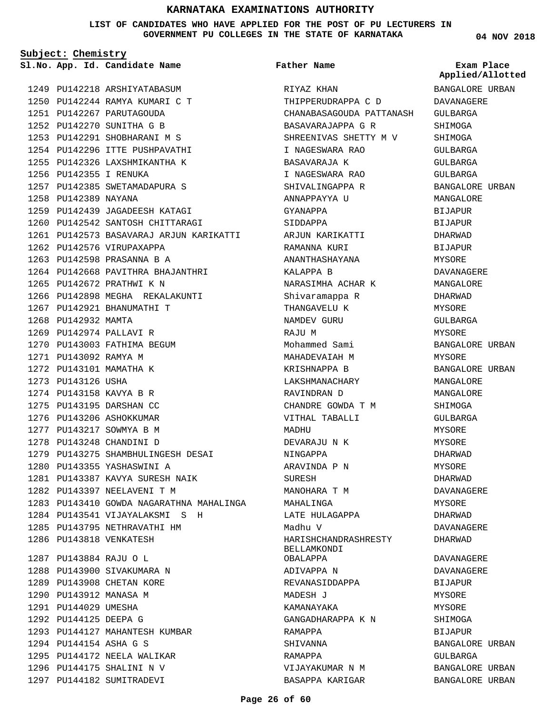**LIST OF CANDIDATES WHO HAVE APPLIED FOR THE POST OF PU LECTURERS IN GOVERNMENT PU COLLEGES IN THE STATE OF KARNATAKA**

**Subject: Chemistry**

1249 PU142218 ARSHIYATABASUM PU142244 RAMYA KUMARI C T 1250 1251 PU142267 PARUTAGOUDA PU142270 SUNITHA G B 1252 1253 PU142291 SHOBHARANI M S 1254 PU142296 ITTE PUSHPAVATHI 1255 PU142326 LAXSHMIKANTHA K 1256 PU142355 I RENUKA 1257 PU142385 SWETAMADAPURA S 1258 PU142389 NAYANA 1259 PU142439 JAGADEESH KATAGI 1260 PU142542 SANTOSH CHITTARAGI 1261 PU142573 BASAVARAJ ARJUN KARIKATTI 1262 PU142576 VIRUPAXAPPA 1263 PU142598 PRASANNA B A 1264 PU142668 PAVITHRA BHAJANTHRI 1265 PU142672 PRATHWI K N 1266 PU142898 MEGHA REKALAKUNTI 1267 PU142921 BHANUMATHI T 1268 PU142932 MAMTA 1269 PU142974 PALLAVI R 1270 PU143003 FATHIMA BEGUM 1271 PU143092 RAMYA M 1272 PU143101 MAMATHA K 1273 PU143126 USHA 1274 PU143158 KAVYA B R 1275 PU143195 DARSHAN CC 1276 PU143206 ASHOKKUMAR 1277 PU143217 SOWMYA B M 1278 PU143248 CHANDINI D PU143275 SHAMBHULINGESH DESAI 1279 PU143355 YASHASWINI A 1280 PU143387 KAVYA SURESH NAIK 1281 1282 PU143397 NEELAVENI T M 1283 PU143410 GOWDA NAGARATHNA MAHALINGA 1284 PU143541 VIJAYALAKSMI S H 1285 PU143795 NETHRAVATHI HM 1286 PU143818 VENKATESH PU143884 RAJU O L 1287 1288 PU143900 SIVAKUMARA N 1289 PU143908 CHETAN KORE 1290 PU143912 MANASA M 1291 PU144029 UMESHA 1292 PU144125 DEEPA G 1293 PU144127 MAHANTESH KUMBAR PU144154 ASHA G S 1294 1295 PU144172 NEELA WALIKAR 1296 PU144175 SHALINI N V **App. Id. Candidate Name Sl.No. Exam Place**

1297 PU144182 SUMITRADEVI

**Father Name**

RIYAZ KHAN THIPPERUDRAPPA C D CHANABASAGOUDA PATTANASH BASAVARAJAPPA G R SHREENIVAS SHETTY M V I NAGESWARA RAO BASAVARAJA K I NAGESWARA RAO SHIVALINGAPPA R ANNAPPAYYA U GYANAPPA SIDDAPPA ARJUN KARIKATTI RAMANNA KURI ANANTHASHAYANA KALAPPA B NARASIMHA ACHAR K Shivaramappa R THANGAVELU K NAMDEV GURU RAJU M Mohammed Sami MAHADEVAIAH M KRISHNAPPA B LAKSHMANACHARY RAVINDRAN D CHANDRE GOWDA T M VITHAL TABALLI MADHU DEVARAJU N K NINGAPPA ARAVINDA P N SURESH MANOHARA T M MAHALINGA LATE HULAGAPPA Madhu V HARISHCHANDRASHRESTY BELLAMKONDI OBALAPPA ADIVAPPA N REVANASIDDAPPA MADESH J KAMANAYAKA GANGADHARAPPA K N RAMAPPA SHIVANNA RAMAPPA VIJAYAKUMAR N M

**04 NOV 2018**

**Applied/Allotted**

BANGALORE URBAN DAVANAGERE GULBARGA SHIMOGA SHIMOGA GULBARGA GULBARGA GULBARGA BANGALORE URBAN MANGALORE BIJAPUR BIJAPUR DHARWAD BIJAPUR MYSORE DAVANAGERE MANGALORE DHARWAD MYSORE GULBARGA MYSORE BANGALORE URBAN MYSORE BANGALORE URBAN MANGALORE MANGALORE **SHIMOGA** GULBARGA MYSORE MYSORE DHARWAD MYSORE DHARWAD DAVANAGERE MYSORE DHARWAD DAVANAGERE DHARWAD DAVANAGERE DAVANAGERE BIJAPUR MYSORE MYSORE SHIMOGA BIJAPUR BANGALORE URBAN GULBARGA BANGALORE URBAN

BANGALORE URBAN

BASAPPA KARIGAR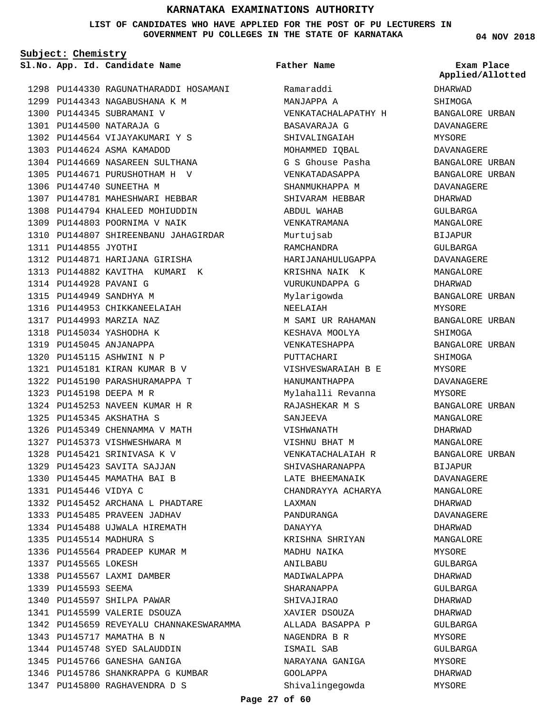**LIST OF CANDIDATES WHO HAVE APPLIED FOR THE POST OF PU LECTURERS IN GOVERNMENT PU COLLEGES IN THE STATE OF KARNATAKA**

**Subject: Chemistry**

**App. Id. Candidate Name Sl.No. Exam Place**

1298 PU144330 RAGUNATHARADDI HOSAMANI 1299 PU144343 NAGABUSHANA K M 1300 PU144345 SUBRAMANI V PU144500 NATARAJA G 1301 1302 PU144564 VIJAYAKUMARI Y S 1303 PU144624 ASMA KAMADOD 1304 PU144669 NASAREEN SULTHANA 1305 PU144671 PURUSHOTHAM H V 1306 PU144740 SUNEETHA M 1307 PU144781 MAHESHWARI HEBBAR 1308 PU144794 KHALEED MOHIUDDIN 1309 PU144803 POORNIMA V NAIK 1310 PU144807 SHIREENBANU JAHAGIRDAR 1311 PU144855 JYOTHI 1312 PU144871 HARIJANA GIRISHA 1313 PU144882 KAVITHA KUMARI K 1314 PU144928 PAVANI G PU144949 SANDHYA M 1315 1316 PU144953 CHIKKANEELAIAH PU144993 MARZIA NAZ 1317 1318 PU145034 YASHODHA K 1319 PU145045 ANJANAPPA 1320 PU145115 ASHWINI N P PU145181 KIRAN KUMAR B V 1321 1322 PU145190 PARASHURAMAPPA T PU145198 DEEPA M R 1323 PU145253 NAVEEN KUMAR H R 1324 PU145345 AKSHATHA S 1325 1326 PU145349 CHENNAMMA V MATH 1327 PU145373 VISHWESHWARA M 1328 PU145421 SRINIVASA K V 1329 PU145423 SAVITA SAJJAN 1330 PU145445 MAMATHA BAI B PU145446 VIDYA C 1331 1332 PU145452 ARCHANA L PHADTARE 1333 PU145485 PRAVEEN JADHAV 1334 PU145488 UJWALA HIREMATH 1335 PU145514 MADHURA S 1336 PU145564 PRADEEP KUMAR M 1337 PU145565 LOKESH 1338 PU145567 LAXMI DAMBER 1339 PU145593 SEEMA 1340 PU145597 SHILPA PAWAR 1341 PU145599 VALERIE DSOUZA 1342 PU145659 REVEYALU CHANNAKESWARAMMA 1343 PU145717 MAMATHA B N 1344 PU145748 SYED SALAUDDIN 1345 PU145766 GANESHA GANIGA 1346 PU145786 SHANKRAPPA G KUMBAR 1347 PU145800 RAGHAVENDRA D S

**Father Name**

Ramaraddi MANJAPPA A VENKATACHALAPATHY H BASAVARAJA G SHIVALINGAIAH MOHAMMED IQBAL G S Ghouse Pasha VENKATADASAPPA SHANMUKHAPPA M SHIVARAM HEBBAR ABDUL WAHAB VENKATRAMANA Murtujsab RAMCHANDRA HARIJANAHULUGAPPA KRISHNA NAIK K VURUKUNDAPPA G Mylarigowda NEELAIAH M SAMI UR RAHAMAN KESHAVA MOOLYA VENKATESHAPPA PUTTACHARI VISHVESWARAIAH B E HANUMANTHAPPA Mylahalli Revanna RAJASHEKAR M S SANJEEVA VISHWANATH VISHNU BHAT M VENKATACHALAIAH R SHIVASHARANAPPA LATE BHEEMANAIK CHANDRAYYA ACHARYA LAXMAN PANDURANGA DANAYYA KRISHNA SHRIYAN MADHU NAIKA ANILBABU MADIWALAPPA SHARANAPPA SHIVAJIRAO XAVIER DSOUZA ALLADA BASAPPA P NAGENDRA B R ISMAIL SAB NARAYANA GANIGA GOOLAPPA Shivalingegowda

**04 NOV 2018**

DHARWAD SHIMOGA BANGALORE URBAN DAVANAGERE MYSORE DAVANAGERE BANGALORE URBAN BANGALORE URBAN DAVANAGERE DHARWAD GULBARGA MANGALORE BIJAPUR GULBARGA DAVANAGERE MANGALORE DHARWAD BANGALORE URBAN MYSORE BANGALORE URBAN SHIMOGA BANGALORE URBAN SHIMOGA MYSORE DAVANAGERE MYSORE BANGALORE URBAN MANGALORE DHARWAD MANGALORE BANGALORE URBAN BIJAPUR DAVANAGERE MANGALORE DHARWAD DAVANAGERE DHARWAD MANGALORE MYSORE GULBARGA DHARWAD GULBARGA DHARWAD DHARWAD GULBARGA MYSORE GULBARGA MYSORE DHARWAD MYSORE **Applied/Allotted**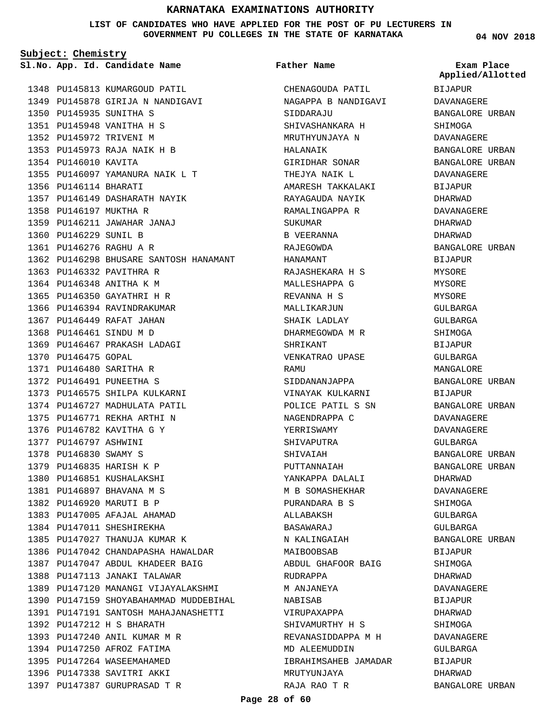**LIST OF CANDIDATES WHO HAVE APPLIED FOR THE POST OF PU LECTURERS IN GOVERNMENT PU COLLEGES IN THE STATE OF KARNATAKA**

**Subject: Chemistry**

**App. Id. Candidate Name Sl.No. Exam Place**

1348 PU145813 KUMARGOUD PATIL 1349 PU145878 GIRIJA N NANDIGAVI 1350 PU145935 SUNITHA S PU145948 VANITHA H S 1351 1352 PU145972 TRIVENI M PU145973 RAJA NAIK H B 1353 1354 PU146010 KAVITA 1355 PU146097 YAMANURA NAIK L T 1356 PU146114 BHARATI 1357 PU146149 DASHARATH NAYIK 1358 PU146197 MUKTHA R PU146211 JAWAHAR JANAJ 1359 1360 PU146229 SUNIL B PU146276 RAGHU A R 1361 1362 PU146298 BHUSARE SANTOSH HANAMANT 1363 PU146332 PAVITHRA R 1364 PU146348 ANITHA K M 1365 PU146350 GAYATHRI H R 1366 PU146394 RAVINDRAKUMAR 1367 PU146449 RAFAT JAHAN 1368 PU146461 SINDU M D 1369 PU146467 PRAKASH LADAGI 1370 PU146475 GOPAL PU146480 SARITHA R 1371 1372 PU146491 PUNEETHA S 1373 PU146575 SHILPA KULKARNI 1374 PU146727 MADHULATA PATIL PU146771 REKHA ARTHI N 1375 1376 PU146782 KAVITHA G Y 1377 PU146797 ASHWINI 1378 PU146830 SWAMY S 1379 PU146835 HARISH K P 1380 PU146851 KUSHALAKSHI PU146897 BHAVANA M S 1381 1382 PU146920 MARUTI B P 1383 PU147005 AFAJAL AHAMAD 1384 PU147011 SHESHIREKHA 1385 PU147027 THANUJA KUMAR K 1386 PU147042 CHANDAPASHA HAWALDAR 1387 PU147047 ABDUL KHADEER BAIG 1388 PU147113 JANAKI TALAWAR 1389 PU147120 MANANGI VIJAYALAKSHMI 1390 PU147159 SHOYABAHAMMAD MUDDEBIHAL PU147191 SANTOSH MAHAJANASHETTI 1391 PU147212 H S BHARATH 1392 1393 PU147240 ANIL KUMAR M R 1394 PU147250 AFROZ FATIMA 1395 PU147264 WASEEMAHAMED 1396 PU147338 SAVITRI AKKI 1397 PU147387 GURUPRASAD T R

## **Father Name**

CHENAGOUDA PATIL NAGAPPA B NANDIGAVI SIDDARAJU SHIVASHANKARA H MRUTHYUNJAYA N HALANAIK GIRIDHAR SONAR THEJYA NAIK L AMARESH TAKKALAKI RAYAGAUDA NAYIK RAMALINGAPPA R SUKUMAR B VEERANNA RAJEGOWDA HANAMANT RAJASHEKARA H S MALLESHAPPA G REVANNA H S MALLIKARJUN SHAIK LADLAY DHARMEGOWDA M R SHRIKANT VENKATRAO UPASE RAMU SIDDANANJAPPA VINAYAK KULKARNI POLICE PATIL S SN NAGENDRAPPA C YERRISWAMY SHIVAPUTRA SHIVAIAH PUTTANNAIAH YANKAPPA DALALI M B SOMASHEKHAR PURANDARA B S ALLABAKSH BASAWARAJ N KALINGAIAH MAIBOOBSAB ABDUL GHAFOOR BAIG RUDRAPPA M ANJANEYA NABISAB VIRUPAXAPPA SHIVAMURTHY H S REVANASIDDAPPA M H MD ALEEMUDDIN IBRAHIMSAHEB JAMADAR MRUTYUNJAYA RAJA RAO T R

**04 NOV 2018**

BIJAPUR DAVANAGERE BANGALORE URBAN SHIMOGA DAVANAGERE BANGALORE URBAN BANGALORE URBAN DAVANAGERE BIJAPUR DHARWAD DAVANAGERE DHARWAD DHARWAD BANGALORE URBAN BIJAPUR MYSORE MYSORE **MYSORE** GULBARGA GULBARGA SHIMOGA BIJAPUR GULBARGA MANGALORE BANGALORE URBAN BIJAPUR BANGALORE URBAN DAVANAGERE DAVANAGERE GULBARGA BANGALORE URBAN BANGALORE URBAN DHARWAD DAVANAGERE SHIMOGA GULBARGA GULBARGA BANGALORE URBAN BIJAPUR SHIMOGA DHARWAD DAVANAGERE BIJAPUR DHARWAD **SHIMOGA** DAVANAGERE GULBARGA BIJAPUR DHARWAD BANGALORE URBAN **Applied/Allotted**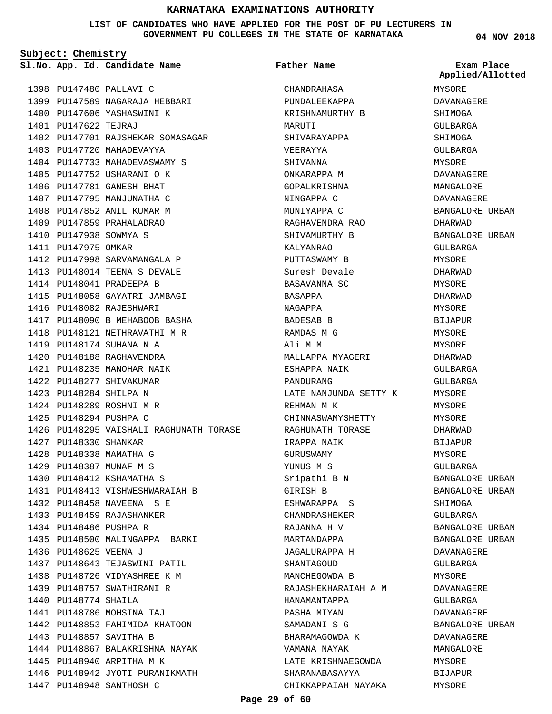**LIST OF CANDIDATES WHO HAVE APPLIED FOR THE POST OF PU LECTURERS IN GOVERNMENT PU COLLEGES IN THE STATE OF KARNATAKA**

**Subject: Chemistry**

1398 PU147480 PALLAVI C 1399 PU147589 NAGARAJA HEBBARI 1400 PU147606 YASHASWINI K 1401 PU147622 TEJRAJ 1402 PU147701 RAJSHEKAR SOMASAGAR 1403 PU147720 MAHADEVAYYA 1404 PU147733 MAHADEVASWAMY S 1405 PU147752 USHARANI O K 1406 PU147781 GANESH BHAT 1407 PU147795 MANJUNATHA C 1408 PU147852 ANIL KUMAR M 1409 PU147859 PRAHALADRAO 1410 PU147938 SOWMYA S 1411 PU147975 OMKAR 1412 PU147998 SARVAMANGALA P 1413 PU148014 TEENA S DEVALE 1414 PU148041 PRADEEPA B 1415 PU148058 GAYATRI JAMBAGI 1416 PU148082 RAJESHWARI 1417 PU148090 B MEHABOOB BASHA 1418 PU148121 NETHRAVATHI M R 1419 PU148174 SUHANA N A PU148188 RAGHAVENDRA 1420 PU148235 MANOHAR NAIK 1421 1422 PU148277 SHIVAKUMAR PU148284 SHILPA N 1423 PU148289 ROSHNI M R 1424 1425 PU148294 PUSHPA C 1426 PU148295 VAISHALI RAGHUNATH TORASE 1427 PU148330 SHANKAR 1428 PU148338 MAMATHA G PU148387 MUNAF M S 1429 1430 PU148412 KSHAMATHA S 1431 PU148413 VISHWESHWARAIAH B 1432 PU148458 NAVEENA S E 1433 PU148459 RAJASHANKER 1434 PU148486 PUSHPA R 1435 PU148500 MALINGAPPA BARKI 1436 PU148625 VEENA J 1437 PU148643 TEJASWINI PATIL 1438 PU148726 VIDYASHREE K M 1439 PU148757 SWATHIRANI R 1440 PU148774 SHAILA PU148786 MOHSINA TAJ 1441 1442 PU148853 FAHIMIDA KHATOON 1443 PU148857 SAVITHA B **App. Id. Candidate Name Sl.No. Exam Place**

1444 PU148867 BALAKRISHNA NAYAK

1446 PU148942 JYOTI PURANIKMATH

1445 PU148940 ARPITHA M K

1447 PU148948 SANTHOSH C

CHANDRAHASA PUNDALEEKAPPA KRISHNAMURTHY B MARUTI SHIVARAYAPPA VEERAYYA SHIVANNA ONKARAPPA M GOPALKRISHNA NINGAPPA C MUNIYAPPA C RAGHAVENDRA RAO SHIVAMURTHY B KALYANRAO PUTTASWAMY B Suresh Devale BASAVANNA SC BASAPPA NAGAPPA BADESAB B RAMDAS M G Ali M M MALLAPPA MYAGERI ESHAPPA NAIK PANDURANG LATE NANJUNDA SETTY K REHMAN M K CHINNASWAMYSHETTY RAGHUNATH TORASE IRAPPA NAIK GURUSWAMY YUNUS M S Sripathi B N GIRISH B ESHWARAPPA S CHANDRASHEKER RAJANNA H V MARTANDAPPA JAGALURAPPA H SHANTAGOUD MANCHEGOWDA B RAJASHEKHARAIAH A M HANAMANTAPPA PASHA MIYAN SAMADANI S G BHARAMAGOWDA K VAMANA NAYAK LATE KRISHNAEGOWDA SHARANABASAYYA CHIKKAPPAIAH NAYAKA **Father Name**

**04 NOV 2018**

**Applied/Allotted**

MYSORE

DAVANAGERE SHIMOGA GULBARGA SHIMOGA GULBARGA MYSORE DAVANAGERE MANGALORE DAVANAGERE BANGALORE URBAN DHARWAD BANGALORE URBAN GULBARGA MYSORE DHARWAD MYSORE DHARWAD MYSORE BIJAPUR MYSORE MYSORE DHARWAD GULBARGA GULBARGA MYSORE **MYSORE** MYSORE DHARWAD BIJAPUR MYSORE GULBARGA BANGALORE URBAN BANGALORE URBAN SHIMOGA GULBARGA BANGALORE URBAN BANGALORE URBAN DAVANAGERE GULBARGA MYSORE DAVANAGERE GULBARGA DAVANAGERE BANGALORE URBAN DAVANAGERE MANGALORE MYSORE BIJAPUR MYSORE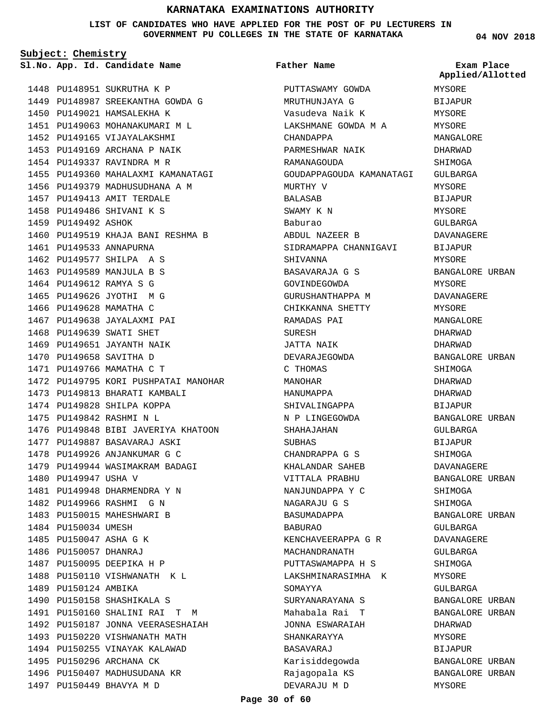**LIST OF CANDIDATES WHO HAVE APPLIED FOR THE POST OF PU LECTURERS IN GOVERNMENT PU COLLEGES IN THE STATE OF KARNATAKA**

**Father Name**

**Subject: Chemistry**

**App. Id. Candidate Name Sl.No. Exam Place**

1448 PU148951 SUKRUTHA K P 1449 PU148987 SREEKANTHA GOWDA G 1450 PU149021 HAMSALEKHA K 1451 PU149063 MOHANAKUMARI M L 1452 PU149165 VIJAYALAKSHMI 1453 PU149169 ARCHANA P NAIK 1454 PU149337 RAVINDRA M R 1455 PU149360 MAHALAXMI KAMANATAGI 1456 PU149379 MADHUSUDHANA A M 1457 PU149413 AMIT TERDALE 1458 PU149486 SHIVANI K S 1459 PU149492 ASHOK 1460 PU149519 KHAJA BANI RESHMA B 1461 PU149533 ANNAPURNA 1462 PU149577 SHILPA A S 1463 PU149589 MANJULA B S 1464 PU149612 RAMYA S G 1465 PU149626 JYOTHI M G 1466 PU149628 MAMATHA C 1467 PU149638 JAYALAXMI PAI 1468 PU149639 SWATI SHET 1469 PU149651 JAYANTH NAIK 1470 PU149658 SAVITHA D 1471 PU149766 MAMATHA C T 1472 PU149795 KORI PUSHPATAI MANOHAR 1473 PU149813 BHARATI KAMBALI 1474 PU149828 SHILPA KOPPA PU149842 RASHMI N L 1475 1476 PU149848 BIBI JAVERIYA KHATOON 1477 PU149887 BASAVARAJ ASKI 1478 PU149926 ANJANKUMAR G C 1479 PU149944 WASIMAKRAM BADAGI 1480 PU149947 USHA V 1481 PU149948 DHARMENDRA Y N 1482 PU149966 RASHMI G N 1483 PU150015 MAHESHWARI B 1484 PU150034 UMESH 1485 PU150047 ASHA G K 1486 PU150057 DHANRAJ 1487 PU150095 DEEPIKA H P 1488 PU150110 VISHWANATH K L 1489 PU150124 AMBIKA 1490 PU150158 SHASHIKALA S PU150160 SHALINI RAI T M 1491 1492 PU150187 JONNA VEERASESHAIAH 1493 PU150220 VISHWANATH MATH 1494 PU150255 VINAYAK KALAWAD 1495 PU150296 ARCHANA CK 1496 PU150407 MADHUSUDANA KR 1497 PU150449 BHAVYA M D

PUTTASWAMY GOWDA MRUTHUNJAYA G Vasudeva Naik K LAKSHMANE GOWDA M A CHANDAPPA PARMESHWAR NAIK RAMANAGOUDA GOUDAPPAGOUDA KAMANATAGI MURTHY V BALASAB SWAMY K N Baburao ABDUL NAZEER B SIDRAMAPPA CHANNIGAVI SHIVANNA BASAVARAJA G S GOVINDEGOWDA GURUSHANTHAPPA M CHIKKANNA SHETTY RAMADAS PAI SURESH JATTA NAIK DEVARAJEGOWDA C THOMAS MANOHAR HANUMAPPA SHIVALINGAPPA N P LINGEGOWDA SHAHAJAHAN SUBHAS CHANDRAPPA G S KHALANDAR SAHEB VITTALA PRABHU NANJUNDAPPA Y C NAGARAJU G S BASUMADAPPA BABURAO KENCHAVEERAPPA G R MACHANDRANATH PUTTASWAMAPPA H S LAKSHMINARASIMHA K SOMAYYA SURYANARAYANA S Mahabala Rai T JONNA ESWARAIAH SHANKARAYYA BASAVARAJ Karisiddegowda Rajagopala KS DEVARAJU M D

**04 NOV 2018**

**Applied/Allotted**

## MYSORE BIJAPUR MYSORE MYSORE MANGALORE DHARWAD SHIMOGA GULBARGA **MYSORE** BIJAPUR MYSORE GULBARGA DAVANAGERE BIJAPUR MYSORE BANGALORE URBAN MYSORE DAVANAGERE MYSORE MANGALORE DHARWAD DHARWAD BANGALORE URBAN SHIMOGA DHARWAD DHARWAD **BIJAPUR** BANGALORE URBAN GULBARGA BIJAPUR SHIMOGA DAVANAGERE BANGALORE URBAN SHIMOGA SHIMOGA BANGALORE URBAN GULBARGA DAVANAGERE GULBARGA SHIMOGA MYSORE GULBARGA BANGALORE URBAN BANGALORE URBAN DHARWAD MYSORE BIJAPUR BANGALORE URBAN BANGALORE URBAN

MYSORE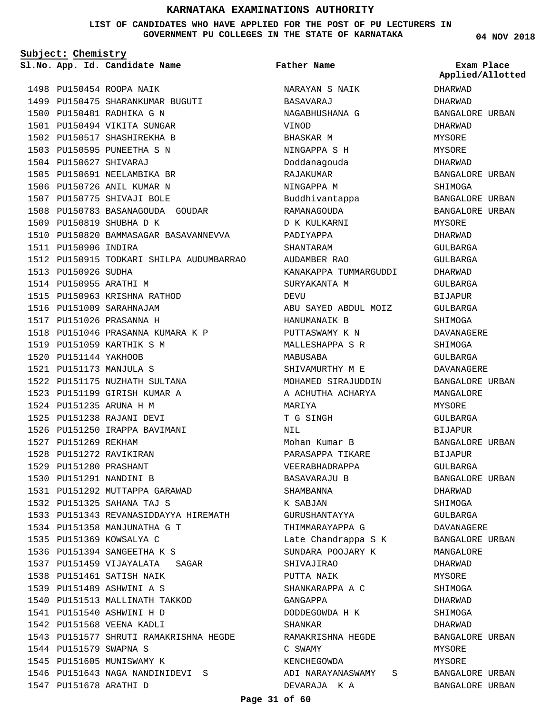#### **LIST OF CANDIDATES WHO HAVE APPLIED FOR THE POST OF PU LECTURERS IN GOVERNMENT PU COLLEGES IN THE STATE OF KARNATAKA**

**Subject: Chemistry**

**App. Id. Candidate Name Sl.No. Exam Place**

**Father Name**

1498 PU150454 ROOPA NAIK 1499 PU150475 SHARANKUMAR BUGUTI 1500 PU150481 RADHIKA G N 1501 PU150494 VIKITA SUNGAR 1502 PU150517 SHASHIREKHA B 1503 PU150595 PUNEETHA S N PU150627 SHIVARAJ 1504 1505 PU150691 NEELAMBIKA BR 1506 PU150726 ANIL KUMAR N 1507 PU150775 SHIVAJI BOLE 1508 PU150783 BASANAGOUDA GOUDAR 1509 PU150819 SHUBHA D K 1510 PU150820 BAMMASAGAR BASAVANNEVVA 1511 PU150906 INDIRA 1512 PU150915 TODKARI SHILPA AUDUMBARRAO 1513 PU150926 SUDHA 1514 PU150955 ARATHI M 1515 PU150963 KRISHNA RATHOD 1516 PU151009 SARAHNAJAM 1517 PU151026 PRASANNA H 1518 PU151046 PRASANNA KUMARA K P 1519 PU151059 KARTHIK S M 1520 PU151144 YAKHOOB PU151173 MANJULA S 1521 1522 PU151175 NUZHATH SULTANA 1523 PU151199 GIRISH KUMAR A 1524 PU151235 ARUNA H M PU151238 RAJANI DEVI 1525 1526 PU151250 IRAPPA BAVIMANI 1527 PU151269 REKHAM 1528 PU151272 RAVIKIRAN PU151280 PRASHANT 1529 1530 PU151291 NANDINI B 1531 PU151292 MUTTAPPA GARAWAD PU151325 SAHANA TAJ S 1532 1533 PU151343 REVANASIDDAYYA HIREMATH 1534 PU151358 MANJUNATHA G T 1535 PU151369 KOWSALYA C 1536 PU151394 SANGEETHA K S 1537 PU151459 VIJAYALATA SAGAR PU151461 SATISH NAIK 1538 PU151489 ASHWINI A S 1539 1540 PU151513 MALLINATH TAKKOD PU151540 ASHWINI H D 1541 1542 PU151568 VEENA KADLI 1543 PU151577 SHRUTI RAMAKRISHNA HEGDE 1544 PU151579 SWAPNA S 1545 PU151605 MUNISWAMY K 1546 PU151643 NAGA NANDINIDEVI S 1547 PU151678 ARATHI D

NARAYAN S NAIK BASAVARAJ NAGABHUSHANA G VINOD BHASKAR M NINGAPPA S H Doddanagouda RAJAKUMAR NINGAPPA M Buddhivantappa RAMANAGOUDA D K KULKARNI PADIYAPPA SHANTARAM AUDAMBER RAO KANAKAPPA TUMMARGUDDI SURYAKANTA M DEVII ABU SAYED ABDUL MOIZ HANUMANAIK B PUTTASWAMY K N MALLESHAPPA S R MABUSABA SHIVAMURTHY M E MOHAMED SIRAJUDDIN A ACHUTHA ACHARYA MARIYA T G SINGH NTL Mohan Kumar B PARASAPPA TIKARE VEERABHADRAPPA BASAVARAJU B SHAMBANNA K SABJAN GURUSHANTAYYA THIMMARAYAPPA G Late Chandrappa S K SUNDARA POOJARY K SHIVAJIRAO PUTTA NAIK SHANKARAPPA A C GANGAPPA DODDEGOWDA H K SHANKAR RAMAKRISHNA HEGDE C SWAMY KENCHEGOWDA ADI NARAYANASWAMY S DEVARAJA K A

**04 NOV 2018**

DHARWAD DHARWAD BANGALORE URBAN DHARWAD MYSORE MYSORE DHARWAD BANGALORE URBAN SHIMOGA BANGALORE URBAN BANGALORE URBAN MYSORE DHARWAD GULBARGA GULBARGA DHARWAD GULBARGA **BIJAPUR** GULBARGA **SHIMOGA** DAVANAGERE SHIMOGA GULBARGA DAVANAGERE BANGALORE URBAN MANGALORE MYSORE GULBARGA BIJAPUR BANGALORE URBAN BIJAPUR GULBARGA BANGALORE URBAN DHARWAD SHIMOGA GULBARGA DAVANAGERE BANGALORE URBAN MANGALORE DHARWAD MYSORE SHIMOGA DHARWAD SHIMOGA DHARWAD BANGALORE URBAN MYSORE MYSORE BANGALORE URBAN BANGALORE URBAN **Applied/Allotted**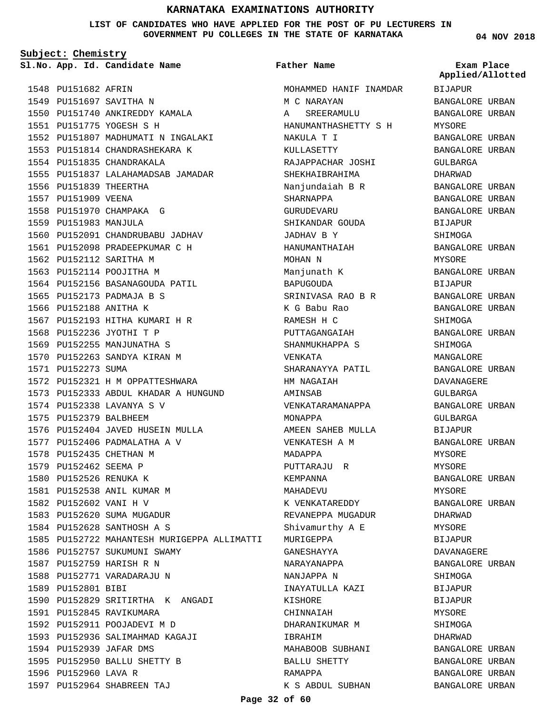**LIST OF CANDIDATES WHO HAVE APPLIED FOR THE POST OF PU LECTURERS IN GOVERNMENT PU COLLEGES IN THE STATE OF KARNATAKA**

**Subject: Chemistry**

**App. Id. Candidate Name Sl.No. Exam Place**

1548 PU151682 AFRIN 1549 PU151697 SAVITHA N 1550 PU151740 ANKIREDDY KAMALA PU151775 YOGESH S H 1551 1552 PU151807 MADHUMATI N INGALAKI 1553 PU151814 CHANDRASHEKARA K 1554 PU151835 CHANDRAKALA 1555 PU151837 LALAHAMADSAB JAMADAR 1556 PU151839 THEERTHA 1557 PU151909 VEENA 1558 PU151970 CHAMPAKA G 1559 PU151983 MANJULA 1560 PU152091 CHANDRUBABU JADHAV 1561 PU152098 PRADEEPKUMAR C H 1562 PU152112 SARITHA M 1563 PU152114 POOJITHA M 1564 PU152156 BASANAGOUDA PATIL 1565 PU152173 PADMAJA B S 1566 PU152188 ANITHA K 1567 PU152193 HITHA KUMARI H R 1568 PU152236 JYOTHI T P 1569 PU152255 MANJUNATHA S 1570 PU152263 SANDYA KIRAN M 1571 PU152273 SUMA 1572 PU152321 H M OPPATTESHWARA 1573 PU152333 ABDUL KHADAR A HUNGUND 1574 PU152338 LAVANYA S V 1575 PU152379 BALBHEEM 1576 PU152404 JAVED HUSEIN MULLA 1577 PU152406 PADMALATHA A V 1578 PU152435 CHETHAN M 1579 PU152462 SEEMA P 1580 PU152526 RENUKA K 1581 PU152538 ANIL KUMAR M 1582 PU152602 VANI H V 1583 PU152620 SUMA MUGADUR 1584 PU152628 SANTHOSH A S 1585 PU152722 MAHANTESH MURIGEPPA ALLIMATTI 1586 PU152757 SUKUMUNI SWAMY 1587 PU152759 HARISH R N 1588 PU152771 VARADARAJU N 1589 PU152801 BIBI 1590 PU152829 SRITIRTHA K ANGADI 1591 PU152845 RAVIKUMARA 1592 PU152911 POOJADEVI M D 1593 PU152936 SALIMAHMAD KAGAJI 1594 PU152939 JAFAR DMS 1595 PU152950 BALLU SHETTY B 1596 PU152960 LAVA R

PU152964 SHABREEN TAJ 1597

**Father Name**

MOHAMMED HANIF INAMDAR M C NARAYAN A SREERAMULU HANUMANTHASHETTY S H NAKULA T I KULLASETTY RAJAPPACHAR JOSHI SHEKHAIBRAHIMA Nanjundaiah B R SHARNAPPA **GURUDEVARU** SHIKANDAR GOUDA JADHAV B Y HANUMANTHAIAH MOHAN N Manjunath K BAPUGOUDA SRINIVASA RAO B R K G Babu Rao RAMESH H C PUTTAGANGAIAH SHANMUKHAPPA S VENKATA SHARANAYYA PATIL HM NAGAIAH AMINSAB VENKATARAMANAPPA MONAPPA AMEEN SAHEB MULLA VENKATESH A M MADAPPA PUTTARAJU R KEMPANNA MAHADEVU K VENKATAREDDY REVANEPPA MUGADUR Shivamurthy A E MURIGEPPA GANESHAYYA NARAYANAPPA NANJAPPA N INAYATULLA KAZI KISHORE CHINNAIAH DHARANIKUMAR M IBRAHIM MAHABOOB SUBHANI BALLU SHETTY RAMAPPA K S ABDUL SUBHAN **04 NOV 2018**

BIJAPUR BANGALORE URBAN BANGALORE URBAN MYSORE BANGALORE URBAN BANGALORE URBAN GULBARGA DHARWAD BANGALORE URBAN BANGALORE URBAN BANGALORE URBAN BIJAPUR SHIMOGA BANGALORE URBAN MYSORE BANGALORE URBAN BIJAPUR BANGALORE URBAN BANGALORE URBAN SHIMOGA BANGALORE URBAN SHIMOGA MANGALORE BANGALORE URBAN DAVANAGERE GULBARGA BANGALORE URBAN GULBARGA BIJAPUR BANGALORE URBAN MYSORE MYSORE BANGALORE URBAN MYSORE BANGALORE URBAN DHARWAD MYSORE BIJAPUR DAVANAGERE BANGALORE URBAN SHIMOGA BIJAPUR BIJAPUR MYSORE SHIMOGA DHARWAD BANGALORE URBAN BANGALORE URBAN BANGALORE URBAN BANGALORE URBAN **Applied/Allotted**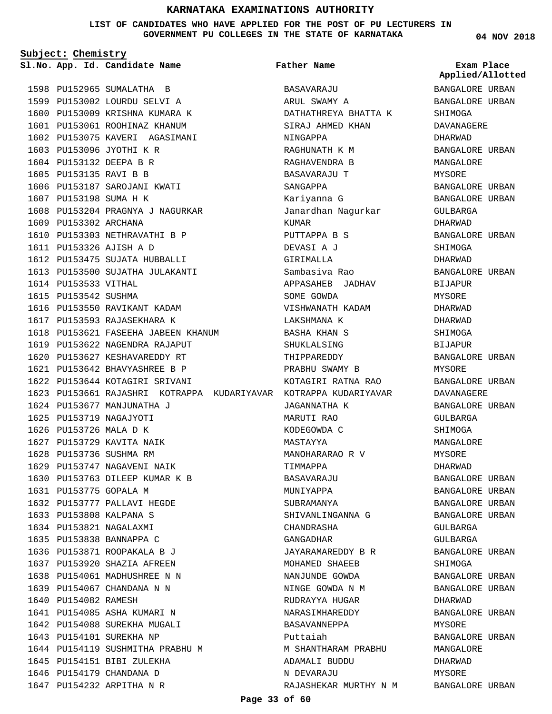**LIST OF CANDIDATES WHO HAVE APPLIED FOR THE POST OF PU LECTURERS IN GOVERNMENT PU COLLEGES IN THE STATE OF KARNATAKA**

**Subject: Chemistry**

**App. Id. Candidate Name Sl.No. Exam Place**

1598 PU152965 SUMALATHA B 1599 PU153002 LOURDU SELVI A 1600 PU153009 KRISHNA KUMARA K 1601 PU153061 ROOHINAZ KHANUM 1602 PU153075 KAVERI AGASIMANI

1603 PU153096 JYOTHI K R 1604 PU153132 DEEPA B R 1605 PU153135 RAVI B B

1607 PU153198 SUMA H K

1609 PU153302 ARCHANA

1614 PU153533 VITHAL 1615 PU153542 SUSHMA

PU153326 AJISH A D 1611

1606 PU153187 SAROJANI KWATI

1610 PU153303 NETHRAVATHI B P

1612 PU153475 SUJATA HUBBALLI 1613 PU153500 SUJATHA JULAKANTI

1616 PU153550 RAVIKANT KADAM 1617 PU153593 RAJASEKHARA K

1619 PU153622 NAGENDRA RAJAPUT 1620 PU153627 KESHAVAREDDY RT PU153642 BHAVYASHREE B P 1621 1622 PU153644 KOTAGIRI SRIVANI

1624 PU153677 MANJUNATHA J 1625 PU153719 NAGAJYOTI 1626 PU153726 MALA D K 1627 PU153729 KAVITA NAIK 1628 PU153736 SUSHMA RM 1629 PU153747 NAGAVENI NAIK 1630 PU153763 DILEEP KUMAR K B

PU153775 GOPALA M 1631

1640 PU154082 RAMESH

1641 PU154085 ASHA KUMARI N 1642 PU154088 SUREKHA MUGALI 1643 PU154101 SUREKHA NP

1645 PU154151 BIBI ZULEKHA 1646 PU154179 CHANDANA D 1647 PU154232 ARPITHA N R

1644 PU154119 SUSHMITHA PRABHU M

1632 PU153777 PALLAVI HEGDE PU153808 KALPANA S 1633 1634 PU153821 NAGALAXMI 1635 PU153838 BANNAPPA C 1636 PU153871 ROOPAKALA B J 1637 PU153920 SHAZIA AFREEN 1638 PU154061 MADHUSHREE N N PU154067 CHANDANA N N 1639

1618 PU153621 FASEEHA JABEEN KHANUM

1608 PU153204 PRAGNYA J NAGURKAR

**Father Name**

1623 PU153661 RAJASHRI KOTRAPPA KUDARIYAVAR KOTRAPPA KUDARIYAVAR BASAVARAJU ARUL SWAMY A DATHATHREYA BHATTA K SIRAJ AHMED KHAN NINGAPPA RAGHUNATH K M RAGHAVENDRA B BASAVARAJU T SANGAPPA Kariyanna G Janardhan Nagurkar KUMAR PUTTAPPA B S DEVASI A J GIRIMALLA Sambasiva Rao APPASAHEB JADHAV SOME GOWDA VISHWANATH KADAM LAKSHMANA K BASHA KHAN S SHUKLALSING THIPPAREDDY PRABHU SWAMY B KOTAGIRI RATNA RAO JAGANNATHA K MARUTI RAO KODEGOWDA C MASTAYYA MANOHARARAO R V TIMMAPPA BASAVARAJU MUNIYAPPA SUBRAMANYA SHIVANLINGANNA G CHANDRASHA GANGADHAR JAYARAMAREDDY B R MOHAMED SHAEEB NANJUNDE GOWDA NINGE GOWDA N M RUDRAYYA HUGAR NARASIMHAREDDY BASAVANNEPPA Puttaiah M SHANTHARAM PRABHU ADAMALI BUDDU N DEVARAJU RAJASHEKAR MURTHY N M **04 NOV 2018**

**Applied/Allotted**

BANGALORE URBAN BANGALORE URBAN SHIMOGA DAVANAGERE DHARWAD BANGALORE URBAN MANGALORE MYSORE BANGALORE URBAN BANGALORE URBAN GULBARGA DHARWAD BANGALORE URBAN SHIMOGA DHARWAD BANGALORE URBAN BIJAPUR MYSORE DHARWAD DHARWAD SHIMOGA BIJAPUR BANGALORE URBAN MYSORE BANGALORE URBAN DAVANAGERE BANGALORE URBAN GULBARGA SHIMOGA MANGALORE MYSORE DHARWAD BANGALORE URBAN BANGALORE URBAN BANGALORE URBAN BANGALORE URBAN GULBARGA GULBARGA BANGALORE URBAN SHIMOGA BANGALORE URBAN BANGALORE URBAN DHARWAD BANGALORE URBAN MYSORE BANGALORE URBAN MANGALORE DHARWAD MYSORE BANGALORE URBAN

**Page 33 of 60**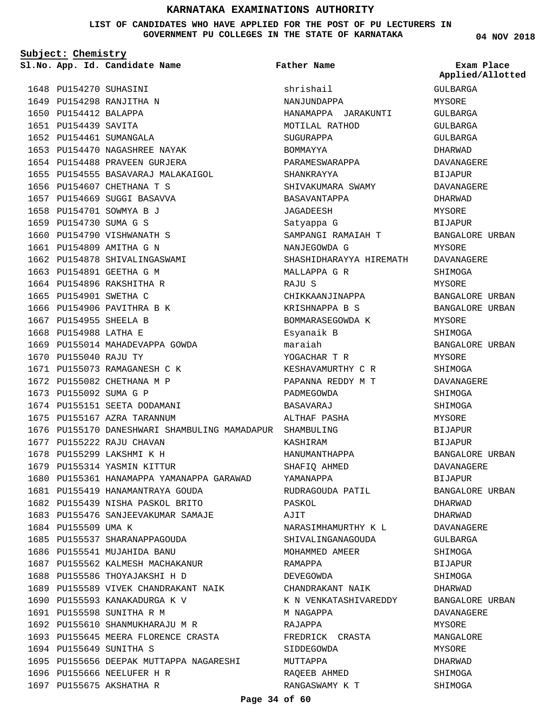**LIST OF CANDIDATES WHO HAVE APPLIED FOR THE POST OF PU LECTURERS IN GOVERNMENT PU COLLEGES IN THE STATE OF KARNATAKA**

**Father Name**

**Subject: Chemistry**

1648 PU154270 SUHASINI 1649 PU154298 RANJITHA N 1650 PU154412 BALAPPA 1651 PU154439 SAVITA 1652 PU154461 SUMANGALA 1653 PU154470 NAGASHREE NAYAK 1654 PU154488 PRAVEEN GURJERA 1655 PU154555 BASAVARAJ MALAKAIGOL 1656 PU154607 CHETHANA T S 1657 PU154669 SUGGI BASAVVA 1658 PU154701 SOWMYA B J PU154730 SUMA G S 1659 1660 PU154790 VISHWANATH S 1661 PU154809 AMITHA G N 1662 PU154878 SHIVALINGASWAMI 1663 PU154891 GEETHA G M 1664 PU154896 RAKSHITHA R 1665 PU154901 SWETHA C 1666 PU154906 PAVITHRA B K 1667 PU154955 SHEELA B 1668 PU154988 LATHA E 1669 PU155014 MAHADEVAPPA GOWDA 1670 PU155040 RAJU TY 1671 PU155073 RAMAGANESH C K 1672 PU155082 CHETHANA M P 1673 PU155092 SUMA G P 1674 PU155151 SEETA DODAMANI 1675 PU155167 AZRA TARANNUM 1676 PU155170 DANESHWARI SHAMBULING MAMADAPUR SHAMBULING 1677 PU155222 RAJU CHAVAN 1678 PU155299 LAKSHMI K H 1679 PU155314 YASMIN KITTUR 1680 PU155361 HANAMAPPA YAMANAPPA GARAWAD 1681 PU155419 HANAMANTRAYA GOUDA 1682 PU155439 NISHA PASKOL BRITO 1683 PU155476 SANJEEVAKUMAR SAMAJE 1684 PU155509 UMA K 1685 PU155537 SHARANAPPAGOUDA 1686 PU155541 MUJAHIDA BANU 1687 PU155562 KALMESH MACHAKANUR 1688 PU155586 THOYAJAKSHI H D 1689 PU155589 VIVEK CHANDRAKANT NAIK 1690 PU155593 KANAKADURGA K V 1691 PU155598 SUNITHA R M 1692 PU155610 SHANMUKHARAJU M R 1693 PU155645 MEERA FLORENCE CRASTA 1694 PU155649 SUNITHA S 1695 PU155656 DEEPAK MUTTAPPA NAGARESHI 1696 PU155666 NEELUFER H R

1697 PU155675 AKSHATHA R

shrishail NANJUNDAPPA HANAMAPPA JARAKUNTI MOTILAL RATHOD SUGURAPPA BOMMAYYA PARAMESWARAPPA SHANKRAYYA SHIVAKUMARA SWAMY BASAVANTAPPA JAGADEESH Satyappa G SAMPANGI RAMAIAH T NANJEGOWDA G SHASHIDHARAYYA HIREMATH MALLAPPA G R RAJU S CHIKKAANJINAPPA KRISHNAPPA B S BOMMARASEGOWDA K Esyanaik B maraiah YOGACHAR T R KESHAVAMURTHY C R PAPANNA REDDY M T PADMEGOWDA BASAVARAJ ALTHAF PASHA KASHIRAM HANUMANTHAPPA SHAFIQ AHMED YAMANAPPA RUDRAGOUDA PATIL PASKOL AJIT NARASIMHAMURTHY K L SHIVALINGANAGOUDA MOHAMMED AMEER RAMAPPA DEVEGOWDA CHANDRAKANT NAIK K N VENKATASHIVAREDDY M NAGAPPA RAJAPPA FREDRICK CRASTA SIDDEGOWDA MUTTAPPA RAQEEB AHMED RANGASWAMY K T

**04 NOV 2018**

**App. Id. Candidate Name Sl.No. Exam Place Applied/Allotted**

> GULBARGA MYSORE GULBARGA GULBARGA GULBARGA DHARWAD DAVANAGERE BIJAPUR DAVANAGERE DHARWAD MYSORE BIJAPUR BANGALORE URBAN MYSORE DAVANAGERE SHIMOGA MYSORE BANGALORE URBAN BANGALORE URBAN MYSORE SHIMOGA BANGALORE URBAN MYSORE SHIMOGA DAVANAGERE SHIMOGA **SHIMOGA** MYSORE BIJAPUR BIJAPUR BANGALORE URBAN DAVANAGERE BIJAPUR BANGALORE URBAN DHARWAD DHARWAD DAVANAGERE GULBARGA SHIMOGA BIJAPUR SHIMOGA DHARWAD BANGALORE URBAN DAVANAGERE **MYSORE** MANGALORE MYSORE DHARWAD SHIMOGA

SHIMOGA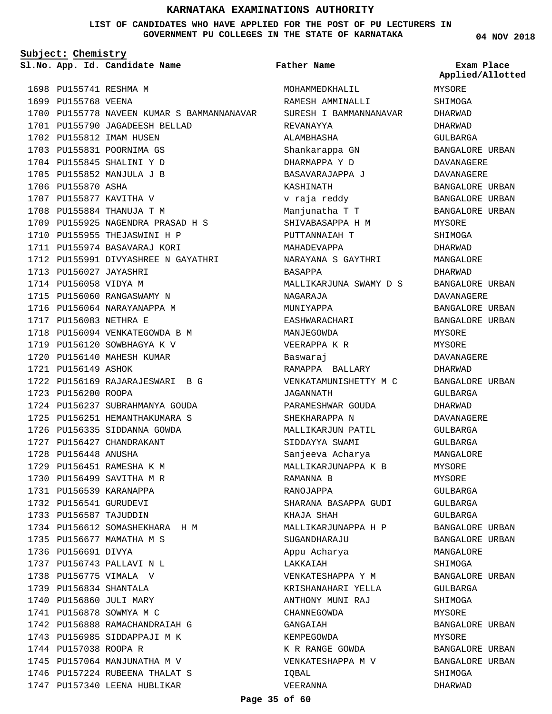**LIST OF CANDIDATES WHO HAVE APPLIED FOR THE POST OF PU LECTURERS IN GOVERNMENT PU COLLEGES IN THE STATE OF KARNATAKA**

**Subject: Chemistry**

**App. Id. Candidate Name Sl.No. Exam Place**

1698 PU155741 RESHMA M 1699 PU155768 VEENA 1700 PU155778 NAVEEN KUMAR S BAMMANNANAVAR 1701 PU155790 JAGADEESH BELLAD 1702 PU155812 IMAM HUSEN 1703 PU155831 POORNIMA GS 1704 PU155845 SHALINI Y D 1705 PU155852 MANJULA J B 1706 PU155870 ASHA 1707 PU155877 KAVITHA V 1708 PU155884 THANUJA T M 1709 PU155925 NAGENDRA PRASAD H S 1710 PU155955 THEJASWINI H P 1711 PU155974 BASAVARAJ KORI 1712 PU155991 DIVYASHREE N GAYATHRI 1713 PU156027 JAYASHRI 1714 PU156058 VIDYA M 1715 PU156060 RANGASWAMY N 1716 PU156064 NARAYANAPPA M 1717 PU156083 NETHRA E 1718 PU156094 VENKATEGOWDA B M 1719 PU156120 SOWBHAGYA K V 1720 PU156140 MAHESH KUMAR 1721 PU156149 ASHOK PU156169 RAJARAJESWARI B G 1722 1723 PU156200 ROOPA 1724 PU156237 SUBRAHMANYA GOUDA 1725 PU156251 HEMANTHAKUMARA S 1726 PU156335 SIDDANNA GOWDA 1727 PU156427 CHANDRAKANT 1728 PU156448 ANUSHA 1729 PU156451 RAMESHA K M 1730 PU156499 SAVITHA M R 1731 PU156539 KARANAPPA 1732 PU156541 GURUDEVI 1733 PU156587 TAJUDDIN 1734 PU156612 SOMASHEKHARA H M 1735 PU156677 MAMATHA M S 1736 PU156691 DIVYA PU156743 PALLAVI N L 1737 1738 PU156775 VIMALA V PU156834 SHANTALA 1739 1740 PU156860 JULI MARY 1741 PU156878 SOWMYA M C 1742 PU156888 RAMACHANDRAIAH G 1743 PU156985 SIDDAPPAJI M K 1744 PU157038 ROOPA R 1745 PU157064 MANJUNATHA M V 1746 PU157224 RUBEENA THALAT S 1747 PU157340 LEENA HUBLIKAR

#### **Father Name**

MOHAMMEDKHALILL RAMESH AMMINALLI SURESH I BAMMANNANAVAR REVANAYYA ALAMBHASHA Shankarappa GN DHARMAPPA Y D BASAVARAJAPPA J KASHINATH v raja reddy Manjunatha T T SHIVABASAPPA H M PUTTANNAIAH T MAHADEVAPPA NARAYANA S GAYTHRI BASAPPA MALLIKARJUNA SWAMY D S NAGARAJA MUNIYAPPA EASHWARACHARI MANJEGOWDA VEERAPPA K R Baswaraj RAMAPPA BALLARY VENKATAMUNISHETTY M C JAGANNATH PARAMESHWAR GOUDA SHEKHARAPPA N MALLIKARJUN PATIL SIDDAYYA SWAMI Sanjeeva Acharya MALLIKARJUNAPPA K B RAMANNA B RANOJAPPA SHARANA BASAPPA GUDI KHAJA SHAH MALLIKARJUNAPPA H P **SUGANDHARAJU** Appu Acharya LAKKAIAH VENKATESHAPPA Y M KRISHANAHARI YELLA ANTHONY MUNI RAJ CHANNEGOWDA GANGAIAH KEMPEGOWDA K R RANGE GOWDA VENKATESHAPPA M V IQBAL VEERANNA

**04 NOV 2018**

MYSORE SHIMOGA DHARWAD DHARWAD GULBARGA BANGALORE URBAN DAVANAGERE DAVANAGERE BANGALORE URBAN BANGALORE URBAN BANGALORE URBAN MYSORE SHIMOGA DHARWAD MANGALORE DHARWAD BANGALORE URBAN DAVANAGERE BANGALORE URBAN BANGALORE URBAN MYSORE MYSORE DAVANAGERE DHARWAD BANGALORE URBAN GULBARGA DHARWAD DAVANAGERE GULBARGA GULBARGA MANGALORE MYSORE MYSORE GULBARGA GULBARGA GULBARGA BANGALORE URBAN BANGALORE URBAN MANGALORE SHIMOGA BANGALORE URBAN GULBARGA SHIMOGA MYSORE BANGALORE URBAN MYSORE BANGALORE URBAN BANGALORE URBAN SHIMOGA **Applied/Allotted**

DHARWAD

**Page 35 of 60**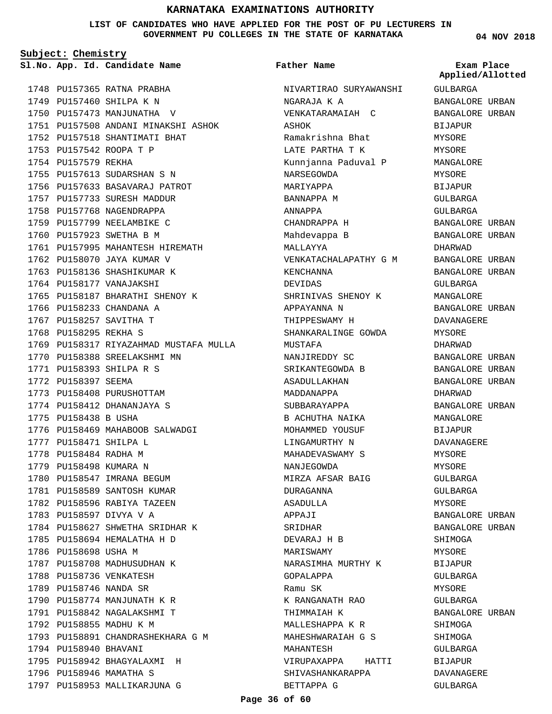**LIST OF CANDIDATES WHO HAVE APPLIED FOR THE POST OF PU LECTURERS IN GOVERNMENT PU COLLEGES IN THE STATE OF KARNATAKA**

**Subject: Chemistry**

**App. Id. Candidate Name Sl.No. Exam Place**

1748 PU157365 RATNA PRABHA 1749 PU157460 SHILPA K N 1750 PU157473 MANJUNATHA V 1751 PU157508 ANDANI MINAKSHI ASHOK 1752 PU157518 SHANTIMATI BHAT 1753 PU157542 ROOPA T P 1754 PU157579 REKHA 1755 PU157613 SUDARSHAN S N 1756 PU157633 BASAVARAJ PATROT 1757 PU157733 SURESH MADDUR 1758 PU157768 NAGENDRAPPA 1759 PU157799 NEELAMBIKE C 1760 PU157923 SWETHA B M 1761 PU157995 MAHANTESH HIREMATH 1762 PU158070 JAYA KUMAR V 1763 PU158136 SHASHIKUMAR K 1764 PU158177 VANAJAKSHI 1765 PU158187 BHARATHI SHENOY K 1766 PU158233 CHANDANA A 1767 PU158257 SAVITHA T 1768 PU158295 REKHA S 1769 PU158317 RIYAZAHMAD MUSTAFA MULLA 1770 PU158388 SREELAKSHMI MN PU158393 SHILPA R S 1771 1772 PU158397 SEEMA 1773 PU158408 PURUSHOTTAM 1774 PU158412 DHANANJAYA S 1775 PU158438 B USHA 1776 PU158469 MAHABOOB SALWADGI 1777 PU158471 SHILPA L 1778 PU158484 RADHA M 1779 PU158498 KUMARA N 1780 PU158547 IMRANA BEGUM 1781 PU158589 SANTOSH KUMAR 1782 PU158596 RABIYA TAZEEN 1783 PU158597 DIVYA V A 1784 PU158627 SHWETHA SRIDHAR K 1785 PU158694 HEMALATHA H D 1786 PU158698 USHA M 1787 PU158708 MADHUSUDHAN K 1788 PU158736 VENKATESH 1789 PU158746 NANDA SR 1790 PU158774 MANJUNATH K R 1791 PU158842 NAGALAKSHMI T 1792 PU158855 MADHU K M 1793 PU158891 CHANDRASHEKHARA G M 1794 PU158940 BHAVANI 1795 PU158942 BHAGYALAXMI H 1796 PU158946 MAMATHA S 1797 PU158953 MALLIKARJUNA G

#### **Father Name**

NIVARTIRAO SURYAWANSHI NGARAJA K A VENKATARAMAIAH C ASHOK Ramakrishna Bhat LATE PARTHA T K Kunnjanna Paduval P NARSEGOWDA MARIYAPPA BANNAPPA M ANNAPPA CHANDRAPPA H Mahdevappa B MALLAYYA VENKATACHALAPATHY G M KENCHANNA DEVIDAS SHRINIVAS SHENOY K APPAYANNA N THIPPESWAMY H SHANKARALINGE GOWDA MUSTAFA NANJIREDDY SC SRIKANTEGOWDA B ASADULLAKHAN MADDANAPPA SUBBARAYAPPA B ACHUTHA NAIKA MOHAMMED YOUSUF LINGAMURTHY N MAHADEVASWAMY S NANJEGOWDA MIRZA AFSAR BAIG DURAGANNA ASADULLA APPAJI SRIDHAR DEVARAJ H B MARISWAMY NARASIMHA MURTHY K GOPALAPPA Ramu SK K RANGANATH RAO THIMMAIAH K MALLESHAPPA K R MAHESHWARAIAH G S MAHANTESH VIRUPAXAPPA HATTI SHIVASHANKARAPPA BETTAPPA G

**04 NOV 2018**

**Applied/Allotted**

GULBARGA BANGALORE URBAN BANGALORE URBAN BIJAPUR MYSORE MYSORE MANGALORE MYSORE **BIJAPUR** GULBARGA GULBARGA BANGALORE URBAN BANGALORE URBAN DHARWAD BANGALORE URBAN BANGALORE URBAN GULBARGA MANGALORE BANGALORE URBAN DAVANAGERE MYSORE DHARWAD BANGALORE URBAN BANGALORE URBAN BANGALORE URBAN DHARWAD BANGALORE URBAN MANGALORE BIJAPUR DAVANAGERE MYSORE MYSORE GULBARGA GULBARGA MYSORE BANGALORE URBAN BANGALORE URBAN SHIMOGA **MYSORE** BIJAPUR GULBARGA MYSORE GULBARGA BANGALORE URBAN **SHIMOGA** SHIMOGA GULBARGA BIJAPUR DAVANAGERE GULBARGA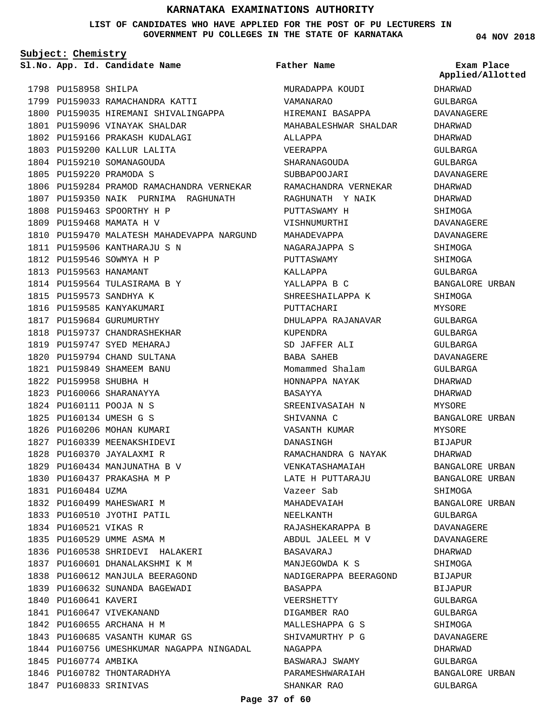**LIST OF CANDIDATES WHO HAVE APPLIED FOR THE POST OF PU LECTURERS IN GOVERNMENT PU COLLEGES IN THE STATE OF KARNATAKA**

**Subject: Chemistry**

**App. Id. Candidate Name Sl.No. Exam Place**

1798 PU158958 SHILPA 1799 PU159033 RAMACHANDRA KATTI 1800 PU159035 HIREMANI SHIVALINGAPPA 1801 PU159096 VINAYAK SHALDAR 1802 PU159166 PRAKASH KUDALAGI 1803 PU159200 KALLUR LALITA 1804 PU159210 SOMANAGOUDA 1805 PU159220 PRAMODA S 1806 PU159284 PRAMOD RAMACHANDRA VERNEKAR 1807 PU159350 NAIK PURNIMA RAGHUNATH 1808 PU159463 SPOORTHY H P 1809 PU159468 MAMATA H V 1810 PU159470 MALATESH MAHADEVAPPA NARGUND 1811 PU159506 KANTHARAJU S N 1812 PU159546 SOWMYA H P 1813 PU159563 HANAMANT 1814 PU159564 TULASIRAMA B Y 1815 PU159573 SANDHYA K 1816 PU159585 KANYAKUMARI 1817 PU159684 GURUMURTHY 1818 PU159737 CHANDRASHEKHAR 1819 PU159747 SYED MEHARAJ 1820 PU159794 CHAND SULTANA PU159849 SHAMEEM BANU 1821 1822 PU159958 SHUBHA H 1823 PU160066 SHARANAYYA PU160111 POOJA N S 1824 PU160134 UMESH G S 1825 1826 PU160206 MOHAN KUMARI 1827 PU160339 MEENAKSHIDEVI 1828 PU160370 JAYALAXMI R 1829 PU160434 MANJUNATHA B V PU160437 PRAKASHA M P 1830 1831 PU160484 UZMA 1832 PU160499 MAHESWARI M 1833 PU160510 JYOTHI PATIL 1834 PU160521 VIKAS R 1835 PU160529 UMME ASMA M 1836 PU160538 SHRIDEVI HALAKERI 1837 PU160601 DHANALAKSHMI K M 1838 PU160612 MANJULA BEERAGOND 1839 PU160632 SUNANDA BAGEWADI 1840 PU160641 KAVERI 1841 PU160647 VIVEKANAND 1842 PU160655 ARCHANA H M 1843 PU160685 VASANTH KUMAR GS 1844 PU160756 UMESHKUMAR NAGAPPA NINGADAL 1845 PU160774 AMBIKA 1846 PU160782 THONTARADHYA 1847 PU160833 SRINIVAS

## **Father Name**

MURADAPPA KOUDI VAMANARAO HIREMANI BASAPPA MAHABALESHWAR SHALDAR ALLAPPA VEERAPPA SHARANAGOUDA SUBBAPOOJARI RAMACHANDRA VERNEKAR RAGHUNATH Y NAIK PUTTASWAMY H VISHNUMURTHI MAHADEVAPPA NAGARAJAPPA S PUTTASWAMY KALLAPPA YALLAPPA B C SHREESHAILAPPA K PUTTACHARI DHULAPPA RAJANAVAR KUPENDRA SD JAFFER ALI BABA SAHEB Momammed Shalam HONNAPPA NAYAK BASAYYA SREENIVASAIAH N SHIVANNA C VASANTH KUMAR DANASINGH RAMACHANDRA G NAYAK VENKATASHAMAIAH LATE H PUTTARAJU Vazeer Sab MAHADEVAIAH NEELKANTH RAJASHEKARAPPA B ABDUL JALEEL M V BASAVARAJ MANJEGOWDA K S NADIGERAPPA BEERAGOND BASAPPA VEERSHETTY DIGAMBER RAO MALLESHAPPA G S SHIVAMURTHY P G NAGAPPA BASWARAJ SWAMY PARAMESHWARAIAH SHANKAR RAO

**04 NOV 2018**

**Applied/Allotted**

DHARWAD GULBARGA DAVANAGERE DHARWAD DHARWAD GULBARGA GULBARGA DAVANAGERE DHARWAD DHARWAD SHIMOGA DAVANAGERE DAVANAGERE SHIMOGA SHIMOGA GULBARGA BANGALORE URBAN **SHIMOGA** MYSORE GULBARGA GULBARGA GULBARGA DAVANAGERE GULBARGA DHARWAD DHARWAD **MYSORE** BANGALORE URBAN MYSORE BIJAPUR DHARWAD BANGALORE URBAN BANGALORE URBAN SHIMOGA BANGALORE URBAN GULBARGA DAVANAGERE DAVANAGERE DHARWAD SHIMOGA **BIJAPUR** BIJAPUR GULBARGA GULBARGA **SHIMOGA** DAVANAGERE DHARWAD GULBARGA BANGALORE URBAN

GULBARGA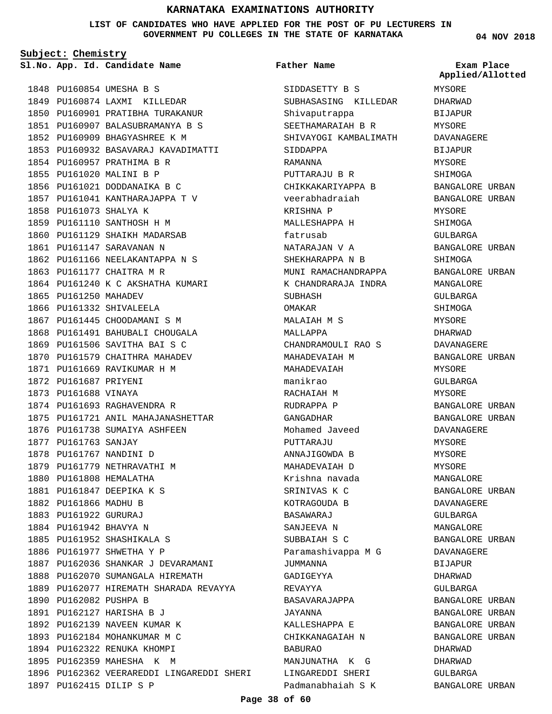**LIST OF CANDIDATES WHO HAVE APPLIED FOR THE POST OF PU LECTURERS IN GOVERNMENT PU COLLEGES IN THE STATE OF KARNATAKA**

**Subject: Chemistry**

**App. Id. Candidate Name Sl.No. Exam Place**

1848 PU160854 UMESHA B S 1849 PU160874 LAXMI KILLEDAR 1850 PU160901 PRATIBHA TURAKANUR PU160907 BALASUBRAMANYA B S 1851 1852 PU160909 BHAGYASHREE K M 1853 PU160932 BASAVARAJ KAVADIMATTI 1854 PU160957 PRATHIMA B R 1855 PU161020 MALINI B P 1856 PU161021 DODDANAIKA B C 1857 PU161041 KANTHARAJAPPA T V 1858 PU161073 SHALYA K 1859 PU161110 SANTHOSH H M 1860 PU161129 SHAIKH MADARSAB PU161147 SARAVANAN N 1861 1862 PU161166 NEELAKANTAPPA N S 1863 PU161177 CHAITRA M R 1864 PU161240 K C AKSHATHA KUMARI 1865 PU161250 MAHADEV 1866 PU161332 SHIVALEELA 1867 PU161445 CHOODAMANI S M 1868 PU161491 BAHUBALI CHOUGALA 1869 PU161506 SAVITHA BAI S C 1870 PU161579 CHAITHRA MAHADEV 1871 PU161669 RAVIKUMAR H M 1872 PU161687 PRIYENI 1873 PU161688 VINAYA 1874 PU161693 RAGHAVENDRA R 1875 PU161721 ANIL MAHAJANASHETTAR 1876 PU161738 SUMAIYA ASHFEEN 1877 PU161763 SANJAY 1878 PU161767 NANDINI D 1879 PU161779 NETHRAVATHI M 1880 PU161808 HEMALATHA PU161847 DEEPIKA K S 1881 1882 PU161866 MADHU B 1883 PU161922 GURURAJ 1884 PU161942 BHAVYA N 1885 PU161952 SHASHIKALA S 1886 PU161977 SHWETHA Y P 1887 PU162036 SHANKAR J DEVARAMANI 1888 PU162070 SUMANGALA HIREMATH 1889 PU162077 HIREMATH SHARADA REVAYYA 1890 PU162082 PUSHPA B PU162127 HARISHA B J 1891 1892 PU162139 NAVEEN KUMAR K 1893 PU162184 MOHANKUMAR M C 1894 PU162322 RENUKA KHOMPI 1895 PU162359 MAHESHA K M 1896 PU162362 VEERAREDDI LINGAREDDI SHERI PU162415 DILIP S P 1897

#### **Father Name**

SIDDASETTY B S SUBHASASING KILLEDAR Shivaputrappa SEETHAMARAIAH B R SHIVAYOGI KAMBALIMATH SIDDAPPA RAMANNA PUTTARAJU B R CHIKKAKARIYAPPA B veerabhadraiah KRISHNA P MALLESHAPPA H fatrusab NATARAJAN V A SHEKHARAPPA N B MUNI RAMACHANDRAPPA K CHANDRARAJA INDRA **SUBHASH** OMAKAR MALAIAH M S MALLAPPA CHANDRAMOULI RAO S MAHADEVAIAH M MAHADEVAIAH manikrao RACHAIAH M RUDRAPPA P GANGADHAR Mohamed Javeed PUTTARAJU ANNAJIGOWDA B MAHADEVAIAH D Krishna navada SRINIVAS K C KOTRAGOUDA B BASAWARAJ SANJEEVA N SUBBAIAH S C Paramashivappa M G JUMMANNA GADIGEYYA REVAYYA BASAVARAJAPPA JAYANNA KALLESHAPPA E CHIKKANAGAIAH N BABURAO MANJUNATHA K G LINGAREDDI SHERI Padmanabhaiah S K

**04 NOV 2018**

**Applied/Allotted**

MYSORE DHARWAD BIJAPUR MYSORE DAVANAGERE BIJAPUR MYSORE SHIMOGA BANGALORE URBAN BANGALORE URBAN MYSORE SHIMOGA GULBARGA BANGALORE URBAN SHIMOGA BANGALORE URBAN MANGALORE GULBARGA SHIMOGA MYSORE DHARWAD DAVANAGERE BANGALORE URBAN MYSORE GULBARGA MYSORE BANGALORE URBAN BANGALORE URBAN DAVANAGERE MYSORE MYSORE MYSORE MANGALORE BANGALORE URBAN DAVANAGERE  $CITIRARGA$ MANGALORE BANGALORE URBAN DAVANAGERE BIJAPUR DHARWAD GULBARGA BANGALORE URBAN BANGALORE URBAN BANGALORE URBAN BANGALORE URBAN DHARWAD DHARWAD GULBARGA

BANGALORE URBAN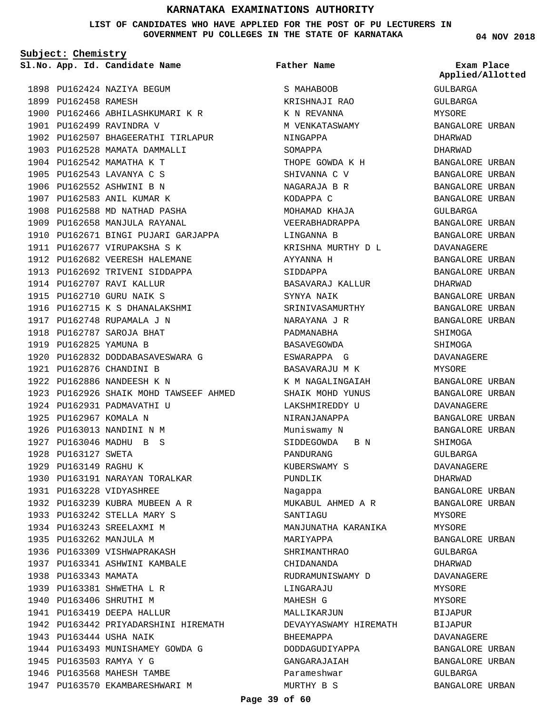**LIST OF CANDIDATES WHO HAVE APPLIED FOR THE POST OF PU LECTURERS IN GOVERNMENT PU COLLEGES IN THE STATE OF KARNATAKA**

**Subject: Chemistry**

**App. Id. Candidate Name Sl.No. Exam Place**

1898 PU162424 NAZIYA BEGUM 1899 PU162458 RAMESH 1900 PU162466 ABHILASHKUMARI K R 1901 PU162499 RAVINDRA V 1902 PU162507 BHAGEERATHI TIRLAPUR 1903 PU162528 MAMATA DAMMALLI 1904 PU162542 MAMATHA K T 1905 PU162543 LAVANYA C S 1906 PU162552 ASHWINI B N 1907 PU162583 ANIL KUMAR K 1908 PU162588 MD NATHAD PASHA 1909 PU162658 MANJULA RAYANAL 1910 PU162671 BINGI PUJARI GARJAPPA 1911 PU162677 VIRUPAKSHA S K 1912 PU162682 VEERESH HALEMANE 1913 PU162692 TRIVENI SIDDAPPA 1914 PU162707 RAVI KALLUR 1915 PU162710 GURU NAIK S 1916 PU162715 K S DHANALAKSHMI 1917 PU162748 RUPAMALA J N PU162787 SAROJA BHAT 1918 1919 PU162825 YAMUNA B 1920 PU162832 DODDABASAVESWARA G 1921 PU162876 CHANDINI B 1922 PU162886 NANDEESH K N PU162926 SHAIK MOHD TAWSEEF AHMED 1923 1924 PU162931 PADMAVATHI U 1925 PU162967 KOMALA N 1926 PU163013 NANDINI N M PU163046 MADHU B S 1927 1928 PU163127 SWETA 1929 PU163149 RAGHU K 1930 PU163191 NARAYAN TORALKAR PU163228 VIDYASHREE 1931 PU163239 KUBRA MUBEEN A R 1932 1933 PU163242 STELLA MARY S 1934 PU163243 SREELAXMI M 1935 PU163262 MANJULA M 1936 PU163309 VISHWAPRAKASH 1937 PU163341 ASHWINI KAMBALE 1938 PU163343 MAMATA 1939 PU163381 SHWETHA L R 1940 PU163406 SHRUTHI M 1941 PU163419 DEEPA HALLUR 1942 PU163442 PRIYADARSHINI HIREMATH 1943 PU163444 USHA NAIK 1944 PU163493 MUNISHAMEY GOWDA G 1945 PU163503 RAMYA Y G 1946 PU163568 MAHESH TAMBE 1947 PU163570 EKAMBARESHWARI M

S MAHAROOR KRISHNAJI RAO K N REVANNA M VENKATASWAMY NINGAPPA SOMAPPA THOPE GOWDA K H SHIVANNA C V NAGARAJA B R KODAPPA C MOHAMAD KHAJA VEERABHADRAPPA LINGANNA B KRISHNA MURTHY D L AYYANNA H SIDDAPPA BASAVARAJ KALLUR SYNYA NAIK SRINIVASAMURTHY NARAYANA J R PADMANABHA BASAVEGOWDA ESWARAPPA G BASAVARAJU M K K M NAGALINGAIAH SHAIK MOHD YUNUS LAKSHMIREDDY U NIRANJANAPPA Muniswamy N SIDDEGOWDA B N PANDURANG KUBERSWAMY S PUNDLIK Nagappa MUKABUL AHMED A R SANTIAGU MANJUNATHA KARANIKA MARIYAPPA SHRIMANTHRAO CHIDANANDA RUDRAMUNISWAMY D LINGARAJU MAHESH G MALLIKARJIIN DEVAYYASWAMY HIREMATH BHEEMAPPA DODDAGUDIYAPPA GANGARAJAIAH Parameshwar MURTHY B S **Father Name**

**04 NOV 2018**

GULBARGA GULBARGA MYSORE BANGALORE URBAN DHARWAD DHARWAD BANGALORE URBAN BANGALORE URBAN BANGALORE URBAN BANGALORE URBAN GULBARGA BANGALORE URBAN BANGALORE URBAN DAVANAGERE BANGALORE URBAN BANGALORE URBAN DHARWAD BANGALORE URBAN BANGALORE URBAN BANGALORE URBAN SHIMOGA SHIMOGA DAVANAGERE MYSORE BANGALORE URBAN BANGALORE URBAN DAVANAGERE BANGALORE URBAN BANGALORE URBAN SHIMOGA GULBARGA DAVANAGERE DHARWAD BANGALORE URBAN BANGALORE URBAN MYSORE MYSORE BANGALORE URBAN GULBARGA DHARWAD DAVANAGERE MYSORE MYSORE **BIJAPUR** BIJAPUR DAVANAGERE BANGALORE URBAN BANGALORE URBAN GULBARGA BANGALORE URBAN **Applied/Allotted**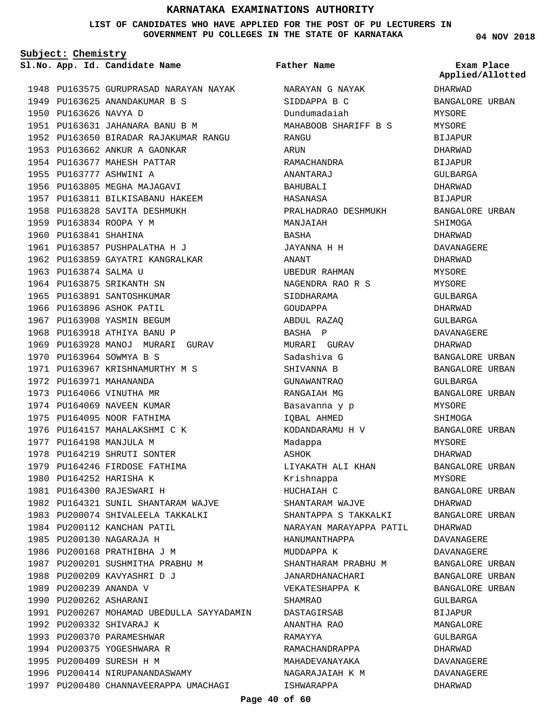#### **LIST OF CANDIDATES WHO HAVE APPLIED FOR THE POST OF PU LECTURERS IN GOVERNMENT PU COLLEGES IN THE STATE OF KARNATAKA**

**Father Name**

**Subject: Chemistry**

**App. Id. Candidate Name Sl.No. Exam Place**

1948 PU163575 GURUPRASAD NARAYAN NAYAK 1949 PU163625 ANANDAKUMAR B S 1950 PU163626 NAVYA D PU163631 JAHANARA BANU B M 1951 1952 PU163650 BIRADAR RAJAKUMAR RANGU 1953 PU163662 ANKUR A GAONKAR 1954 PU163677 MAHESH PATTAR 1955 PU163777 ASHWINI A 1956 PU163805 MEGHA MAJAGAVI 1957 PU163811 BILKISABANU HAKEEM 1958 PU163828 SAVITA DESHMUKH 1959 PU163834 ROOPA Y M 1960 PU163841 SHAHINA 1961 PU163857 PUSHPALATHA H J 1962 PU163859 GAYATRI KANGRALKAR 1963 PU163874 SALMA U 1964 PU163875 SRIKANTH SN 1965 PU163891 SANTOSHKUMAR 1966 PU163896 ASHOK PATIL 1967 PU163908 YASMIN BEGUM 1968 PU163918 ATHIYA BANU P 1969 PU163928 MANOJ MURARI GURAV 1970 PU163964 SOWMYA B S 1971 PU163967 KRISHNAMURTHY M S 1972 PU163971 MAHANANDA 1973 PU164066 VINUTHA MR 1974 PU164069 NAVEEN KUMAR 1975 PU164095 NOOR FATHIMA 1976 PU164157 MAHALAKSHMI C K 1977 PU164198 MANJULA M 1978 PU164219 SHRUTI SONTER 1979 PU164246 FIRDOSE FATHIMA 1980 PU164252 HARISHA K PU164300 RAJESWARI H 1981 1982 PU164321 SUNIL SHANTARAM WAJVE 1983 PU200074 SHIVALEELA TAKKALKI 1984 PU200112 KANCHAN PATIL 1985 PU200130 NAGARAJA H 1986 PU200168 PRATHIBHA J M 1987 PU200201 SUSHMITHA PRABHU M 1988 PU200209 KAVYASHRI D J 1989 PU200239 ANANDA V 1990 PU200262 ASHARANI 1991 PU200267 MOHAMAD UBEDULLA SAYYADAMIN 1992 PU200332 SHIVARAJ K 1993 PU200370 PARAMESHWAR 1994 PU200375 YOGESHWARA R 1995 PU200409 SURESH H M 1996 PU200414 NIRUPANANDASWAMY 1997 PU200480 CHANNAVEERAPPA UMACHAGI

NARAYAN G NAYAK SIDDAPPA B C Dundumadaiah MAHABOOB SHARIFF B S RANGU ARUN RAMACHANDRA ANANTARAJ BAHUBALI HASANASA PRALHADRAO DESHMUKH MANJAIAH BASHA JAYANNA H H ANANT UBEDUR RAHMAN NAGENDRA RAO R S SIDDHARAMA GOUDAPPA ABDUL RAZAQ BASHA P MURARI GURAV Sadashiva G SHIVANNA B GUNAWANTRAO RANGAIAH MG Basavanna y p IQBAL AHMED KODANDARAMU H V Madappa ASHOK LIYAKATH ALI KHAN Krishnappa HUCHAIAH C SHANTARAM WAJVE SHANTAPPA S TAKKALKI NARAYAN MARAYAPPA PATIL HANUMANTHAPPA MUDDAPPA K SHANTHARAM PRABHU M JANARDHANACHARI VEKATESHAPPA K SHAMRAO DASTAGIRSAB ANANTHA RAO RAMAYYA RAMACHANDRAPPA MAHADEVANAYAKA NAGARAJAIAH K M ISHWARAPPA

**04 NOV 2018**

DHARWAD BANGALORE URBAN MYSORE MYSORE BIJAPUR DHARWAD BIJAPUR GULBARGA DHARWAD BIJAPUR BANGALORE URBAN SHIMOGA DHARWAD DAVANAGERE DHARWAD MYSORE MYSORE GULBARGA DHARWAD GULBARGA DAVANAGERE DHARWAD BANGALORE URBAN BANGALORE URBAN GULBARGA BANGALORE URBAN MYSORE SHIMOGA BANGALORE URBAN MYSORE DHARWAD BANGALORE URBAN MYSORE BANGALORE URBAN DHARWAD BANGALORE URBAN DHARWAD DAVANAGERE DAVANAGERE BANGALORE URBAN BANGALORE URBAN BANGALORE URBAN GULBARGA BIJAPUR MANGALORE GULBARGA DHARWAD DAVANAGERE DAVANAGERE DHARWAD **Applied/Allotted**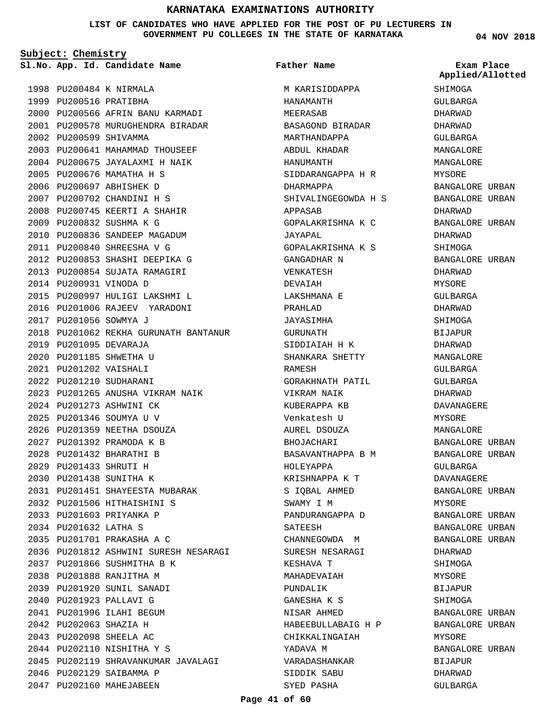**LIST OF CANDIDATES WHO HAVE APPLIED FOR THE POST OF PU LECTURERS IN GOVERNMENT PU COLLEGES IN THE STATE OF KARNATAKA**

**Subject: Chemistry**

**App. Id. Candidate Name Sl.No. Exam Place**

**Father Name**

1998 PU200484 K NIRMALA 1999 PU200516 PRATIBHA 2000 PU200566 AFRIN BANU KARMADI 2001 PU200578 MURUGHENDRA BIRADAR 2002 PU200599 SHIVAMMA PU200641 MAHAMMAD THOUSEEF 2003 2004 PU200675 JAYALAXMI H NAIK 2005 PU200676 MAMATHA H S 2006 PU200697 ABHISHEK D PU200702 CHANDINI H S 2007 2008 PU200745 KEERTI A SHAHIR PU200832 SUSHMA K G 2009 2010 PU200836 SANDEEP MAGADUM PU200840 SHREESHA V G 2011 2012 PU200853 SHASHI DEEPIKA G 2013 PU200854 SUJATA RAMAGIRI 2014 PU200931 VINODA D PU200997 HULIGI LAKSHMI L 2015 2016 PU201006 RAJEEV YARADONI 2017 PU201056 SOWMYA J 2018 PU201062 REKHA GURUNATH BANTANUR 2019 PU201095 DEVARAJA 2020 PU201185 SHWETHA U PU201202 VAISHALI 2021 2022 PU201210 SUDHARANI PU201265 ANUSHA VIKRAM NAIK 2023 2024 PU201273 ASHWINI CK PU201346 SOUMYA U V 2025 2026 PU201359 NEETHA DSOUZA PU201392 PRAMODA K B 2027 PU201432 BHARATHI B 2028 PU201433 SHRUTI H 2029 2030 PU201438 SUNITHA K PU201451 SHAYEESTA MUBARAK 2031 2032 PU201506 HITHAISHINI S 2033 PU201603 PRIYANKA P PU201632 LATHA S 2034 PU201701 PRAKASHA A C 2035 2036 PU201812 ASHWINI SURESH NESARAGI PU201866 SUSHMITHA B K 2037 PU201888 RANJITHA M 2038 PU201920 SUNIL SANADI 2039 2040 PU201923 PALLAVI G 2041 PU201996 ILAHI BEGUM PU202063 SHAZIA H 2042 PU202098 SHEELA AC 2043 2044 PU202110 NISHITHA Y S 2045 PU202119 SHRAVANKUMAR JAVALAGI 2046 PU202129 SAIBAMMA P 2047 PU202160 MAHEJABEEN

M KARISIDDAPPA HANAMANTH MEERASAB BASAGOND BIRADAR MARTHANDAPPA ABDUL KHADAR HANUMANTH SIDDARANGAPPA H R DHARMAPPA SHIVALINGEGOWDA H S APPASAB GOPALAKRISHNA K C JAYAPAL GOPALAKRISHNA K S GANGADHAR N VENKATESH DEVAIAH LAKSHMANA E PRAHLAD JAYASIMHA GURUNATH SIDDIAIAH H K SHANKARA SHETTY RAMESH GORAKHNATH PATIL VIKRAM NAIK KUBERAPPA KB Venkatesh U AUREL DSOUZA BHOJACHARI BASAVANTHAPPA B M HOLEYAPPA KRISHNAPPA K T S IQBAL AHMED SWAMY I M PANDURANGAPPA D SATEESH CHANNEGOWDA M SURESH NESARAGI KESHAVA T MAHADEVAIAH PUNDALIK GANESHA K S NISAR AHMED HABEEBULLABAIG H P CHIKKALINGAIAH YADAVA M VARADASHANKAR SIDDIK SABU SYED PASHA

**04 NOV 2018**

**Applied/Allotted**

**SHIMOGA** GULBARGA DHARWAD DHARWAD GULBARGA MANGALORE MANGALORE MYSORE BANGALORE URBAN BANGALORE URBAN DHARWAD BANGALORE URBAN DHARWAD SHIMOGA BANGALORE URBAN DHARWAD MYSORE GULBARGA DHARWAD SHIMOGA BIJAPUR DHARWAD MANGALORE GULBARGA GULBARGA DHARWAD DAVANAGERE MYSORE MANGALORE BANGALORE URBAN BANGALORE URBAN GULBARGA DAVANAGERE BANGALORE URBAN MYSORE BANGALORE URBAN BANGALORE URBAN BANGALORE URBAN DHARWAD SHIMOGA MYSORE BIJAPUR SHIMOGA BANGALORE URBAN BANGALORE URBAN MYSORE BANGALORE URBAN BIJAPUR DHARWAD

GULBARGA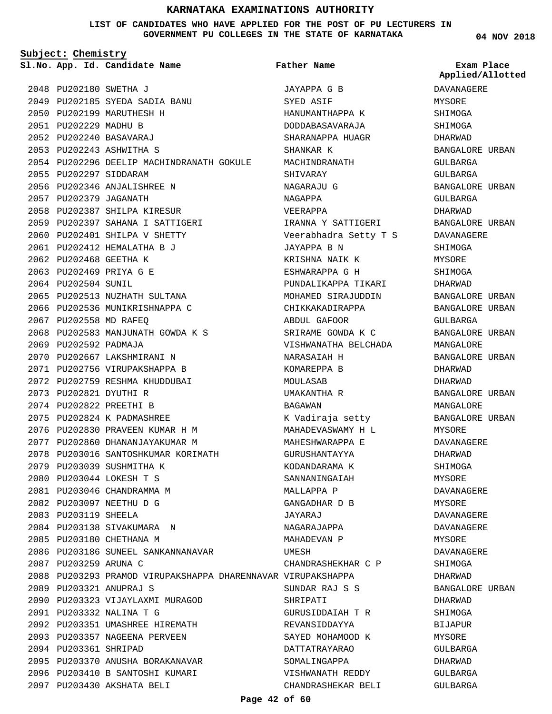#### **LIST OF CANDIDATES WHO HAVE APPLIED FOR THE POST OF PU LECTURERS IN GOVERNMENT PU COLLEGES IN THE STATE OF KARNATAKA**

**Father Name**

**Subject: Chemistry**

**App. Id. Candidate Name Sl.No. Exam Place**

PU202180 SWETHA J 2048 PU202185 SYEDA SADIA BANU 2049 2050 PU202199 MARUTHESH H 2051 PU202229 MADHU B PU202240 BASAVARAJ 2052 PU202243 ASHWITHA S 2053 2054 PU202296 DEELIP MACHINDRANATH GOKULE 2055 PU202297 SIDDARAM PU202346 ANJALISHREE N 2056 2057 PU202379 JAGANATH 2058 PU202387 SHILPA KIRESUR PU202397 SAHANA I SATTIGERI 2059 2060 PU202401 SHILPA V SHETTY PU202412 HEMALATHA B J 2061 2062 PU202468 GEETHA K PU202469 PRIYA G E 2063 2064 PU202504 SUNIL 2065 PU202513 NUZHATH SULTANA 2066 PU202536 MUNIKRISHNAPPA C 2067 PU202558 MD RAFEQ 2068 PU202583 MANJUNATH GOWDA K S 2069 PU202592 PADMAJA 2070 PU202667 LAKSHMIRANI N 2071 PU202756 VIRUPAKSHAPPA B 2072 PU202759 RESHMA KHUDDUBAI PU202821 DYUTHI R 2073 PU202822 PREETHI B 2074 PU202824 K PADMASHREE 2075 PU202830 PRAVEEN KUMAR H M 2076 2077 PU202860 DHANANJAYAKUMAR M 2078 PU203016 SANTOSHKUMAR KORIMATH 2079 PU203039 SUSHMITHA K PU203044 LOKESH T S 2080 2081 PU203046 CHANDRAMMA M PU203097 NEETHU D G 2082 2083 PU203119 SHEELA 2084 PU203138 SIVAKUMARA N 2085 PU203180 CHETHANA M 2086 PU203186 SUNEEL SANKANNANAVAR 2087 PU203259 ARUNA C PU203293 PRAMOD VIRUPAKSHAPPA DHARENNAVAR VIRUPAKSHAPPA 2088 PU203321 ANUPRAJ S 2089 2090 PU203323 VIJAYLAXMI MURAGOD PU203332 NALINA T G 2091 PU203351 UMASHREE HIREMATH 2092 2093 PU203357 NAGEENA PERVEEN 2094 PU203361 SHRIPAD 2095 PU203370 ANUSHA BORAKANAVAR 2096 PU203410 B SANTOSHI KUMARI PU203430 AKSHATA BELI 2097

JAYAPPA G B SYED ASIF HANUMANTHAPPA K DODDABASAVARAJA SHARANAPPA HUAGR SHANKAR K MACHINDRANATH SHIVARAY NAGARAJU G NAGAPPA VEERAPPA IRANNA Y SATTIGERI Veerabhadra Setty T S JAYAPPA B N KRISHNA NAIK K ESHWARAPPA G H PUNDALIKAPPA TIKARI MOHAMED SIRAJUDDIN CHIKKAKADIRAPPA ABDUL GAFOOR SRIRAME GOWDA K C VISHWANATHA BELCHADA NARASAIAH H KOMAREPPA B MOULASAB UMAKANTHA R BAGAWAN K Vadiraja setty MAHADEVASWAMY H L MAHESHWARAPPA E GURUSHANTAYYA KODANDARAMA K SANNANINGAIAH MALLAPPA P GANGADHAR D B JAYARAJ NAGARAJAPPA MAHADEVAN P UMESH CHANDRASHEKHAR C P SUNDAR RAJ S S SHRIPATI GURUSIDDAIAH T R REVANSIDDAYYA SAYED MOHAMOOD K DATTATRAYARAO SOMALINGAPPA VISHWANATH REDDY CHANDRASHEKAR BELI **04 NOV 2018**

## **Applied/Allotted**

DAVANAGERE MYSORE SHIMOGA SHIMOGA DHARWAD BANGALORE URBAN GULBARGA GULBARGA BANGALORE URBAN GULBARGA DHARWAD BANGALORE URBAN DAVANAGERE SHIMOGA MYSORE SHIMOGA DHARWAD BANGALORE URBAN BANGALORE URBAN GULBARGA BANGALORE URBAN MANGALORE BANGALORE URBAN DHARWAD DHARWAD BANGALORE URBAN MANGALORE BANGALORE URBAN MYSORE DAVANAGERE DHARWAD SHIMOGA MYSORE DAVANAGERE MYSORE DAVANAGERE DAVANAGERE MYSORE DAVANAGERE SHIMOGA DHARWAD BANGALORE URBAN DHARWAD SHIMOGA BIJAPUR MYSORE GULBARGA DHARWAD GULBARGA

GULBARGA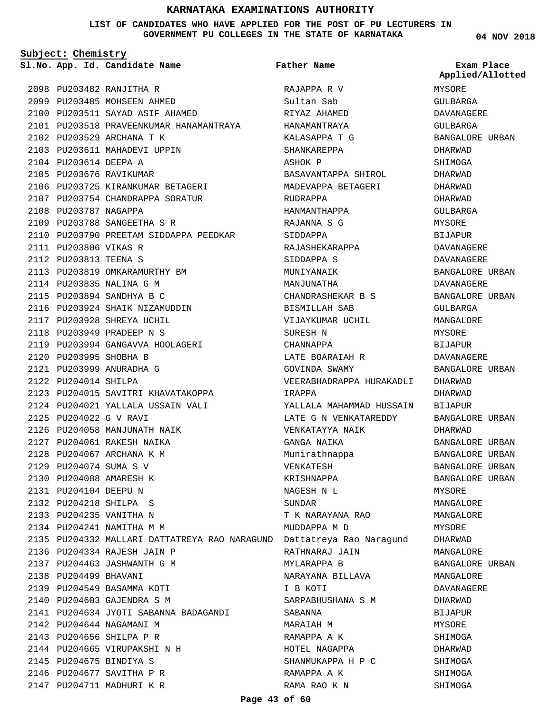#### **LIST OF CANDIDATES WHO HAVE APPLIED FOR THE POST OF PU LECTURERS IN GOVERNMENT PU COLLEGES IN THE STATE OF KARNATAKA**

**Subject: Chemistry**

2098 PU203482 RANJITHA R 2099 PU203485 MOHSEEN AHMED 2100 PU203511 SAYAD ASIF AHAMED 2101 PU203518 PRAVEENKUMAR HANAMANTRAYA 2102 PU203529 ARCHANA T K 2103 PU203611 MAHADEVI UPPIN 2104 PU203614 DEEPA A 2105 PU203676 RAVIKUMAR 2106 PU203725 KIRANKUMAR BETAGERI 2107 PU203754 CHANDRAPPA SORATUR 2108 PU203787 NAGAPPA PU203788 SANGEETHA S R 2109 2110 PU203790 PREETAM SIDDAPPA PEEDKAR 2111 PU203806 VIKAS R PU203813 TEENA S 2112 2113 PU203819 OMKARAMURTHY BM 2114 PU203835 NALINA G M PU203894 SANDHYA B C 2115 2116 PU203924 SHAIK NIZAMUDDIN 2117 PU203928 SHREYA UCHIL PU203949 PRADEEP N S 2118 2119 PU203994 GANGAVVA HOOLAGERI 2120 PU203995 SHOBHA B PU203999 ANURADHA G 2121 2122 PU204014 SHILPA 2123 PU204015 SAVITRI KHAVATAKOPPA PU204021 YALLALA USSAIN VALI 2124 PU204022 G V RAVI 2125 2126 PU204058 MANJUNATH NAIK PU204061 RAKESH NAIKA 2127 2128 PU204067 ARCHANA K M 2129 PU204074 SUMA S V 2130 PU204088 AMARESH K PU204104 DEEPU N 2131 PU204218 SHILPA S 2132 2133 PU204235 VANITHA N PU204241 NAMITHA M M 2134 2135 PU204332 MALLARI DATTATREYA RAO NARAGUND Dattatreya Rao Naragund PU204334 RAJESH JAIN P 2136 PU204463 JASHWANTH G M 2137 2138 PU204499 BHAVANI 2139 PU204549 BASAMMA KOTI 2140 PU204603 GAJENDRA S M PU204634 JYOTI SABANNA BADAGANDI 2141 2142 PU204644 NAGAMANI M 2143 PU204656 SHILPA P R 2144 PU204665 VIRUPAKSHI N H PU204675 BINDIYA S 2145 2146 PU204677 SAVITHA P R 2147 PU204711 MADHURI K R

**App. Id. Candidate Name Sl.No. Exam Place** RAJAPPA R V Sultan Sab RIYAZ AHAMED HANAMANTRAYA KALASAPPA T G SHANKAREPPA ASHOK P BASAVANTAPPA SHIROL MADEVAPPA BETAGERI RUDRAPPA HANMANTHAPPA RAJANNA S G SIDDAPPA RAJASHEKARAPPA SIDDAPPA S MUNIYANAIK MANJUNATHA CHANDRASHEKAR B S BISMILLAH SAB VIJAYKUMAR UCHIL SURESH N CHANNAPPA LATE BOARAIAH R GOVINDA SWAMY VEERABHADRAPPA HURAKADLI IRAPPA YALLALA MAHAMMAD HUSSAIN BIJAPUR LATE G N VENKATAREDDY VENKATAYYA NAIK GANGA NAIKA Munirathnappa VENKATESH KRISHNAPPA NAGESH N L SUNDAR T K NARAYANA RAO MUDDAPPA M D RATHNARAJ JAIN MYLARAPPA B NARAYANA BILLAVA I B KOTI SARPABHUSHANA S M SABANNA MARAIAH M RAMAPPA A K HOTEL NAGAPPA SHANMUKAPPA H P C RAMAPPA A K RAMA RAO K N **Father Name**

**04 NOV 2018**

MYSORE GULBARGA DAVANAGERE GULBARGA BANGALORE URBAN DHARWAD SHIMOGA DHARWAD DHARWAD DHARWAD GULBARGA MYSORE BIJAPUR DAVANAGERE DAVANAGERE BANGALORE URBAN DAVANAGERE BANGALORE URBAN GULBARGA MANGALORE MYSORE BIJAPUR DAVANAGERE BANGALORE URBAN DHARWAD DHARWAD BANGALORE URBAN DHARWAD BANGALORE URBAN BANGALORE URBAN BANGALORE URBAN BANGALORE URBAN MYSORE MANGALORE MANGALORE MYSORE DHARWAD MANGALORE BANGALORE URBAN MANGALORE DAVANAGERE DHARWAD BIJAPUR **MYSORE** SHIMOGA DHARWAD SHIMOGA SHIMOGA SHIMOGA **Applied/Allotted**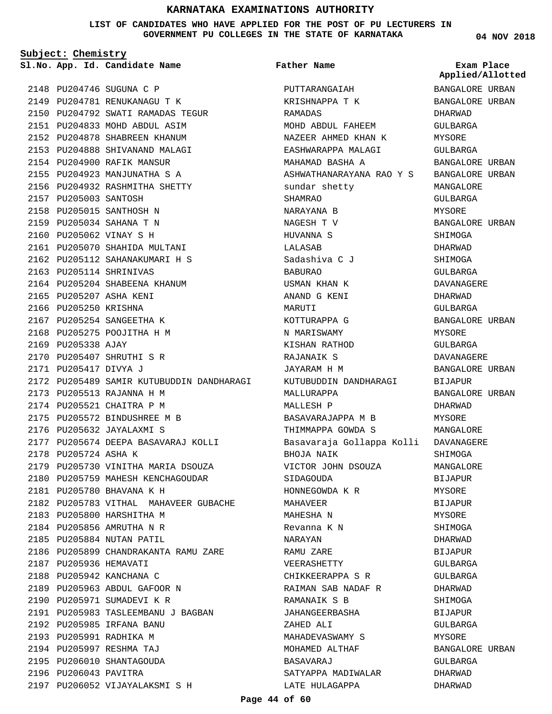**LIST OF CANDIDATES WHO HAVE APPLIED FOR THE POST OF PU LECTURERS IN GOVERNMENT PU COLLEGES IN THE STATE OF KARNATAKA**

**Subject: Chemistry**

**App. Id. Candidate Name Sl.No. Exam Place**

2148 PU204746 SUGUNA C P 2149 PU204781 RENUKANAGU T K

2157 PU205003 SANTOSH 2158 PU205015 SANTHOSH N PU205034 SAHANA T N 2159 2160 PU205062 VINAY S H

PU205114 SHRINIVAS 2163

2165 PU205207 ASHA KENI 2166 PU205250 KRISHNA 2167 PU205254 SANGEETHA K 2168 PU205275 POOJITHA H M

2170 PU205407 SHRUTHI S R PU205417 DIVYA J 2171

2173 PU205513 RAJANNA H M 2174 PU205521 CHAITRA P M 2175 PU205572 BINDUSHREE M B 2176 PU205632 JAYALAXMI S

PU205780 BHAVANA K H 2181

2183 PU205800 HARSHITHA M 2184 PU205856 AMRUTHA N R 2185 PU205884 NUTAN PATIL

2187 PU205936 HEMAVATI 2188 PU205942 KANCHANA C 2189 PU205963 ABDUL GAFOOR N 2190 PU205971 SUMADEVI K R

2192 PU205985 IRFANA BANU 2193 PU205991 RADHIKA M 2194 PU205997 RESHMA TAJ 2195 PU206010 SHANTAGOUDA 2196 PU206043 PAVITRA

2178 PU205724 ASHA K

2172 PU205489 SAMIR KUTUBUDDIN DANDHARAGI

2177 PU205674 DEEPA BASAVARAJ KOLLI

2179 PU205730 VINITHA MARIA DSOUZA 2180 PU205759 MAHESH KENCHAGOUDAR

2182 PU205783 VITHAL MAHAVEER GUBACHE

2186 PU205899 CHANDRAKANTA RAMU ZARE

2191 PU205983 TASLEEMBANU J BAGBAN

2197 PU206052 VIJAYALAKSMI S H

2169 PU205338 AJAY

2161 PU205070 SHAHIDA MULTANI 2162 PU205112 SAHANAKUMARI H S

2164 PU205204 SHABEENA KHANUM

2150 PU204792 SWATI RAMADAS TEGUR 2151 PU204833 MOHD ABDUL ASIM 2152 PU204878 SHABREEN KHANUM 2153 PU204888 SHIVANAND MALAGI 2154 PU204900 RAFIK MANSUR 2155 PU204923 MANJUNATHA S A 2156 PU204932 RASHMITHA SHETTY

**Father Name**

PUTTARANGAIAH KRISHNAPPA T K RAMADAS MOHD ABDUL FAHEEM NAZEER AHMED KHAN K EASHWARAPPA MALAGI MAHAMAD BASHA A ASHWATHANARAYANA RAO Y S BANGALORE URBAN sundar shetty SHAMRAO NARAYANA B NAGESH T V HUVANNA S LALASAB Sadashiva C J BABURAO USMAN KHAN K ANAND G KENI MARUTI KOTTURAPPA G N MARISWAMY KISHAN RATHOD RAJANAIK S JAYARAM H M KUTUBUDDIN DANDHARAGI MALLURAPPA MALLFSH D BASAVARAJAPPA M B THIMMAPPA GOWDA S Basavaraja Gollappa Kolli DAVANAGERE BHOJA NAIK VICTOR JOHN DSOUZA SIDAGOUDA HONNEGOWDA K R MAHAVEER MAHESHA N Revanna K N NARAYAN RAMU ZARE VEERASHETTY CHIKKEERAPPA S R RAIMAN SAB NADAF R RAMANAIK S B JAHANGEERBASHA ZAHED ALI MAHADEVASWAMY S MOHAMED ALTHAF BASAVARAJ SATYAPPA MADIWALAR LATE HULAGAPPA BANGALORE URBAN BANGALORE URBAN

#### **04 NOV 2018**

**Applied/Allotted**

DHARWAD GULBARGA MYSORE GULBARGA BANGALORE URBAN MANGALORE GULBARGA MYSORE BANGALORE URBAN SHIMOGA DHARWAD SHIMOGA GULBARGA DAVANAGERE DHARWAD GULBARGA BANGALORE URBAN MYSORE GULBARGA DAVANAGERE BANGALORE URBAN BIJAPUR BANGALORE URBAN DHARWAD MYSORE MANGALORE SHIMOGA MANGALORE BIJAPUR MYSORE BIJAPUR MYSORE SHIMOGA DHARWAD BIJAPUR GULBARGA GULBARGA DHARWAD SHIMOGA BIJAPUR GULBARGA MYSORE BANGALORE URBAN GULBARGA DHARWAD DHARWAD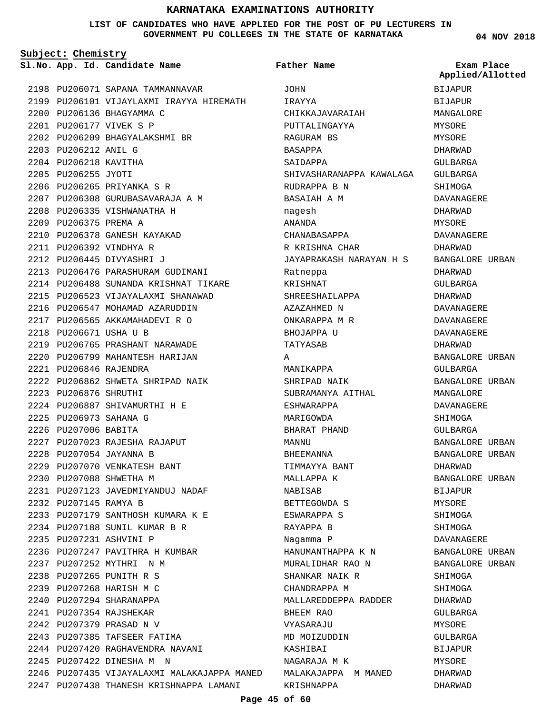#### **LIST OF CANDIDATES WHO HAVE APPLIED FOR THE POST OF PU LECTURERS IN GOVERNMENT PU COLLEGES IN THE STATE OF KARNATAKA**

**Subject: Chemistry**

**App. Id. Candidate Name Sl.No. Exam Place**

2198 PU206071 SAPANA TAMMANNAVAR 2199 PU206101 VIJAYLAXMI IRAYYA HIREMATH 2200 PU206136 BHAGYAMMA C 2201 PU206177 VIVEK S P 2202 PU206209 BHAGYALAKSHMI BR 2203 PU206212 ANIL G 2204 PU206218 KAVITHA 2205 PU206255 JYOTI 2206 PU206265 PRIYANKA S R PU206308 GURUBASAVARAJA A M 2207 PU206335 VISHWANATHA H 2208 2209 PU206375 PREMA A 2210 PU206378 GANESH KAYAKAD PU206392 VINDHYA R 2211 PU206445 DIVYASHRI J 2212 2213 PU206476 PARASHURAM GUDIMANI 2214 PU206488 SUNANDA KRISHNAT TIKARE 2215 PU206523 VIJAYALAXMI SHANAWAD 2216 PU206547 MOHAMAD AZARUDDIN PU206565 AKKAMAHADEVI R O 2217 2218 PU206671 USHA U B PU206765 PRASHANT NARAWADE 2219 2220 PU206799 MAHANTESH HARIJAN PU206846 RAJENDRA 2221 PU206862 SHWETA SHRIPAD NAIK 2222 2223 PU206876 SHRUTHI PU206887 SHIVAMURTHI H E 2224 PU206973 SAHANA G 2225 2226 PU207006 BABITA PU207023 RAJESHA RAJAPUT 2227 2228 PU207054 JAYANNA B 2229 PU207070 VENKATESH BANT 2230 PU207088 SHWETHA M PU207123 JAVEDMIYANDUJ NADAF 2231 2232 PU207145 RAMYA B PU207179 SANTHOSH KUMARA K E 2233 PU207188 SUNIL KUMAR B R 2234 2235 PU207231 ASHVINI P 2236 PU207247 PAVITHRA H KUMBAR 2237 PU207252 MYTHRI N M PU207265 PUNITH R S 2238 PU207268 HARISH M C 2239 2240 PU207294 SHARANAPPA PU207354 RAJSHEKAR 2241 PU207379 PRASAD N V 2242 2243 PU207385 TAFSEER FATIMA 2244 PU207420 RAGHAVENDRA NAVANI 2245 PU207422 DINESHA M N 2246 PU207435 VIJAYALAXMI MALAKAJAPPA MANED MALAKAJAPPA M MANED 2247 PU207438 THANESH KRISHNAPPA LAMANI

 $T$  $OHH$ IRAYYA CHIKKAJAVARAIAH PUTTALINGAYYA RAGURAM BS BASAPPA SAIDAPPA SHIVASHARANAPPA KAWALAGA RUDRAPPA B N BASAIAH A M nagesh ANANDA CHANABASAPPA R KRISHNA CHAR JAYAPRAKASH NARAYAN H S Ratneppa KRISHNAT SHREESHAILAPPA AZAZAHMED N ONKARAPPA M R BHOJAPPA U TATYASAB A MANIKAPPA SHRIPAD NAIK SUBRAMANYA AITHAL ESHWARAPPA MARIGOWDA BHARAT PHAND MANNU BHEEMANNA TIMMAYYA BANT MALLAPPA K NABISAB BETTEGOWDA S ESWARAPPA S RAYAPPA B Nagamma P HANUMANTHAPPA K N MURALIDHAR RAO N SHANKAR NAIK R CHANDRAPPA M MALLAREDDEPPA RADDER BHEEM RAO VYASARAJU MD MOIZUDDIN KASHIBAI NAGARAJA M K KRISHNAPPA **Father Name**

#### **04 NOV 2018**

**Applied/Allotted**

BANGALORE URBAN

BANGALORE URBAN

BANGALORE URBAN

BANGALORE URBAN BANGALORE URBAN

BANGALORE URBAN

BANGALORE URBAN BANGALORE URBAN

GULBARGA

MANGALORE DAVANAGERE SHIMOGA GULBARGA

DHARWAD

BIJAPUR MYSORE SHIMOGA SHIMOGA DAVANAGERE

SHIMOGA SHIMOGA DHARWAD GULBARGA MYSORE

DHARWAD GULBARGA DHARWAD DAVANAGERE DAVANAGERE DAVANAGERE DHARWAD

BIJAPUR BIJAPUR MANGALORE MYSORE MYSORE DHARWAD GULBARGA GULBARGA SHIMOGA DAVANAGERE DHARWAD MYSORE DAVANAGERE DHARWAD

# GULBARGA BIJAPUR MYSORE DHARWAD DHARWAD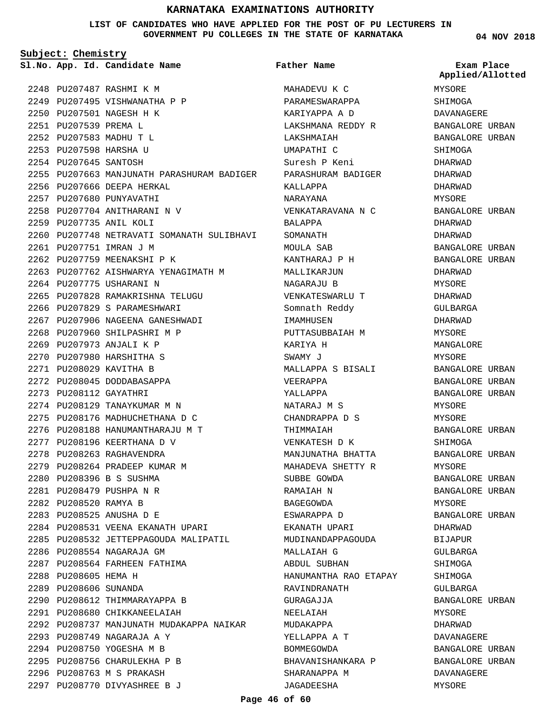#### **LIST OF CANDIDATES WHO HAVE APPLIED FOR THE POST OF PU LECTURERS IN GOVERNMENT PU COLLEGES IN THE STATE OF KARNATAKA**

**Subject: Chemistry**

**App. Id. Candidate Name Sl.No. Exam Place**

2248 PU207487 RASHMI K M 2249 PU207495 VISHWANATHA P P 2250 PU207501 NAGESH H K PU207539 PREMA L 2251 PU207583 MADHU T L 2252 2253 PU207598 HARSHA U 2254 PU207645 SANTOSH 2255 PU207663 MANJUNATH PARASHURAM BADIGER 2256 PU207666 DEEPA HERKAL 2257 PU207680 PUNYAVATHI 2258 PU207704 ANITHARANI N V 2259 PU207735 ANIL KOLI 2260 PU207748 NETRAVATI SOMANATH SULIBHAVI 2261 PU207751 IMRAN J M 2262 PU207759 MEENAKSHI P K 2263 PU207762 AISHWARYA YENAGIMATH M 2264 PU207775 USHARANI N PU207828 RAMAKRISHNA TELUGU 2265 2266 PU207829 S PARAMESHWARI 2267 PU207906 NAGEENA GANESHWADI 2268 PU207960 SHILPASHRI M P 2269 PU207973 ANJALI K P PU207980 HARSHITHA S 2270 PU208029 KAVITHA B 2271 2272 PU208045 DODDABASAPPA 2273 PU208112 GAYATHRI 2274 PU208129 TANAYKUMAR M N 2275 PU208176 MADHUCHETHANA D C PU208188 HANUMANTHARAJU M T 2276 2277 PU208196 KEERTHANA D V 2278 PU208263 RAGHAVENDRA 2279 PU208264 PRADEEP KUMAR M 2280 PU208396 B S SUSHMA PU208479 PUSHPA N R 2281 2282 PU208520 RAMYA B PU208525 ANUSHA D E 2283 2284 PU208531 VEENA EKANATH UPARI 2285 PU208532 JETTEPPAGOUDA MALIPATIL 2286 PU208554 NAGARAJA GM 2287 PU208564 FARHEEN FATHIMA 2288 PU208605 HEMA H 2289 PU208606 SUNANDA 2290 PU208612 THIMMARAYAPPA B 2291 PU208680 CHIKKANEELAIAH 2292 PU208737 MANJUNATH MUDAKAPPA NAIKAR PU208749 NAGARAJA A Y 2293 2294 PU208750 YOGESHA M B 2295 PU208756 CHARULEKHA P B 2296 PU208763 M S PRAKASH PU208770 DIVYASHREE B J 2297

MAHADEVU K C PARAMESWARAPPA KARIYAPPA A D LAKSHMANA REDDY R LAKSHMAIAH UMAPATHI C Suresh P Keni PARASHURAM BADIGER KALLAPPA NARAYANA VENKATARAVANA N C BALAPPA SOMANATH MOULA SAB KANTHARAJ P H MALLIKARJUN NAGARAJU B VENKATESWARLU T Somnath Reddy IMAMHUSEN PUTTASUBBAIAH M KARIYA H SWAMY J MALLAPPA S BISALI VEERAPPA YALLAPPA NATARAJ M S CHANDRAPPA D S THIMMAIAH VENKATESH D K MANJUNATHA BHATTA MAHADEVA SHETTY R SUBBE GOWDA RAMAIAH N BAGEGOWDA ESWARAPPA D EKANATH UPARI MUDINANDAPPAGOUDA MALLAIAH G ABDUL SUBHAN HANUMANTHA RAO ETAPAY RAVINDRANATH GURAGAJJA NEELAIAH MUDAKAPPA YELLAPPA A T BOMMEGOWDA BHAVANISHANKARA P SHARANAPPA M JAGADEESHA **Father Name**

**04 NOV 2018**

## MYSORE SHIMOGA DAVANAGERE BANGALORE URBAN BANGALORE URBAN SHIMOGA DHARWAD DHARWAD DHARWAD MYSORE BANGALORE URBAN DHARWAD DHARWAD BANGALORE URBAN BANGALORE URBAN DHARWAD MYSORE DHARWAD GULBARGA DHARWAD MYSORE MANGALORE MYSORE BANGALORE URBAN BANGALORE URBAN BANGALORE URBAN MYSORE MYSORE BANGALORE URBAN SHIMOGA BANGALORE URBAN MYSORE BANGALORE URBAN BANGALORE URBAN MYSORE BANGALORE URBAN DHARWAD BIJAPUR GULBARGA SHIMOGA SHIMOGA GULBARGA BANGALORE URBAN MYSORE DHARWAD DAVANAGERE BANGALORE URBAN BANGALORE URBAN DAVANAGERE MYSORE **Applied/Allotted**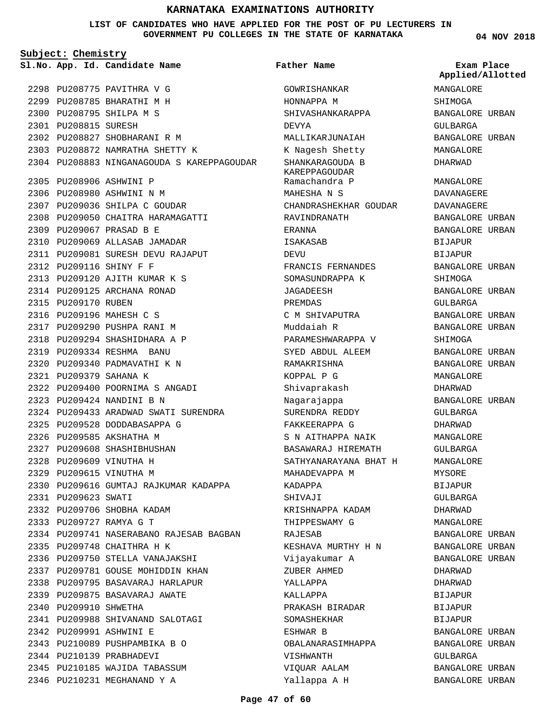**LIST OF CANDIDATES WHO HAVE APPLIED FOR THE POST OF PU LECTURERS IN GOVERNMENT PU COLLEGES IN THE STATE OF KARNATAKA**

**Subject: Chemistry**

2298 PU208775 PAVITHRA V G PU208785 BHARATHI M H 2299 2300 PU208795 SHILPA M S 2301 PU208815 SURESH 2302 PU208827 SHOBHARANI R M PU208872 NAMRATHA SHETTY K 2303 2304 PU208883 NINGANAGOUDA S KAREPPAGOUDAR 2305 PU208906 ASHWINI P 2306 PU208980 ASHWINI N M 2307 PU209036 SHILPA C GOUDAR 2308 PU209050 CHAITRA HARAMAGATTI PU209067 PRASAD B E 2309 2310 PU209069 ALLASAB JAMADAR PU209081 SURESH DEVU RAJAPUT 2311 PU209116 SHINY F F 2312 PU209120 AJITH KUMAR K S 2313 2314 PU209125 ARCHANA RONAD 2315 PU209170 RUBEN 2316 PU209196 MAHESH C S 2317 PU209290 PUSHPA RANI M 2318 PU209294 SHASHIDHARA A P PU209334 RESHMA BANU 2319 2320 PU209340 PADMAVATHI K N PU209379 SAHANA K 2321 2322 PU209400 POORNIMA S ANGADI PU209424 NANDINI B N 2323 2324 PU209433 ARADWAD SWATI SURENDRA 2325 PU209528 DODDABASAPPA G 2326 PU209585 AKSHATHA M 2327 PU209608 SHASHIBHUSHAN 2328 PU209609 VINUTHA H 2329 PU209615 VINUTHA M 2330 PU209616 GUMTAJ RAJKUMAR KADAPPA 2331 PU209623 SWATI 2332 PU209706 SHOBHA KADAM PU209727 RAMYA G T 2333 2334 PU209741 NASERABANO RAJESAB BAGBAN PU209748 CHAITHRA H K 2335 2336 PU209750 STELLA VANAJAKSHI 2337 PU209781 GOUSE MOHIDDIN KHAN 2338 PU209795 BASAVARAJ HARLAPUR 2339 PU209875 BASAVARAJ AWATE 2340 PU209910 SHWETHA 2341 PU209988 SHIVANAND SALOTAGI PU209991 ASHWINI E 2342 PU210089 PUSHPAMBIKA B O 2343 2344 PU210139 PRABHADEVI 2345 PU210185 WAJIDA TABASSUM 2346 PU210231 MEGHANAND Y A **App. Id. Candidate Name Sl.No. Exam Place**

GOWRISHANKAR HONNAPPA M SHIVASHANKARAPPA DEVYA MALLIKARJUNAIAH K Nagesh Shetty SHANKARAGOUDA B KAREPPAGOUDAR Ramachandra P MAHESHA N S CHANDRASHEKHAR GOUDAR RAVINDRANATH ERANNA ISAKASAB DEVU FRANCIS FERNANDES SOMASUNDRAPPA K JAGADEESH PREMDAS C M SHIVAPUTRA Muddaiah R PARAMESHWARAPPA V SYED ABDUL ALEEM RAMAKRISHNA KOPPAL P G Shivaprakash Nagarajappa SURENDRA REDDY FAKKEERAPPA G S N AITHAPPA NAIK BASAWARAJ HIREMATH SATHYANARAYANA BHAT H MAHADEVAPPA M KADAPPA SHIVAJI KRISHNAPPA KADAM THIPPESWAMY G RAJESAB KESHAVA MURTHY H N Vijayakumar A ZUBER AHMED YALLAPPA KALLAPPA PRAKASH BIRADAR SOMASHEKHAR ESHWAR B OBALANARASIMHAPPA VISHWANTH VIQUAR AALAM **Father Name**

**04 NOV 2018**

**Applied/Allotted**

MANGALORE

SHIMOGA BANGALORE URBAN GULBARGA BANGALORE URBAN MANGALORE DHARWAD MANGALORE DAVANAGERE DAVANAGERE BANGALORE URBAN BANGALORE URBAN BIJAPUR BIJAPUR BANGALORE URBAN SHIMOGA BANGALORE URBAN GULBARGA BANGALORE URBAN BANGALORE URBAN SHIMOGA BANGALORE URBAN BANGALORE URBAN MANGALORE DHARWAD BANGALORE URBAN GULBARGA DHARWAD MANGALORE GULBARGA MANGALORE MYSORE BIJAPUR GULBARGA DHARWAD MANGALORE BANGALORE URBAN BANGALORE URBAN BANGALORE URBAN DHARWAD DHARWAD BIJAPUR BIJAPUR BIJAPUR BANGALORE URBAN BANGALORE URBAN GULBARGA BANGALORE URBAN BANGALORE URBAN

Yallappa A H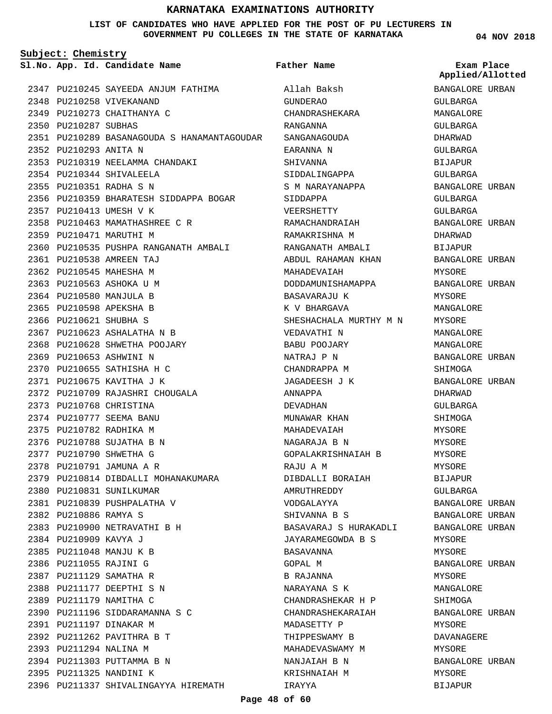#### **LIST OF CANDIDATES WHO HAVE APPLIED FOR THE POST OF PU LECTURERS IN GOVERNMENT PU COLLEGES IN THE STATE OF KARNATAKA**

**Subject: Chemistry**

**App. Id. Candidate Name Sl.No. Exam Place**

2348 PU210258 VIVEKANAND 2349 PU210273 CHAITHANYA C

2350 PU210287 SUBHAS

2352 PU210293 ANITA N

PU210344 SHIVALEELA 2354 PU210351 RADHA S N 2355

2357 PU210413 UMESH V K

2359 PU210471 MARUTHI M

PU210538 AMREEN TAJ 2361 2362 PU210545 MAHESHA M 2363 PU210563 ASHOKA U M 2364 PU210580 MANJULA B 2365 PU210598 APEKSHA B 2366 PU210621 SHUBHA S

PU210623 ASHALATHA N B 2367 2368 PU210628 SHWETHA POOJARY

2372 PU210709 RAJASHRI CHOUGALA

2379 PU210814 DIBDALLI MOHANAKUMARA

2369 PU210653 ASHWINI N PU210655 SATHISHA H C 2370 2371 PU210675 KAVITHA J K

2373 PU210768 CHRISTINA 2374 PU210777 SEEMA BANU 2375 PU210782 RADHIKA M 2376 PU210788 SUJATHA B N 2377 PU210790 SHWETHA G 2378 PU210791 JAMUNA A R

2380 PU210831 SUNILKUMAR PU210839 PUSHPALATHA V 2381

2383 PU210900 NETRAVATHI B H

2390 PU211196 SIDDARAMANNA S C

2396 PU211337 SHIVALINGAYYA HIREMATH

2391 PU211197 DINAKAR M 2392 PU211262 PAVITHRA B T 2393 PU211294 NALINA M 2394 PU211303 PUTTAMMA B N 2395 PU211325 NANDINI K

2382 PU210886 RAMYA S

2384 PU210909 KAVYA J 2385 PU211048 MANJU K B 2386 PU211055 RAJINI G 2387 PU211129 SAMATHA R 2388 PU211177 DEEPTHI S N 2389 PU211179 NAMITHA C

2347 PU210245 SAYEEDA ANJUM FATHIMA

2353 PU210319 NEELAMMA CHANDAKI

2358 PU210463 MAMATHASHREE C R

2356 PU210359 BHARATESH SIDDAPPA BOGAR

2360 PU210535 PUSHPA RANGANATH AMBALI

**Father Name**

PU210289 BASANAGOUDA S HANAMANTAGOUDAR 2351 Allah Baksh GUNDERAO CHANDRASHEKARA RANGANNA SANGANAGOUDA EARANNA N SHIVANNA SIDDALINGAPPA S M NARAYANAPPA SIDDAPPA VEERSHETTY RAMACHANDRAIAH RAMAKRISHNA M RANGANATH AMBALI ABDUL RAHAMAN KHAN MAHADEVAIAH DODDAMUNISHAMAPPA BASAVARAJU K K V BHARGAVA SHESHACHALA MURTHY M N VEDAVATHI N BABU POOJARY NATRAJ P N CHANDRAPPA M JAGADEESH J K ANNAPPA DEVADHAN MUNAWAR KHAN MAHADEVAIAH NAGARAJA B N GOPALAKRISHNAIAH B RAJU A M DIBDALLI BORAIAH AMRUTHREDDY VODGALAYYA SHIVANNA B S BASAVARAJ S HURAKADLI JAYARAMEGOWDA B S BASAVANNA GOPAL M B RAJANNA NARAYANA S K CHANDRASHEKAR H P CHANDRASHEKARAIAH MADASETTY P THIPPESWAMY B MAHADEVASWAMY M NANJAIAH B N KRISHNAIAH M IRAYYA

**04 NOV 2018**

**Applied/Allotted**

BANGALORE URBAN GULBARGA MANGALORE GULBARGA DHARWAD GULBARGA BIJAPUR GULBARGA BANGALORE URBAN GULBARGA GULBARGA BANGALORE URBAN DHARWAD BIJAPUR BANGALORE URBAN MYSORE BANGALORE URBAN MYSORE MANGALORE MYSORE MANGALORE MANGALORE BANGALORE URBAN SHIMOGA BANGALORE URBAN DHARWAD GULBARGA SHIMOGA MYSORE MYSORE MYSORE MYSORE BIJAPUR GULBARGA BANGALORE URBAN BANGALORE URBAN BANGALORE URBAN MYSORE MYSORE BANGALORE URBAN MYSORE MANGALORE SHIMOGA BANGALORE URBAN MYSORE DAVANAGERE MYSORE BANGALORE URBAN MYSORE BIJAPUR

#### **Page 48 of 60**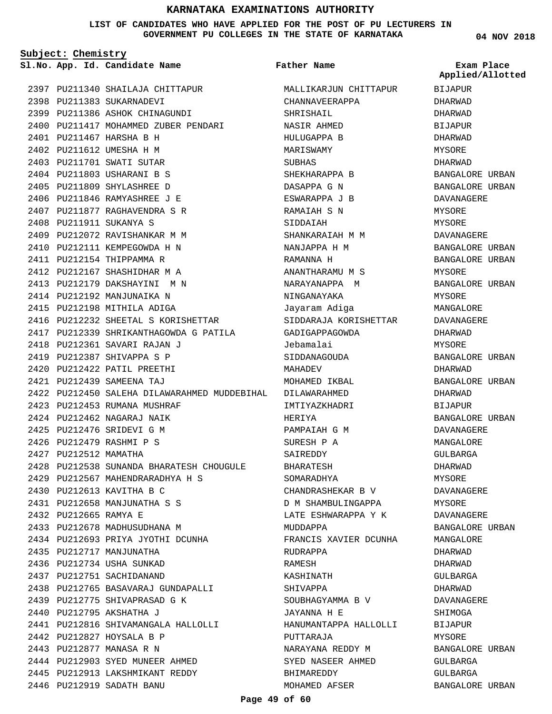#### **LIST OF CANDIDATES WHO HAVE APPLIED FOR THE POST OF PU LECTURERS IN GOVERNMENT PU COLLEGES IN THE STATE OF KARNATAKA**

**Subject: Chemistry**

**App. Id. Candidate Name Sl.No. Exam Place**

2398 PU211383 SUKARNADEVI

PU211467 HARSHA B H 2401 2402 PU211612 UMESHA H M 2403 PU211701 SWATI SUTAR 2404 PU211803 USHARANI B S PU211809 SHYLASHREE D 2405 PU211846 RAMYASHREE J E 2406 PU211877 RAGHAVENDRA S R 2407

PU211911 SUKANYA S 2408

2409 PU212072 RAVISHANKAR M M 2410 PU212111 KEMPEGOWDA H N 2411 PU212154 THIPPAMMA R 2412 PU212167 SHASHIDHAR M A 2413 PU212179 DAKSHAYINI M N 2414 PU212192 MANJUNAIKA N 2415 PU212198 MITHILA ADIGA

2416 PU212232 SHEETAL S KORISHETTAR 2417 PU212339 SHRIKANTHAGOWDA G PATILA

2428 PU212538 SUNANDA BHARATESH CHOUGULE

PU212567 MAHENDRARADHYA H S 2429

2434 PU212693 PRIYA JYOTHI DCUNHA

2438 PU212765 BASAVARAJ GUNDAPALLI

2441 PU212816 SHIVAMANGALA HALLOLLI

2439 PU212775 SHIVAPRASAD G K

2444 PU212903 SYED MUNEER AHMED 2445 PU212913 LAKSHMIKANT REDDY

PU212613 KAVITHA B C 2430 PU212658 MANJUNATHA S S 2431

2435 PU212717 MANJUNATHA 2436 PU212734 USHA SUNKAD 2437 PU212751 SACHIDANAND

2440 PU212795 AKSHATHA J

2442 PU212827 HOYSALA B P 2443 PU212877 MANASA R N

2446 PU212919 SADATH BANU

2433 PU212678 MADHUSUDHANA M

PU212665 RAMYA E 2432

PU212361 SAVARI RAJAN J 2418 2419 PU212387 SHIVAPPA S P PU212422 PATIL PREETHI 2420 PU212439 SAMEENA TAJ 2421

2423 PU212453 RUMANA MUSHRAF PU212462 NAGARAJ NAIK 2424 PU212476 SRIDEVI G M 2425 PU212479 RASHMI P S 2426 2427 PU212512 MAMATHA

2397 PU211340 SHAILAJA CHITTAPUR

2400 PU211417 MOHAMMED ZUBER PENDARI

2399 PU211386 ASHOK CHINAGUNDI

**Father Name**

PU212450 SALEHA DILAWARAHMED MUDDEBIHAL DILAWARAHMED 2422 MALLIKARJUN CHITTAPUR CHANNAVEERAPPA SHRISHAIL NASIR AHMED HULUGAPPA B MARISWAMY SUBHAS SHEKHARAPPA B DASAPPA G N ESWARAPPA J B RAMAIAH S N SIDDAIAH SHANKARAIAH M M NANJAPPA H M RAMANNA H ANANTHARAMU M S NARAYANAPPA M NINGANAYAKA Jayaram Adiga SIDDARAJA KORISHETTAR GADIGAPPAGOWDA Jebamalai SIDDANAGOUDA MAHADEV MOHAMED IKBAL IMTIYAZKHADRI HERIYA PAMPAIAH G M SURESH P A SAIREDDY BHARATESH SOMARADHYA CHANDRASHEKAR B V D M SHAMBULINGAPPA LATE ESHWARAPPA Y K MUDDAPPA FRANCIS XAVIER DCUNHA RUDRAPPA RAMESH KASHINATH SHIVAPPA SOUBHAGYAMMA B V JAYANNA H E HANUMANTAPPA HALLOLLI PUTTARAJA NARAYANA REDDY M SYED NASEER AHMED BHIMAREDDY MOHAMED AFSER

**04 NOV 2018**

BIJAPUR DHARWAD DHARWAD BIJAPUR DHARWAD MYSORE DHARWAD BANGALORE URBAN BANGALORE URBAN DAVANAGERE MYSORE MYSORE DAVANAGERE BANGALORE URBAN BANGALORE URBAN MYSORE BANGALORE URBAN MYSORE MANGALORE DAVANAGERE DHARWAD MYSORE BANGALORE URBAN DHARWAD BANGALORE URBAN DHARWAD **BIJAPUR** BANGALORE URBAN DAVANAGERE MANGALORE GULBARGA DHARWAD MYSORE DAVANAGERE MYSORE DAVANAGERE BANGALORE URBAN MANGALORE DHARWAD DHARWAD GULBARGA DHARWAD DAVANAGERE SHIMOGA BIJAPUR MYSORE BANGALORE URBAN GULBARGA GULBARGA BANGALORE URBAN **Applied/Allotted**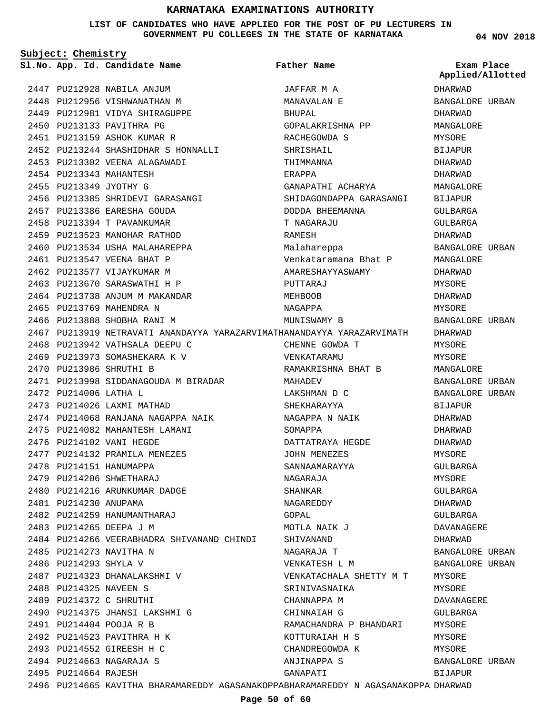**LIST OF CANDIDATES WHO HAVE APPLIED FOR THE POST OF PU LECTURERS IN GOVERNMENT PU COLLEGES IN THE STATE OF KARNATAKA**

**04 NOV 2018**

**Subject: Chemistry**

2495 PU214664 RAJESH

2447 PU212928 NABILA ANJUM 2448 PU212956 VISHWANATHAN M 2449 PU212981 VIDYA SHIRAGUPPE 2450 PU213133 PAVITHRA PG 2451 PU213159 ASHOK KUMAR R 2452 PU213244 SHASHIDHAR S HONNALLI 2453 PU213302 VEENA ALAGAWADI 2454 PU213343 MAHANTESH 2455 PU213349 JYOTHY G 2456 PU213385 SHRIDEVI GARASANGI PU213386 EARESHA GOUDA 2457 PU213394 T PAVANKUMAR 2458 2459 PU213523 MANOHAR RATHOD 2460 PU213534 USHA MALAHAREPPA 2461 PU213547 VEENA BHAT P 2462 PU213577 VIJAYKUMAR M 2463 PU213670 SARASWATHI H P 2464 PU213738 ANJUM M MAKANDAR 2465 PU213769 MAHENDRA N 2466 PU213888 SHOBHA RANI M 2467 PU213919 NETRAVATI ANANDAYYA YARAZARVIMATHANANDAYYA YARAZARVIMATH 2468 PU213942 VATHSALA DEEPU C 2469 PU213973 SOMASHEKARA K V 2470 PU213986 SHRUTHI B 2471 PU213998 SIDDANAGOUDA M BIRADAR 2472 PU214006 LATHA L 2473 PU214026 LAXMI MATHAD 2474 PU214068 RANJANA NAGAPPA NAIK 2475 PU214082 MAHANTESH LAMANI 2476 PU214102 VANI HEGDE 2477 PU214132 PRAMILA MENEZES 2478 PU214151 HANUMAPPA 2479 PU214206 SHWETHARAJ 2480 PU214216 ARUNKUMAR DADGE 2481 PU214230 ANUPAMA 2482 PU214259 HANUMANTHARAJ 2483 PU214265 DEEPA J M 2484 PU214266 VEERABHADRA SHIVANAND CHINDI 2485 PU214273 NAVITHA N 2486 PU214293 SHYLA V 2487 PU214323 DHANALAKSHMI V 2488 PU214325 NAVEEN S 2489 PU214372 C SHRUTHI 2490 PU214375 JHANSI LAKSHMI G PU214404 POOJA R B 2491 2492 PU214523 PAVITHRA H K PU214552 GIREESH H C 2493 PU214663 NAGARAJA S 2494 **App. Id. Candidate Name Sl.No. Exam Place** JAFFAR M A MANAVALAN E BHUPAL GOPALAKRISHNA PP RACHEGOWDA S SHRISHAIL THIMMANNA ERAPPA GANAPATHI ACHARYA SHIDAGONDAPPA GARASANGI DODDA BHEEMANNA T NAGARAJU RAMESH Malahareppa Venkataramana Bhat P AMARESHAYYASWAMY PUTTARAJ MEHROOB NAGAPPA MUNISWAMY B CHENNE GOWDA T VENKATARAMU RAMAKRISHNA BHAT B MAHADEV LAKSHMAN D C SHEKHARAYYA NAGAPPA N NAIK SOMAPPA DATTATRAYA HEGDE JOHN MENEZES SANNAAMARAYYA NAGARAJA SHANKAR NAGAREDDY GOPAL MOTLA NAIK J SHIVANAND NAGARAJA T VENKATESH L M VENKATACHALA SHETTY M T SRINIVASNAIKA CHANNAPPA M CHINNAIAH G RAMACHANDRA P BHANDARI KOTTURAIAH H S CHANDREGOWDA K ANJINAPPA S **Father Name** DHARWAD BANGALORE URBAN DHARWAD MANGALORE MYSORE BIJAPUR DHARWAD DHARWAD MANGALORE BIJAPUR GULBARGA GULBARGA DHARWAD BANGALORE URBAN MANGALORE DHARWAD MYSORE DHARWAD **MYSORE** BANGALORE URBAN DHARWAD MYSORE MYSORE MANGALORE BANGALORE URBAN BANGALORE URBAN BIJAPUR DHARWAD DHARWAD DHARWAD MYSORE GULBARGA MYSORE GULBARGA DHARWAD GULBARGA DAVANAGERE DHARWAD BANGALORE URBAN BANGALORE URBAN MYSORE MYSORE DAVANAGERE GULBARGA MYSORE MYSORE MYSORE BANGALORE URBAN **Applied/Allotted**

GANAPATI

BIJAPUR

2496 PU214665 KAVITHA BHARAMAREDDY AGASANAKOPPABHARAMAREDDY N AGASANAKOPPA DHARWAD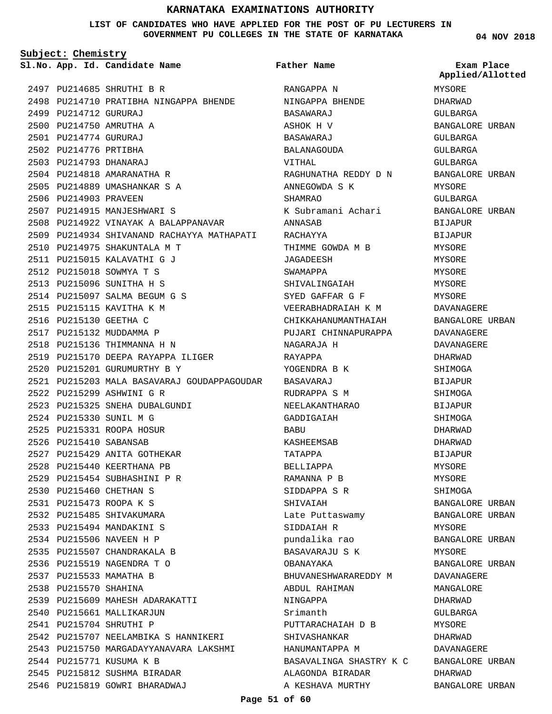#### **LIST OF CANDIDATES WHO HAVE APPLIED FOR THE POST OF PU LECTURERS IN GOVERNMENT PU COLLEGES IN THE STATE OF KARNATAKA**

**Subject: Chemistry**

PU214685 SHRUTHI B R 2497 2498 PU214710 PRATIBHA NINGAPPA BHENDE 2499 PU214712 GURURAJ 2500 PU214750 AMRUTHA A PU214774 GURURAJ 2501 2502 PU214776 PRTIBHA PU214793 DHANARAJ 2503 2504 PU214818 AMARANATHA R 2505 PU214889 UMASHANKAR S A 2506 PU214903 PRAVEEN 2507 PU214915 MANJESHWARI S 2508 PU214922 VINAYAK A BALAPPANAVAR 2509 PU214934 SHIVANAND RACHAYYA MATHAPATI 2510 PU214975 SHAKUNTALA M T PU215015 KALAVATHI G J 2511 2512 PU215018 SOWMYA T S 2513 PU215096 SUNITHA H S 2514 PU215097 SALMA BEGUM G S 2515 PU215115 KAVITHA K M 2516 PU215130 GEETHA C 2517 PU215132 MUDDAMMA P 2518 PU215136 THIMMANNA H N 2519 PU215170 DEEPA RAYAPPA ILIGER 2520 PU215201 GURUMURTHY B Y PU215203 MALA BASAVARAJ GOUDAPPAGOUDAR BASAVARAJ 2521 PU215299 ASHWINI G R 2522 2523 PU215325 SNEHA DUBALGUNDI 2524 PU215330 SUNIL M G 2525 PU215331 ROOPA HOSUR 2526 PU215410 SABANSAB 2527 PU215429 ANITA GOTHEKAR 2528 PU215440 KEERTHANA PB PU215454 SUBHASHINI P R 2529 2530 PU215460 CHETHAN S PU215473 ROOPA K S 2531 2532 PU215485 SHIVAKUMARA 2533 PU215494 MANDAKINI S 2534 PU215506 NAVEEN H P 2535 PU215507 CHANDRAKALA B 2536 PU215519 NAGENDRA T O 2537 PU215533 MAMATHA B 2538 PU215570 SHAHINA 2539 PU215609 MAHESH ADARAKATTI 2540 PU215661 MALLIKARJUN 2541 PU215704 SHRUTHI P 2542 PU215707 NEELAMBIKA S HANNIKERI 2543 PU215750 MARGADAYYANAVARA LAKSHMI 2544 PU215771 KUSUMA K B 2545 PU215812 SUSHMA BIRADAR 2546 PU215819 GOWRI BHARADWAJ

**App. Id. Candidate Name Sl.No. Exam Place** RANGAPPA N NINGAPPA BHENDE BASAWARAJ ASHOK H V BASAWARAJ BALANAGOUDA VITHAL RAGHUNATHA REDDY D N ANNEGOWDA S K SHAMRAO K Subramani Achari ANNASAB RACHAYYA THIMME GOWDA M B JAGADEESH SWAMAPPA SHIVALINGAIAH SYED GAFFAR G F VEERABHADRAIAH K M CHIKKAHANUMANTHAIAH PUJARI CHINNAPURAPPA NAGARAJA H RAYAPPA YOGENDRA B K RUDRAPPA S M NEELAKANTHARAO GADDIGAIAH **BABU** KASHEEMSAB TATAPPA BELLIAPPA RAMANNA P B SIDDAPPA S R SHIVAIAH Late Puttaswamy SIDDAIAH R pundalika rao BASAVARAJU S K OBANAYAKA BHUVANESHWARAREDDY M ABDUL RAHIMAN NINGAPPA Srimanth PUTTARACHAIAH D B SHIVASHANKAR HANUMANTAPPA M BASAVALINGA SHASTRY K C ALAGONDA BIRADAR A KESHAVA MURTHY **Father Name**

**04 NOV 2018**

MYSORE DHARWAD GULBARGA BANGALORE URBAN GULBARGA GULBARGA GULBARGA BANGALORE URBAN MYSORE GULBARGA BANGALORE URBAN BIJAPUR BIJAPUR MYSORE MYSORE MYSORE MYSORE **MYSORE** DAVANAGERE BANGALORE URBAN DAVANAGERE DAVANAGERE DHARWAD SHIMOGA BIJAPUR SHIMOGA BIJAPUR SHIMOGA DHARWAD DHARWAD BIJAPUR MYSORE MYSORE SHIMOGA BANGALORE URBAN BANGALORE URBAN MYSORE BANGALORE URBAN MYSORE BANGALORE URBAN DAVANAGERE MANGALORE DHARWAD GULBARGA MYSORE DHARWAD DAVANAGERE BANGALORE URBAN DHARWAD BANGALORE URBAN **Applied/Allotted**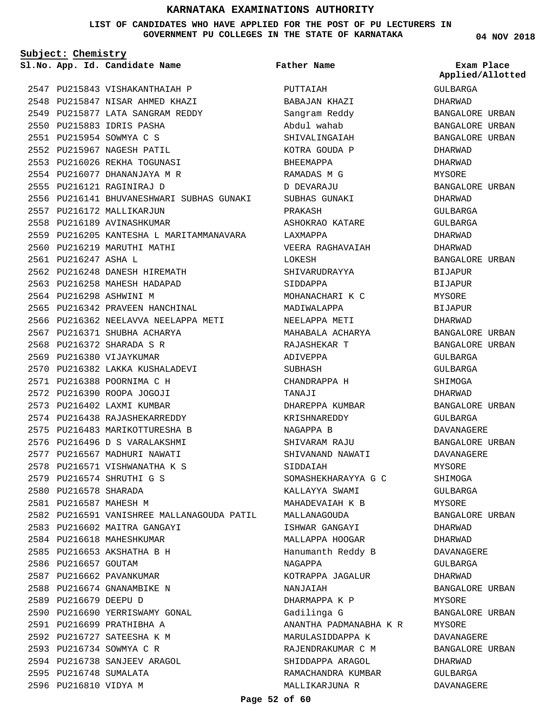**LIST OF CANDIDATES WHO HAVE APPLIED FOR THE POST OF PU LECTURERS IN GOVERNMENT PU COLLEGES IN THE STATE OF KARNATAKA**

**Subject: Chemistry**

**App. Id. Candidate Name Sl.No. Exam Place**

**Father Name**

2547 PU215843 VISHAKANTHAIAH P 2548 PU215847 NISAR AHMED KHAZI 2549 PU215877 LATA SANGRAM REDDY 2550 PU215883 IDRIS PASHA PU215954 SOWMYA C S 2551 2552 PU215967 NAGESH PATIL 2553 PU216026 REKHA TOGUNASI 2554 PU216077 DHANANJAYA M R PU216121 RAGINIRAJ D 2555 2556 PU216141 BHUVANESHWARI SUBHAS GUNAKI 2557 PU216172 MALLIKARJUN 2558 PU216189 AVINASHKUMAR 2559 PU216205 KANTESHA L MARITAMMANAVARA 2560 PU216219 MARUTHI MATHI 2561 PU216247 ASHA L 2562 PU216248 DANESH HIREMATH 2563 PU216258 MAHESH HADAPAD 2564 PU216298 ASHWINI M 2565 PU216342 PRAVEEN HANCHINAL 2566 PU216362 NEELAVVA NEELAPPA METI 2567 PU216371 SHUBHA ACHARYA 2568 PU216372 SHARADA S R 2569 PU216380 VIJAYKUMAR 2570 PU216382 LAKKA KUSHALADEVI PU216388 POORNIMA C H 2571 2572 PU216390 ROOPA JOGOJI 2573 PU216402 LAXMI KUMBAR 2574 PU216438 RAJASHEKARREDDY 2575 PU216483 MARIKOTTURESHA B 2576 PU216496 D S VARALAKSHMI 2577 PU216567 MADHURI NAWATI 2578 PU216571 VISHWANATHA K S PU216574 SHRUTHI G S 2579 2580 PU216578 SHARADA 2581 PU216587 MAHESH M 2582 PU216591 VANISHREE MALLANAGOUDA PATIL 2583 PU216602 MAITRA GANGAYI 2584 PU216618 MAHESHKUMAR PU216653 AKSHATHA B H 2585 2586 PU216657 GOUTAM 2587 PU216662 PAVANKUMAR 2588 PU216674 GNANAMBIKE N 2589 PU216679 DEEPU D 2590 PU216690 YERRISWAMY GONAL PU216699 PRATHIBHA A 2591 2592 PU216727 SATEESHA K M 2593 PU216734 SOWMYA C R 2594 PU216738 SANJEEV ARAGOL 2595 PU216748 SUMALATA 2596 PU216810 VIDYA M

PUTTAIAH BABAJAN KHAZI Sangram Reddy Abdul wahab SHIVALINGAIAH KOTRA GOUDA P BHEEMAPPA RAMADAS M G D DEVARAJII SUBHAS GUNAKI PRAKASH ASHOKRAO KATARE LAXMAPPA VEERA RAGHAVAIAH LOKESH SHIVARUDRAYYA SIDDAPPA MOHANACHARI K C MADIWALAPPA NEELAPPA METI MAHABALA ACHARYA RAJASHEKAR T ADIVEPPA SUBHASH CHANDRAPPA H TANAJI DHAREPPA KUMBAR KRISHNAREDDY NAGAPPA B SHIVARAM RAJU SHIVANAND NAWATI SIDDAIAH SOMASHEKHARAYYA G C KALLAYYA SWAMI MAHADEVAIAH K B MALLANAGOUDA ISHWAR GANGAYI MALLAPPA HOOGAR Hanumanth Reddy B NAGAPPA KOTRAPPA JAGALUR NANJAIAH DHARMAPPA K P Gadilinga G ANANTHA PADMANABHA K R MARULASIDDAPPA K RAJENDRAKUMAR C M SHIDDAPPA ARAGOL RAMACHANDRA KUMBAR MALLIKARJUNA R

**04 NOV 2018**

GULBARGA DHARWAD BANGALORE URBAN BANGALORE URBAN BANGALORE URBAN DHARWAD DHARWAD MYSORE BANGALORE URBAN DHARWAD GULBARGA GULBARGA DHARWAD DHARWAD BANGALORE URBAN BIJAPUR BIJAPUR MYSORE BIJAPUR DHARWAD BANGALORE URBAN BANGALORE URBAN GULBARGA GULBARGA SHIMOGA DHARWAD BANGALORE URBAN GULBARGA DAVANAGERE BANGALORE URBAN DAVANAGERE MYSORE SHIMOGA GULBARGA MYSORE BANGALORE URBAN DHARWAD DHARWAD DAVANAGERE GULBARGA DHARWAD BANGALORE URBAN MYSORE BANGALORE URBAN MYSORE DAVANAGERE BANGALORE URBAN DHARWAD GULBARGA DAVANAGERE **Applied/Allotted**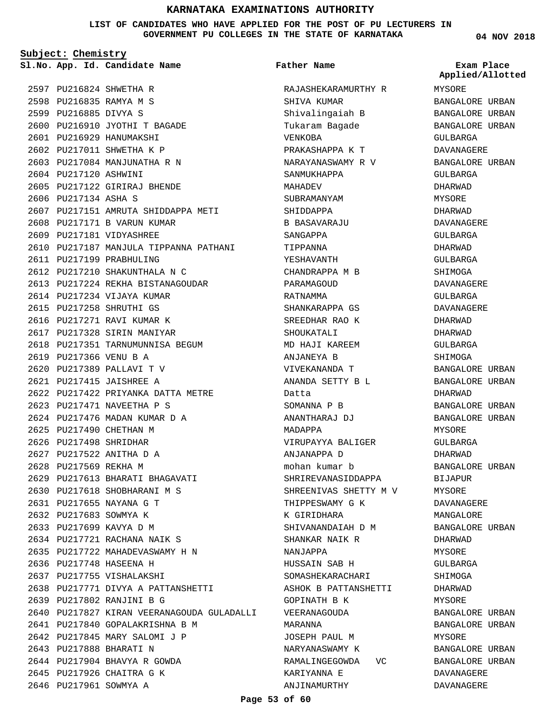**LIST OF CANDIDATES WHO HAVE APPLIED FOR THE POST OF PU LECTURERS IN GOVERNMENT PU COLLEGES IN THE STATE OF KARNATAKA**

**Subject: Chemistry**

**App. Id. Candidate Name Sl.No. Exam Place**

2597 PU216824 SHWETHA R 2598 PU216835 RAMYA M S 2599 PU216885 DIVYA S 2600 PU216910 JYOTHI T BAGADE 2601 PU216929 HANUMAKSHI 2602 PU217011 SHWETHA K P 2603 PU217084 MANJUNATHA R N 2604 PU217120 ASHWINI 2605 PU217122 GIRIRAJ BHENDE 2606 PU217134 ASHA S 2607 PU217151 AMRUTA SHIDDAPPA METI 2608 PU217171 B VARUN KUMAR 2609 PU217181 VIDYASHREE 2610 PU217187 MANJULA TIPPANNA PATHANI 2611 PU217199 PRABHULING PU217210 SHAKUNTHALA N C 2612 2613 PU217224 REKHA BISTANAGOUDAR 2614 PU217234 VIJAYA KUMAR 2615 PU217258 SHRUTHI GS 2616 PU217271 RAVI KUMAR K 2617 PU217328 SIRIN MANIYAR 2618 PU217351 TARNUMUNNISA BEGUM 2619 PU217366 VENU B A PU217389 PALLAVI T V 2620 PU217415 JAISHREE A 2621 PU217422 PRIYANKA DATTA METRE 2622 PU217471 NAVEETHA P S 2623 2624 PU217476 MADAN KUMAR D A 2625 PU217490 CHETHAN M 2626 PU217498 SHRIDHAR PU217522 ANITHA D A 2627 2628 PU217569 REKHA M 2629 PU217613 BHARATI BHAGAVATI 2630 PU217618 SHOBHARANI M S PU217655 NAYANA G T 2631 2632 PU217683 SOWMYA K 2633 PU217699 KAVYA D M 2634 PU217721 RACHANA NAIK S 2635 PU217722 MAHADEVASWAMY H N 2636 PU217748 HASEENA H 2637 PU217755 VISHALAKSHI 2638 PU217771 DIVYA A PATTANSHETTI PU217802 RANJINI B G 2639 2640 PU217827 KIRAN VEERANAGOUDA GULADALLI PU217840 GOPALAKRISHNA B M 2641 2642 PU217845 MARY SALOMI J P 2643 PU217888 BHARATI N 2644 PU217904 BHAVYA R GOWDA 2645 PU217926 CHAITRA G K 2646 PU217961 SOWMYA A

Tukaram Bagade VENKOBA PRAKASHAPPA K T NARAYANASWAMY R V SANMUKHAPPA MAHADEV SUBRAMANYAM SHIDDAPPA B BASAVARAJU SANGAPPA TIPPANNA YESHAVANTH CHANDRAPPA M B PARAMAGOUD RATNAMMA SHANKARAPPA GS SREEDHAR RAO K SHOUKATALI MD HAJI KAREEM ANJANEYA B VIVEKANANDA T ANANDA SETTY B L Datta SOMANNA P B ANANTHARAJ DJ MADAPPA VIRUPAYYA BALIGER ANJANAPPA D mohan kumar b SHRIREVANASIDDAPPA SHREENIVAS SHETTY M V THIPPESWAMY G K

K GIRIDHARA

NANJAPPA

MARANNA

SHIVANANDAIAH D M SHANKAR NAIK R

HUSSAIN SAB H SOMASHEKARACHARI ASHOK B PATTANSHETTI

GOPINATH B K VEERANAGOUDA

JOSEPH PAUL M NARYANASWAMY K RAMALINGEGOWDA VC

KARIYANNA E ANJINAMURTHY

RAJASHEKARAMURTHY R

SHIVA KUMAR Shivalingaiah B

**Father Name**

**04 NOV 2018**

MYSORE BANGALORE URBAN BANGALORE URBAN BANGALORE URBAN GULBARGA DAVANAGERE BANGALORE URBAN GULBARGA DHARWAD MYSORE DHARWAD DAVANAGERE GULBARGA DHARWAD GULBARGA SHIMOGA DAVANAGERE GULBARGA DAVANAGERE DHARWAD DHARWAD GULBARGA SHIMOGA BANGALORE URBAN BANGALORE URBAN DHARWAD BANGALORE URBAN BANGALORE URBAN MYSORE GULBARGA DHARWAD BANGALORE URBAN BIJAPUR MYSORE DAVANAGERE MANGALORE BANGALORE URBAN DHARWAD MYSORE GULBARGA SHIMOGA DHARWAD MYSORE BANGALORE URBAN BANGALORE URBAN MYSORE BANGALORE URBAN BANGALORE URBAN DAVANAGERE DAVANAGERE **Applied/Allotted**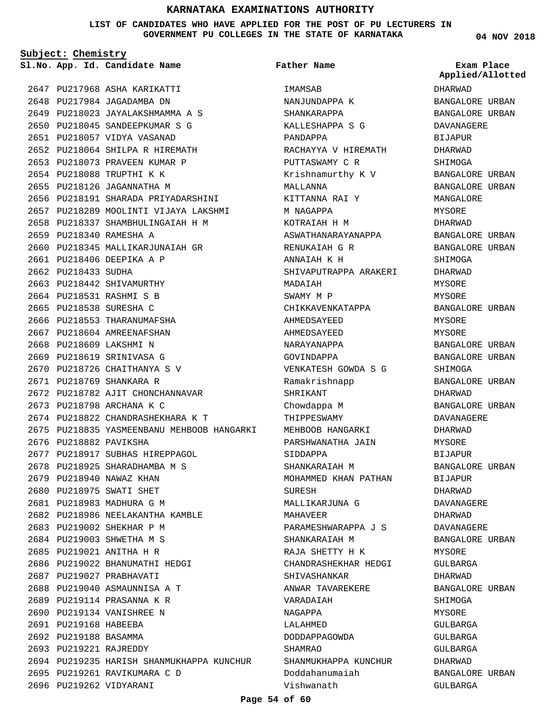**LIST OF CANDIDATES WHO HAVE APPLIED FOR THE POST OF PU LECTURERS IN GOVERNMENT PU COLLEGES IN THE STATE OF KARNATAKA**

**Subject: Chemistry**

**App. Id. Candidate Name Sl.No. Exam Place**

2647 PU217968 ASHA KARIKATTI 2648 PU217984 JAGADAMBA DN PU218023 JAYALAKSHMAMMA A S 2649 2650 PU218045 SANDEEPKUMAR S G 2651 PU218057 VIDYA VASANAD PU218064 SHILPA R HIREMATH 2652 2653 PU218073 PRAVEEN KUMAR P 2654 PU218088 TRUPTHI K K 2655 PU218126 JAGANNATHA M 2656 PU218191 SHARADA PRIYADARSHINI 2657 PU218289 MOOLINTI VIJAYA LAKSHMI PU218337 SHAMBHULINGAIAH H M 2658 2659 PU218340 RAMESHA A 2660 PU218345 MALLIKARJUNAIAH GR 2661 PU218406 DEEPIKA A P 2662 PU218433 SUDHA 2663 PU218442 SHIVAMURTHY 2664 PU218531 RASHMI S B 2665 PU218538 SURESHA C 2666 PU218553 THARANUMAFSHA 2667 PU218604 AMREENAFSHAN 2668 PU218609 LAKSHMI N 2669 PU218619 SRINIVASA G 2670 PU218726 CHAITHANYA S V 2671 PU218769 SHANKARA R 2672 PU218782 AJIT CHONCHANNAVAR 2673 PU218798 ARCHANA K C PU218822 CHANDRASHEKHARA K T 2674 2675 PU218835 YASMEENBANU MEHBOOB HANGARKI 2676 PU218882 PAVIKSHA 2677 PU218917 SUBHAS HIREPPAGOL 2678 PU218925 SHARADHAMBA M S 2679 PU218940 NAWAZ KHAN 2680 PU218975 SWATI SHET 2681 PU218983 MADHURA G M 2682 PU218986 NEELAKANTHA KAMBLE 2683 PU219002 SHEKHAR P M 2684 PU219003 SHWETHA M S 2685 PU219021 ANITHA H R 2686 PU219022 BHANUMATHI HEDGI 2687 PU219027 PRABHAVATI 2688 PU219040 ASMAUNNISA A T 2689 PU219114 PRASANNA K R 2690 PU219134 VANISHREE N 2691 PU219168 HABEEBA 2692 PU219188 BASAMMA 2693 PU219221 RAJREDDY 2694 PU219235 HARISH SHANMUKHAPPA KUNCHUR 2695 PU219261 RAVIKUMARA C D 2696 PU219262 VIDYARANI

**TMAMSAR** NANJUNDAPPA K SHANKARAPPA KALLESHAPPA S G PANDAPPA RACHAYYA V HIREMATH PUTTASWAMY C R Krishnamurthy K V MALLANNA KITTANNA RAI Y M NAGAPPA KOTRAIAH H M ASWATHANARAYANAPPA RENUKAIAH G R ANNAIAH K H SHIVAPUTRAPPA ARAKERI MADAIAH SWAMY M P CHIKKAVENKATAPPA AHMEDSAYEED AHMEDSAYEED NARAYANAPPA GOVINDAPPA VENKATESH GOWDA S G Ramakrishnapp SHRIKANT Chowdappa M THIPPESWAMY MEHBOOB HANGARKI PARSHWANATHA JAIN SIDDAPPA SHANKARAIAH M MOHAMMED KHAN PATHAN SURESH MALLIKARJUNA G **MAHAVEER** PARAMESHWARAPPA J S SHANKARAIAH M RAJA SHETTY H K CHANDRASHEKHAR HEDGI SHIVASHANKAR ANWAR TAVAREKERE VARADAIAH NAGAPPA LALAHMED DODDAPPAGOWDA SHAMRAO SHANMUKHAPPA KUNCHUR Doddahanumaiah Vishwanath **Father Name**

**04 NOV 2018**

**Applied/Allotted**

DHARWAD BANGALORE URBAN BANGALORE URBAN DAVANAGERE BIJAPUR DHARWAD SHIMOGA BANGALORE URBAN BANGALORE URBAN MANGALORE MYSORE DHARWAD BANGALORE URBAN BANGALORE URBAN SHIMOGA DHARWAD MYSORE **MYSORE** BANGALORE URBAN MYSORE MYSORE BANGALORE URBAN BANGALORE URBAN SHIMOGA BANGALORE URBAN DHARWAD BANGALORE URBAN DAVANAGERE DHARWAD MYSORE BIJAPUR BANGALORE URBAN BIJAPUR DHARWAD DAVANAGERE DHARWAD DAVANAGERE BANGALORE URBAN MYSORE GULBARGA DHARWAD BANGALORE URBAN SHIMOGA **MYSORE** GULBARGA GULBARGA GULBARGA DHARWAD BANGALORE URBAN GULBARGA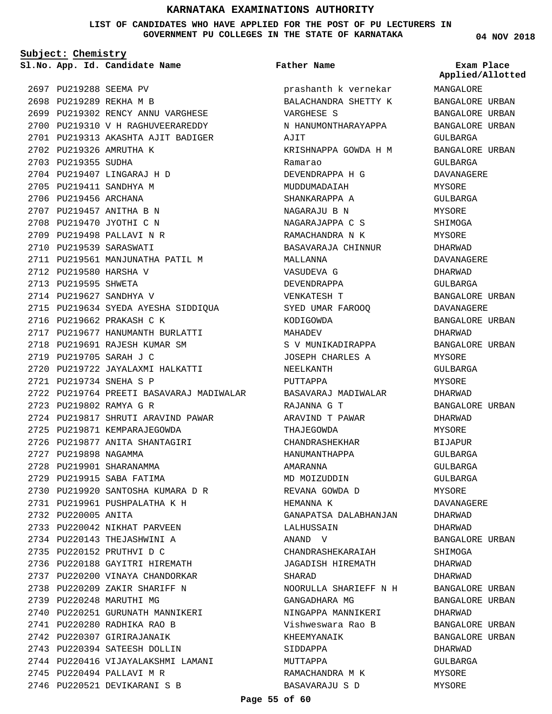**LIST OF CANDIDATES WHO HAVE APPLIED FOR THE POST OF PU LECTURERS IN GOVERNMENT PU COLLEGES IN THE STATE OF KARNATAKA**

**Subject: Chemistry**

**App. Id. Candidate Name Sl.No. Exam Place**

2697 PU219288 SEEMA PV 2698 PU219289 REKHA M B 2699 PU219302 RENCY ANNU VARGHESE 2700 PU219310 V H RAGHUVEERAREDDY 2701 PU219313 AKASHTA AJIT BADIGER 2702 PU219326 AMRUTHA K 2703 PU219355 SUDHA 2704 PU219407 LINGARAJ H D 2705 PU219411 SANDHYA M 2706 PU219456 ARCHANA 2707 PU219457 ANITHA B N 2708 PU219470 JYOTHI C N 2709 PU219498 PALLAVI N R 2710 PU219539 SARASWATI 2711 PU219561 MANJUNATHA PATIL M 2712 PU219580 HARSHA V 2713 PU219595 SHWETA 2714 PU219627 SANDHYA V 2715 PU219634 SYEDA AYESHA SIDDIQUA 2716 PU219662 PRAKASH C K 2717 PU219677 HANUMANTH BURLATTI 2718 PU219691 RAJESH KUMAR SM PU219705 SARAH J C 2719 PU219722 JAYALAXMI HALKATTI 2720 PU219734 SNEHA S P 2721 2722 PU219764 PREETI BASAVARAJ MADIWALAR PU219802 RAMYA G R 2723 2724 PU219817 SHRUTI ARAVIND PAWAR 2725 PU219871 KEMPARAJEGOWDA 2726 PU219877 ANITA SHANTAGIRI 2727 PU219898 NAGAMMA 2728 PU219901 SHARANAMMA 2729 PU219915 SABA FATIMA 2730 PU219920 SANTOSHA KUMARA D R PU219961 PUSHPALATHA K H 2731 2732 PU220005 ANITA 2733 PU220042 NIKHAT PARVEEN 2734 PU220143 THEJASHWINI A 2735 PU220152 PRUTHVI D C 2736 PU220188 GAYITRI HIREMATH 2737 PU220200 VINAYA CHANDORKAR 2738 PU220209 ZAKIR SHARIFF N 2739 PU220248 MARUTHI MG 2740 PU220251 GURUNATH MANNIKERI PU220280 RADHIKA RAO B 2741 2742 PU220307 GIRIRAJANAIK 2743 PU220394 SATEESH DOLLIN 2744 PU220416 VIJAYALAKSHMI LAMANI 2745 PU220494 PALLAVI M R 2746 PU220521 DEVIKARANI S B

#### **Father Name**

prashanth k vernekar BALACHANDRA SHETTY K VARGHESE S N HANUMONTHARAYAPPA AJIT KRISHNAPPA GOWDA H M Ramarao DEVENDRAPPA H G MUDDUMADAIAH SHANKARAPPA A NAGARAJU B N NAGARAJAPPA C S RAMACHANDRA N K BASAVARAJA CHINNUR MALLANNA VASUDEVA G DEVENDRAPPA VENKATESH T SYED UMAR FAROOQ KODIGOWDA MAHADEV S V MUNIKADIRAPPA JOSEPH CHARLES A NEELKANTH PUTTAPPA BASAVARAJ MADIWALAR RAJANNA G T ARAVIND T PAWAR THAJEGOWDA CHANDRASHEKHAR HANUMANTHAPPA AMARANNA MD MOIZUDDIN REVANA GOWDA D HEMANNA K GANAPATSA DALABHANJAN LALHUSSAIN ANAND V CHANDRASHEKARAIAH JAGADISH HIREMATH SHARAD NOORULLA SHARIEFF N H GANGADHARA MG NINGAPPA MANNIKERI Vishweswara Rao B KHEEMYANAIK SIDDAPPA MUTTAPPA RAMACHANDRA M K BASAVARAJU S D

#### **04 NOV 2018**

MANGALORE BANGALORE URBAN BANGALORE URBAN BANGALORE URBAN GULBARGA BANGALORE URBAN GULBARGA DAVANAGERE **MYSORE** GULBARGA **MYSORE** SHIMOGA MYSORE DHARWAD DAVANAGERE DHARWAD GULBARGA BANGALORE URBAN DAVANAGERE BANGALORE URBAN DHARWAD BANGALORE URBAN MYSORE GULBARGA MYSORE DHARWAD BANGALORE URBAN DHARWAD MYSORE BIJAPUR GULBARGA GULBARGA GULBARGA MYSORE DAVANAGERE DHARWAD DHARWAD BANGALORE URBAN SHIMOGA DHARWAD DHARWAD BANGALORE URBAN BANGALORE URBAN DHARWAD BANGALORE URBAN BANGALORE URBAN DHARWAD GULBARGA MYSORE MYSORE **Applied/Allotted**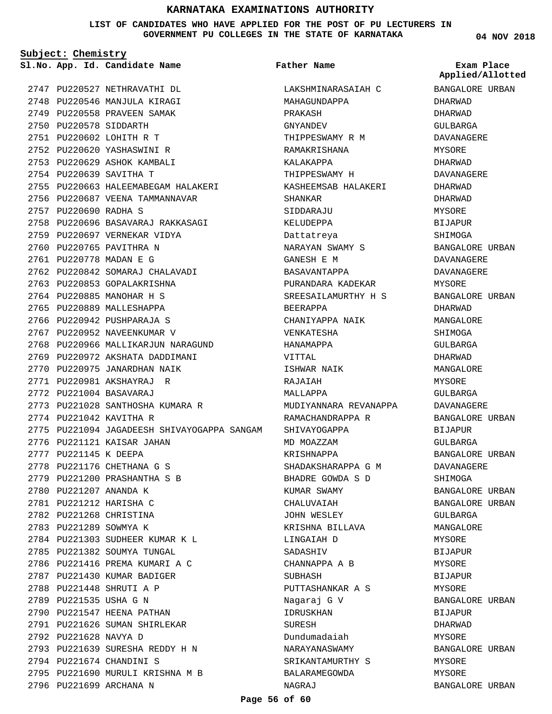**LIST OF CANDIDATES WHO HAVE APPLIED FOR THE POST OF PU LECTURERS IN GOVERNMENT PU COLLEGES IN THE STATE OF KARNATAKA**

**Subject: Chemistry**

**App. Id. Candidate Name Sl.No. Exam Place**

2750 PU220578 SIDDARTH PU220602 LOHITH R T 2751 PU220620 YASHASWINI R 2752 2753 PU220629 ASHOK KAMBALI 2754 PU220639 SAVITHA T

2757 PU220690 RADHA S

2747 PU220527 NETHRAVATHI DL 2748 PU220546 MANJULA KIRAGI 2749 PU220558 PRAVEEN SAMAK

2755 PU220663 HALEEMABEGAM HALAKERI 2756 PU220687 VEENA TAMMANNAVAR

2758 PU220696 BASAVARAJ RAKKASAGI

2762 PU220842 SOMARAJ CHALAVADI 2763 PU220853 GOPALAKRISHNA 2764 PU220885 MANOHAR H S 2765 PU220889 MALLESHAPPA 2766 PU220942 PUSHPARAJA S 2767 PU220952 NAVEENKUMAR V

2768 PU220966 MALLIKARJUN NARAGUND 2769 PU220972 AKSHATA DADDIMANI 2770 PU220975 JANARDHAN NAIK PU220981 AKSHAYRAJ R 2771 PU221004 BASAVARAJ 2772

2773 PU221028 SANTHOSHA KUMARA R

2775 PU221094 JAGADEESH SHIVAYOGAPPA SANGAM

2774 PU221042 KAVITHA R

2777 PU221145 K DEEPA

2780 PU221207 ANANDA K 2781 PU221212 HARISHA C 2782 PU221268 CHRISTINA 2783 PU221289 SOWMYA K

2792 PU221628 NAVYA D

2794 PU221674 CHANDINI S

2796 PU221699 ARCHANA N

2776 PU221121 KAISAR JAHAN

2778 PU221176 CHETHANA G S 2779 PU221200 PRASHANTHA S B

PU221303 SUDHEER KUMAR K L 2784 2785 PU221382 SOUMYA TUNGAL 2786 PU221416 PREMA KUMARI A C 2787 PU221430 KUMAR BADIGER 2788 PU221448 SHRUTI A P 2789 PU221535 USHA G N 2790 PU221547 HEENA PATHAN 2791 PU221626 SUMAN SHIRLEKAR

PU221639 SURESHA REDDY H N 2793

2795 PU221690 MURULI KRISHNA M B

2759 PU220697 VERNEKAR VIDYA 2760 PU220765 PAVITHRA N 2761 PU220778 MADAN E G

**Father Name**

LAKSHMINARASAIAH C MAHAGUNDAPPA PRAKASH GNYANDEV THIPPESWAMY R M RAMAKRISHANA KALAKAPPA THIPPESWAMY H KASHEEMSAB HALAKERI SHANKAR SIDDARAJU KELUDEPPA Dattatreya NARAYAN SWAMY S GANESH E M BASAVANTAPPA PURANDARA KADEKAR SREESAILAMURTHY H S BEERAPPA CHANIYAPPA NAIK VENKATESHA HANAMAPPA VITTAL ISHWAR NAIK RAJAIAH MALLAPPA MUDIYANNARA REVANAPPA RAMACHANDRAPPA R SHIVAYOGAPPA MD MOAZZAM KRISHNAPPA SHADAKSHARAPPA G M BHADRE GOWDA S D KUMAR SWAMY CHALUVAIAH JOHN WESLEY KRISHNA BILLAVA LINGAIAH D SADASHIV CHANNAPPA A B SUBHASH PUTTASHANKAR A S Nagaraj G V IDRUSKHAN **SURESH** Dundumadaiah NARAYANASWAMY SRIKANTAMURTHY S BALARAMEGOWDA NAGRAJ

**04 NOV 2018**

BANGALORE URBAN DHARWAD DHARWAD GULBARGA DAVANAGERE MYSORE DHARWAD DAVANAGERE DHARWAD DHARWAD MYSORE BIJAPUR SHIMOGA BANGALORE URBAN DAVANAGERE DAVANAGERE MYSORE BANGALORE URBAN DHARWAD MANGALORE SHIMOGA GULBARGA DHARWAD MANGALORE MYSORE GULBARGA DAVANAGERE BANGALORE URBAN BIJAPUR GULBARGA BANGALORE URBAN DAVANAGERE SHIMOGA BANGALORE URBAN BANGALORE URBAN GULBARGA MANGALORE MYSORE BIJAPUR MYSORE BIJAPUR MYSORE BANGALORE URBAN **BIJAPUR** DHARWAD MYSORE BANGALORE URBAN MYSORE **Applied/Allotted**

MYSORE

BANGALORE URBAN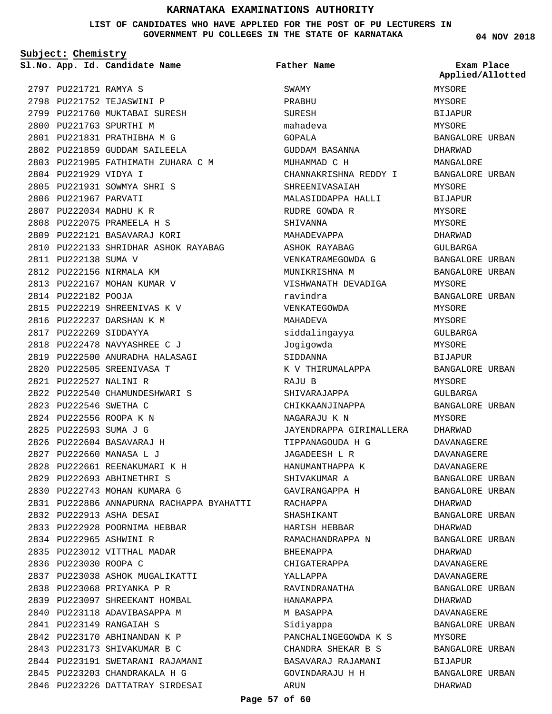#### **LIST OF CANDIDATES WHO HAVE APPLIED FOR THE POST OF PU LECTURERS IN GOVERNMENT PU COLLEGES IN THE STATE OF KARNATAKA**

**Subject: Chemistry**

2797 PU221721 RAMYA S 2798 PU221752 TEJASWINI P 2799 PU221760 MUKTABAI SURESH 2800 PU221763 SPURTHI M PU221831 PRATHIBHA M G 2801 2802 PU221859 GUDDAM SAILEELA 2803 PU221905 FATHIMATH ZUHARA C M 2804 PU221929 VIDYA I 2805 PU221931 SOWMYA SHRI S 2806 PU221967 PARVATI 2807 PU222034 MADHU K R PU222075 PRAMEELA H S 2808 2809 PU222121 BASAVARAJ KORI 2810 PU222133 SHRIDHAR ASHOK RAYABAG 2811 PU222138 SUMA V 2812 PU222156 NIRMALA KM 2813 PU222167 MOHAN KUMAR V 2814 PU222182 POOJA 2815 PU222219 SHREENIVAS K V 2816 PU222237 DARSHAN K M 2817 PU222269 SIDDAYYA 2818 PU222478 NAVYASHREE C J PU222500 ANURADHA HALASAGI 2819 2820 PU222505 SREENIVASA T PU222527 NALINI R 2821 2822 PU222540 CHAMUNDESHWARI S PU222546 SWETHA C 2823 2824 PU222556 ROOPA K N PU222593 SUMA J G 2825 PU222604 BASAVARAJ H 2826 PU222660 MANASA L J 2827 PU222661 REENAKUMARI K H 2828 PU222693 ABHINETHRI S 2829 2830 PU222743 MOHAN KUMARA G 2831 PU222886 ANNAPURNA RACHAPPA BYAHATTI PU222913 ASHA DESAI 2832 2833 PU222928 POORNIMA HEBBAR 2834 PU222965 ASHWINI R 2835 PU223012 VITTHAL MADAR 2836 PU223030 ROOPA C 2837 PU223038 ASHOK MUGALIKATTI 2838 PU223068 PRIYANKA P R 2839 PU223097 SHREEKANT HOMBAL 2840 PU223118 ADAVIBASAPPA M PU223149 RANGAIAH S 2841 2842 PU223170 ABHINANDAN K P 2843 PU223173 SHIVAKUMAR B C 2844 PU223191 SWETARANI RAJAMANI PU223203 CHANDRAKALA H G 2845 2846 PU223226 DATTATRAY SIRDESAI

**App. Id. Candidate Name Sl.No. Exam Place** SWAMY PRABHU SURESH mahadeva GOPALA GUDDAM BASANNA MUHAMMAD C H CHANNAKRISHNA REDDY I SHREENIVASAIAH MALASIDDAPPA HALLI RUDRE GOWDA R SHIVANNA MAHADEVAPPA ASHOK RAYABAG VENKATRAMEGOWDA G MUNIKRISHNA M VISHWANATH DEVADIGA ravindra VENKATEGOWDA MAHADEVA siddalingayya Jogigowda SIDDANNA K V THIRUMALAPPA RAJU B SHIVARAJAPPA CHIKKAANJINAPPA NAGARAJU K N JAYENDRAPPA GIRIMALLERA TIPPANAGOUDA H G JAGADEESH L R HANUMANTHAPPA K SHIVAKUMAR A GAVIRANGAPPA H RACHAPPA SHASHIKANT HARISH HEBBAR RAMACHANDRAPPA N BHEEMAPPA CHIGATERAPPA YALLAPPA RAVINDRANATHA HANAMAPPA M BASAPPA Sidiyappa PANCHALINGEGOWDA K S CHANDRA SHEKAR B S BASAVARAJ RAJAMANI GOVINDARAJU H H ARUN **Father Name**

#### **04 NOV 2018**

MYSORE MYSORE BIJAPUR MYSORE BANGALORE URBAN DHARWAD MANGALORE BANGALORE URBAN MYSORE BIJAPUR MYSORE MYSORE DHARWAD GULBARGA BANGALORE URBAN BANGALORE URBAN MYSORE BANGALORE URBAN MYSORE MYSORE GULBARGA MYSORE BIJAPUR BANGALORE URBAN MYSORE GULBARGA BANGALORE URBAN MYSORE DHARWAD DAVANAGERE DAVANAGERE DAVANAGERE BANGALORE URBAN BANGALORE URBAN DHARWAD BANGALORE URBAN DHARWAD BANGALORE URBAN DHARWAD DAVANAGERE DAVANAGERE BANGALORE URBAN DHARWAD DAVANAGERE BANGALORE URBAN MYSORE BANGALORE URBAN BIJAPUR BANGALORE URBAN DHARWAD **Applied/Allotted**

#### **Page 57 of 60**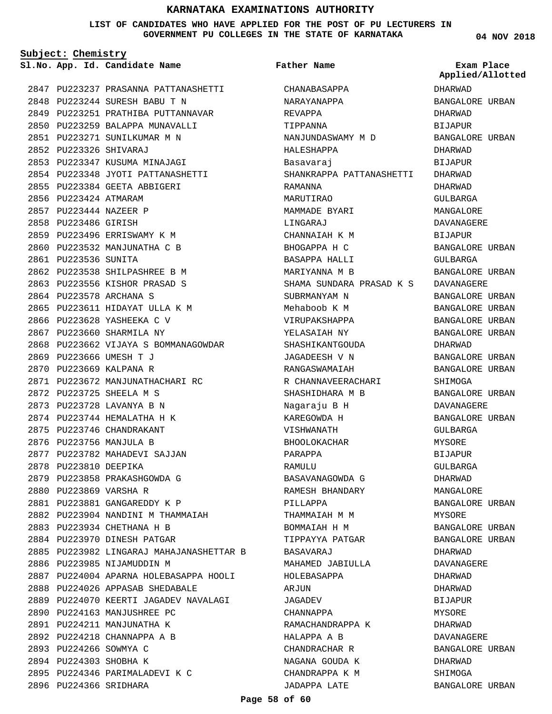#### **LIST OF CANDIDATES WHO HAVE APPLIED FOR THE POST OF PU LECTURERS IN GOVERNMENT PU COLLEGES IN THE STATE OF KARNATAKA**

**Subject: Chemistry**

PU223237 PRASANNA PATTANASHETTI 2847 PU223244 SURESH BABU T N 2848 2849 PU223251 PRATHIBA PUTTANNAVAR 2850 PU223259 BALAPPA MUNAVALLI 2851 PU223271 SUNILKUMAR M N PU223326 SHIVARAJ 2852 2853 PU223347 KUSUMA MINAJAGI 2854 PU223348 JYOTI PATTANASHETTI 2855 PU223384 GEETA ABBIGERI 2856 PU223424 ATMARAM PU223444 NAZEER P 2857 2858 PU223486 GIRISH 2859 PU223496 ERRISWAMY K M 2860 PU223532 MANJUNATHA C B 2861 PU223536 SUNITA PU223538 SHILPASHREE B M 2862 2863 PU223556 KISHOR PRASAD S 2864 PU223578 ARCHANA S 2865 PU223611 HIDAYAT ULLA K M 2866 PU223628 YASHEEKA C V 2867 PU223660 SHARMILA NY 2868 PU223662 VIJAYA S BOMMANAGOWDAR 2869 PU223666 UMESH T J 2870 PU223669 KALPANA R 2871 PU223672 MANJUNATHACHARI RC PU223725 SHEELA M S 2872 2873 PU223728 LAVANYA B N PU223744 HEMALATHA H K 2874 2875 PU223746 CHANDRAKANT 2876 PU223756 MANJULA B 2877 PU223782 MAHADEVI SAJJAN 2878 PU223810 DEEPIKA 2879 PU223858 PRAKASHGOWDA G 2880 PU223869 VARSHA R PU223881 GANGAREDDY K P 2881 2882 PU223904 NANDINI M THAMMAIAH PU223934 CHETHANA H B 2883 2884 PU223970 DINESH PATGAR PU223982 LINGARAJ MAHAJANASHETTAR B 2885 2886 PU223985 NIJAMUDDIN M 2887 PU224004 APARNA HOLEBASAPPA HOOLI 2888 PU224026 APPASAB SHEDABALE 2889 PU224070 KEERTI JAGADEV NAVALAGI 2890 PU224163 MANJUSHREE PC 2891 PU224211 MANJUNATHA K PU224218 CHANNAPPA A B 2892 2893 PU224266 SOWMYA C 2894 PU224303 SHOBHA K 2895 PU224346 PARIMALADEVI K C 2896 PU224366 SRIDHARA

**App. Id. Candidate Name Sl.No. Exam Place** CHANABASAPPA NARAYANAPPA REVAPPA TIPPANNA NANJUNDASWAMY M D HALESHAPPA Basavaraj SHANKRAPPA PATTANASHETTI RAMANNA MARUTIRAO MAMMADE BYARI LINGARAJ CHANNAIAH K M BHOGAPPA H C BASAPPA HALLI MARIYANNA M B SHAMA SUNDARA PRASAD K S DAVANAGERE SUBRMANYAM N Mehaboob K M VIRUPAKSHAPPA YELASAIAH NY SHASHIKANTGOUDA JAGADEESH V N RANGASWAMAIAH R CHANNAVEERACHARI SHASHIDHARA M B Nagaraju B H KAREGOWDA H VISHWANATH BHOOLOKACHAR PARAPPA RAMULU BASAVANAGOWDA G RAMESH BHANDARY PILLAPPA THAMMAIAH M M BOMMAIAH H M TIPPAYYA PATGAR BASAVARAJ MAHAMED JABIULLA HOLEBASAPPA ARJUN JAGADEV CHANNAPPA RAMACHANDRAPPA K HALAPPA A B CHANDRACHAR R NAGANA GOUDA K CHANDRAPPA K M JADAPPA LATE **Father Name**

**04 NOV 2018**

DHARWAD

DHARWAD BIJAPUR

BANGALORE URBAN

**Applied/Allotted**

BANGALORE URBAN DHARWAD BIJAPUR DHARWAD DHARWAD GULBARGA MANGALORE DAVANAGERE BIJAPUR BANGALORE URBAN GULBARGA BANGALORE URBAN BANGALORE URBAN BANGALORE URBAN BANGALORE URBAN BANGALORE URBAN DHARWAD BANGALORE URBAN BANGALORE URBAN SHIMOGA BANGALORE URBAN DAVANAGERE BANGALORE URBAN GULBARGA MYSORE BIJAPUR GULBARGA DHARWAD MANGALORE BANGALORE URBAN MYSORE BANGALORE URBAN BANGALORE URBAN DHARWAD DAVANAGERE DHARWAD DHARWAD BIJAPUR **MYSORE** DHARWAD DAVANAGERE BANGALORE URBAN DHARWAD SHIMOGA BANGALORE URBAN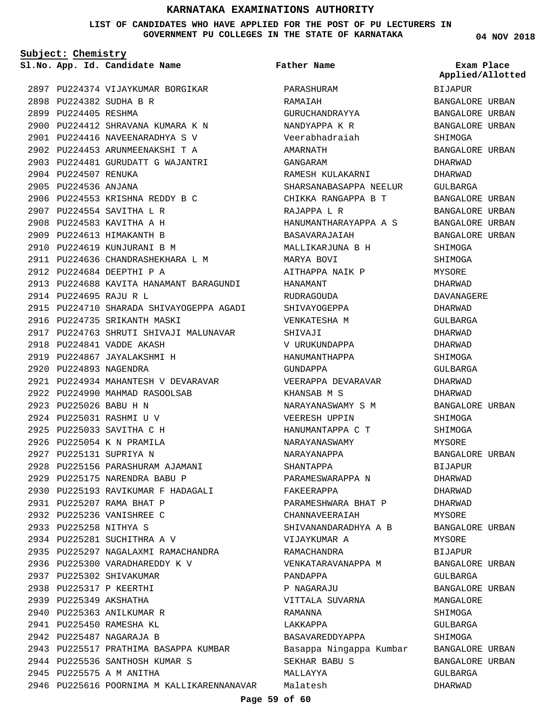#### **LIST OF CANDIDATES WHO HAVE APPLIED FOR THE POST OF PU LECTURERS IN GOVERNMENT PU COLLEGES IN THE STATE OF KARNATAKA**

**Subject: Chemistry**

**04 NOV 2018**

|      |                        | 2897 PU224374 VIJAYKUMAR BORGIKAR          |
|------|------------------------|--------------------------------------------|
| 2898 |                        | PU224382 SUDHA B R                         |
|      | 2899 PU224405 RESHMA   |                                            |
|      |                        | 2900 PU224412 SHRAVANA KUMARA K N          |
|      |                        | 2901 PU224416 NAVEENARADHYA S V            |
|      |                        | 2902 PU224453 ARUNMEENAKSHI T A            |
|      |                        | 2903 PU224481 GURUDATT G WAJANTRI          |
|      | 2904 PU224507 RENUKA   |                                            |
| 2905 | PU224536 ANJANA        |                                            |
| 2906 |                        | PU224553 KRISHNA REDDY B C                 |
|      |                        | 2907 PU224554 SAVITHA L R                  |
|      |                        | 2908 PU224583 KAVITHA A H                  |
|      |                        | 2909 PU224613 HIMAKANTH B                  |
|      |                        | 2910 PU224619 KUNJURANI B M                |
|      |                        | 2911 PU224636 CHANDRASHEKHARA L M          |
|      |                        | 2912 PU224684 DEEPTHI P A                  |
|      |                        | 2913 PU224688 KAVITA HANAMANT BARAGUNDI    |
|      | 2914 PU224695 RAJU R L |                                            |
|      |                        |                                            |
|      |                        | 2915 PU224710 SHARADA SHIVAYOGEPPA AGADI   |
|      |                        | 2916 PU224735 SRIKANTH MASKI               |
|      |                        | 2917 PU224763 SHRUTI SHIVAJI MALUNAVAR     |
|      |                        | 2918 PU224841 VADDE AKASH                  |
|      |                        | 2919 PU224867 JAYALAKSHMI H                |
|      | 2920 PU224893 NAGENDRA |                                            |
| 2921 |                        | PU224934 MAHANTESH V DEVARAVAR             |
|      |                        | 2922 PU224990 MAHMAD RASOOLSAB             |
|      | 2923 PU225026 BABU H N |                                            |
|      |                        | 2924 PU225031 RASHMI U V                   |
|      |                        | 2925 PU225033 SAVITHA C H                  |
|      |                        | 2926 PU225054 K N PRAMILA                  |
|      |                        | 2927 PU225131 SUPRIYA N                    |
|      |                        | 2928 PU225156 PARASHURAM AJAMANI           |
|      |                        | 2929 PU225175 NARENDRA BABU P              |
|      |                        | 2930 PU225193 RAVIKUMAR F HADAGALI         |
|      |                        | 2931 PU225207 RAMA BHAT P                  |
|      |                        | 2932 PU225236 VANISHREE C                  |
|      |                        | 2933 PU225258 NITHYA S                     |
|      |                        | 2934 PU225281 SUCHITHRA A V                |
|      |                        | 2935 PU225297 NAGALAXMI RAMACHANDRA        |
|      |                        | 2936 PU225300 VARADHAREDDY K V             |
|      |                        | 2937 PU225302 SHIVAKUMAR                   |
|      |                        | 2938 PU225317 P KEERTHI                    |
|      |                        | 2939 PU225349 AKSHATHA                     |
|      |                        | 2940 PU225363 ANILKUMAR R                  |
|      |                        | 2941 PU225450 RAMESHA KL                   |
|      |                        | 2942 PU225487 NAGARAJA B                   |
|      |                        | 2943 PU225517 PRATHIMA BASAPPA KUMBAR      |
|      |                        | 2944 PU225536 SANTHOSH KUMAR S             |
|      |                        | 2945 PU225575 A M ANITHA                   |
|      |                        | 2946 PU225616 POORNIMA M KALLIKARENNANAVAR |
|      |                        |                                            |

|                      | Sl.No. App. Id. Candidate Name             | <b>Father Name</b>      | Exam Place       |
|----------------------|--------------------------------------------|-------------------------|------------------|
|                      |                                            |                         | Applied/Allotted |
|                      | 2897 PU224374 VIJAYKUMAR BORGIKAR          | PARASHURAM              | BIJAPUR          |
|                      | 2898 PU224382 SUDHA B R                    | RAMAIAH                 | BANGALORE URBAN  |
| 2899 PU224405 RESHMA |                                            | GURUCHANDRAYYA          | BANGALORE URBAN  |
|                      | 2900 PU224412 SHRAVANA KUMARA K N          | NANDYAPPA K R           | BANGALORE URBAN  |
|                      | 2901 PU224416 NAVEENARADHYA S V            | Veerabhadraiah          | SHIMOGA          |
|                      | 2902 PU224453 ARUNMEENAKSHI T A            | AMARNATH                | BANGALORE URBAN  |
|                      | 2903 PU224481 GURUDATT G WAJANTRI          | GANGARAM                | DHARWAD          |
| 2904 PU224507 RENUKA |                                            | RAMESH KULAKARNI        | DHARWAD          |
| 2905 PU224536 ANJANA |                                            | SHARSANABASAPPA NEELUR  | GULBARGA         |
|                      | 2906 PU224553 KRISHNA REDDY B C            | CHIKKA RANGAPPA B T     | BANGALORE URBAN  |
|                      | 2907 PU224554 SAVITHA L R                  | RAJAPPA L R             | BANGALORE URBAN  |
|                      | 2908 PU224583 KAVITHA A H                  | HANUMANTHARAYAPPA A S   | BANGALORE URBAN  |
|                      | 2909 PU224613 HIMAKANTH B                  | BASAVARAJAIAH           | BANGALORE URBAN  |
|                      | 2910 PU224619 KUNJURANI B M                | MALLIKARJUNA B H        | SHIMOGA          |
|                      | 2911 PU224636 CHANDRASHEKHARA L M          | MARYA BOVI              | SHIMOGA          |
|                      | 2912 PU224684 DEEPTHI P A                  | AITHAPPA NAIK P         | MYSORE           |
|                      | 2913 PU224688 KAVITA HANAMANT BARAGUNDI    | HANAMANT                | DHARWAD          |
|                      | 2914 PU224695 RAJU R L                     | RUDRAGOUDA              | DAVANAGERE       |
|                      | 2915 PU224710 SHARADA SHIVAYOGEPPA AGADI   | SHIVAYOGEPPA            | DHARWAD          |
|                      | 2916 PU224735 SRIKANTH MASKI               | VENKATESHA M            | GULBARGA         |
|                      | 2917 PU224763 SHRUTI SHIVAJI MALUNAVAR     | SHIVAJI                 | DHARWAD          |
|                      | 2918 PU224841 VADDE AKASH                  | V URUKUNDAPPA           | DHARWAD          |
|                      | 2919 PU224867 JAYALAKSHMI H                | HANUMANTHAPPA           | SHIMOGA          |
|                      | 2920 PU224893 NAGENDRA                     | GUNDAPPA                | GULBARGA         |
|                      | 2921 PU224934 MAHANTESH V DEVARAVAR        | VEERAPPA DEVARAVAR      | DHARWAD          |
|                      | 2922 PU224990 MAHMAD RASOOLSAB             | KHANSAB M S             | DHARWAD          |
|                      | 2923 PU225026 BABU H N                     | NARAYANASWAMY S M       | BANGALORE URBAN  |
|                      | 2924 PU225031 RASHMI U V                   | VEERESH UPPIN           | SHIMOGA          |
|                      | 2925 PU225033 SAVITHA C H                  | HANUMANTAPPA C T        | SHIMOGA          |
|                      | 2926 PU225054 K N PRAMILA                  | NARAYANASWAMY           | MYSORE           |
|                      | 2927 PU225131 SUPRIYA N                    | NARAYANAPPA             | BANGALORE URBAN  |
|                      | 2928 PU225156 PARASHURAM AJAMANI           | SHANTAPPA               | BIJAPUR          |
|                      | 2929 PU225175 NARENDRA BABU P              | PARAMESWARAPPA N        | DHARWAD          |
|                      | 2930 PU225193 RAVIKUMAR F HADAGALI         | FAKEERAPPA              | DHARWAD          |
|                      | 2931 PU225207 RAMA BHAT P                  | PARAMESHWARA BHAT P     | DHARWAD          |
|                      | 2932 PU225236 VANISHREE C                  | CHANNAVEERAIAH          | MYSORE           |
|                      | 2933 PU225258 NITHYA S                     | SHIVANANDARADHYA A B    | BANGALORE URBAN  |
|                      | 2934 PU225281 SUCHITHRA A V                | VIJAYKUMAR A            | MYSORE           |
|                      | 2935 PU225297 NAGALAXMI RAMACHANDRA        | RAMACHANDRA             | BIJAPUR          |
|                      | 2936 PU225300 VARADHAREDDY K V             | VENKATARAVANAPPA M      | BANGALORE URBAN  |
|                      | 2937 PU225302 SHIVAKUMAR                   | PANDAPPA                | GULBARGA         |
|                      | 2938 PU225317 P KEERTHI                    | P NAGARAJU              | BANGALORE URBAN  |
|                      | 2939 PU225349 AKSHATHA                     | VITTALA SUVARNA         | MANGALORE        |
|                      | 2940 PU225363 ANILKUMAR R                  | RAMANNA                 | SHIMOGA          |
|                      | 2941 PU225450 RAMESHA KL                   | LAKKAPPA                | GULBARGA         |
|                      | 2942 PU225487 NAGARAJA B                   | BASAVAREDDYAPPA         | SHIMOGA          |
|                      | 2943 PU225517 PRATHIMA BASAPPA KUMBAR      | Basappa Ningappa Kumbar | BANGALORE URBAN  |
|                      | 2944 PU225536 SANTHOSH KUMAR S             | SEKHAR BABU S           | BANGALORE URBAN  |
|                      | 2945 PU225575 A M ANITHA                   | MALLAYYA                | GULBARGA         |
|                      | 2946 PU225616 POORNIMA M KALLIKARENNANAVAR | Malatesh                | DHARWAD          |